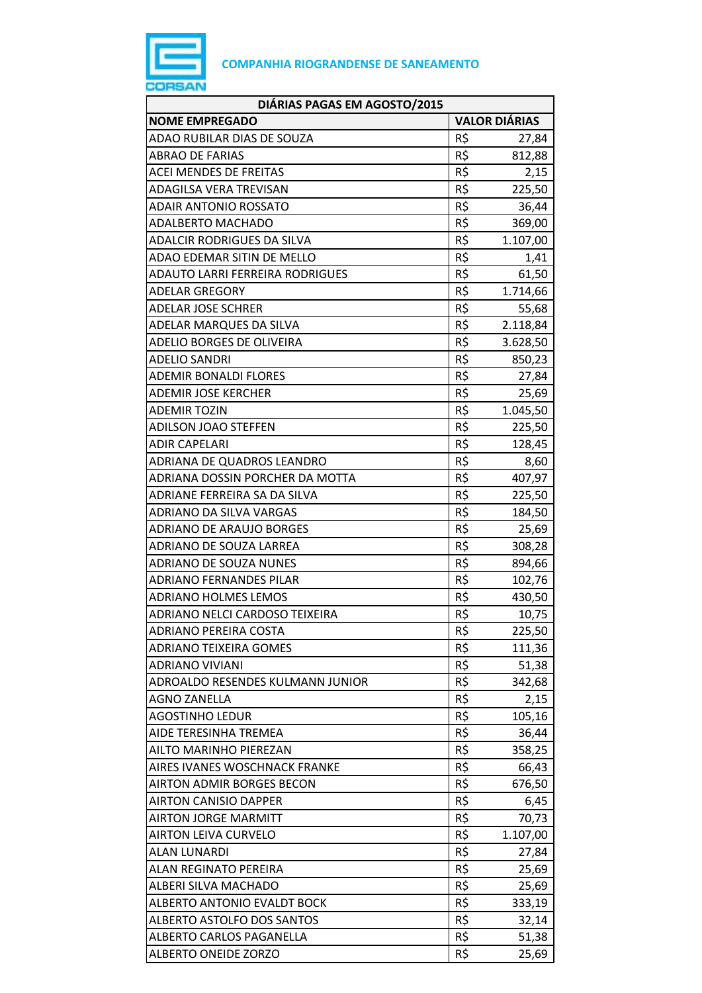

| DIÁRIAS PAGAS EM AGOSTO/2015       |                      |          |
|------------------------------------|----------------------|----------|
| <b>NOME EMPREGADO</b>              | <b>VALOR DIÁRIAS</b> |          |
| ADAO RUBILAR DIAS DE SOUZA         | R\$                  | 27,84    |
| <b>ABRAO DE FARIAS</b>             | R\$                  | 812,88   |
| <b>ACEI MENDES DE FREITAS</b>      | R\$                  | 2,15     |
| ADAGILSA VERA TREVISAN             | R\$                  | 225,50   |
| <b>ADAIR ANTONIO ROSSATO</b>       | R\$                  | 36,44    |
| <b>ADALBERTO MACHADO</b>           | R\$                  | 369,00   |
| <b>ADALCIR RODRIGUES DA SILVA</b>  | R\$                  | 1.107,00 |
| ADAO EDEMAR SITIN DE MELLO         | R\$                  | 1,41     |
| ADAUTO LARRI FERREIRA RODRIGUES    | R\$                  | 61,50    |
| ADELAR GREGORY                     | R\$                  | 1.714,66 |
| ADELAR JOSE SCHRER                 | R\$                  | 55,68    |
| ADELAR MARQUES DA SILVA            | R\$                  | 2.118,84 |
| <b>ADELIO BORGES DE OLIVEIRA</b>   | R\$                  | 3.628,50 |
| <b>ADELIO SANDRI</b>               | R\$                  | 850,23   |
| <b>ADEMIR BONALDI FLORES</b>       | R\$                  | 27,84    |
| <b>ADEMIR JOSE KERCHER</b>         | R\$                  | 25,69    |
| <b>ADEMIR TOZIN</b>                | R\$                  | 1.045,50 |
| <b>ADILSON JOAO STEFFEN</b>        | R\$                  | 225,50   |
| <b>ADIR CAPELARI</b>               | R\$                  | 128,45   |
| ADRIANA DE QUADROS LEANDRO         | R\$                  | 8,60     |
| ADRIANA DOSSIN PORCHER DA MOTTA    | R\$                  | 407,97   |
| ADRIANE FERREIRA SA DA SILVA       | R\$                  | 225,50   |
| ADRIANO DA SILVA VARGAS            | R\$                  | 184,50   |
| <b>ADRIANO DE ARAUJO BORGES</b>    | R\$                  | 25,69    |
| ADRIANO DE SOUZA LARREA            | R\$                  | 308,28   |
| <b>ADRIANO DE SOUZA NUNES</b>      | R\$                  | 894,66   |
| <b>ADRIANO FERNANDES PILAR</b>     | R\$                  | 102,76   |
| <b>ADRIANO HOLMES LEMOS</b>        | R\$                  | 430,50   |
| ADRIANO NELCI CARDOSO TEIXEIRA     | R\$                  | 10,75    |
| ADRIANO PEREIRA COSTA              | R\$                  | 225,50   |
| <b>ADRIANO TEIXEIRA GOMES</b>      | R\$                  | 111,36   |
| <b>ADRIANO VIVIANI</b>             | R\$                  | 51,38    |
| ADROALDO RESENDES KULMANN JUNIOR   | R\$                  | 342,68   |
| <b>AGNO ZANELLA</b>                | R\$                  | 2,15     |
| AGOSTINHO LEDUR                    | R\$                  | 105,16   |
| AIDE TERESINHA TREMEA              | R\$                  | 36,44    |
| AILTO MARINHO PIEREZAN             | R\$                  | 358,25   |
| AIRES IVANES WOSCHNACK FRANKE      | R\$                  | 66,43    |
| <b>AIRTON ADMIR BORGES BECON</b>   | R\$                  | 676,50   |
| AIRTON CANISIO DAPPER              | R\$                  | 6,45     |
| <b>AIRTON JORGE MARMITT</b>        | R\$                  | 70,73    |
| <b>AIRTON LEIVA CURVELO</b>        | R\$                  | 1.107,00 |
| ALAN LUNARDI                       | R\$                  | 27,84    |
| ALAN REGINATO PEREIRA              | R\$                  | 25,69    |
| ALBERI SILVA MACHADO               | R\$                  | 25,69    |
| <b>ALBERTO ANTONIO EVALDT BOCK</b> | R\$                  | 333,19   |
| ALBERTO ASTOLFO DOS SANTOS         | R\$                  | 32,14    |
| ALBERTO CARLOS PAGANELLA           | R\$                  | 51,38    |
| ALBERTO ONEIDE ZORZO               | R\$                  | 25,69    |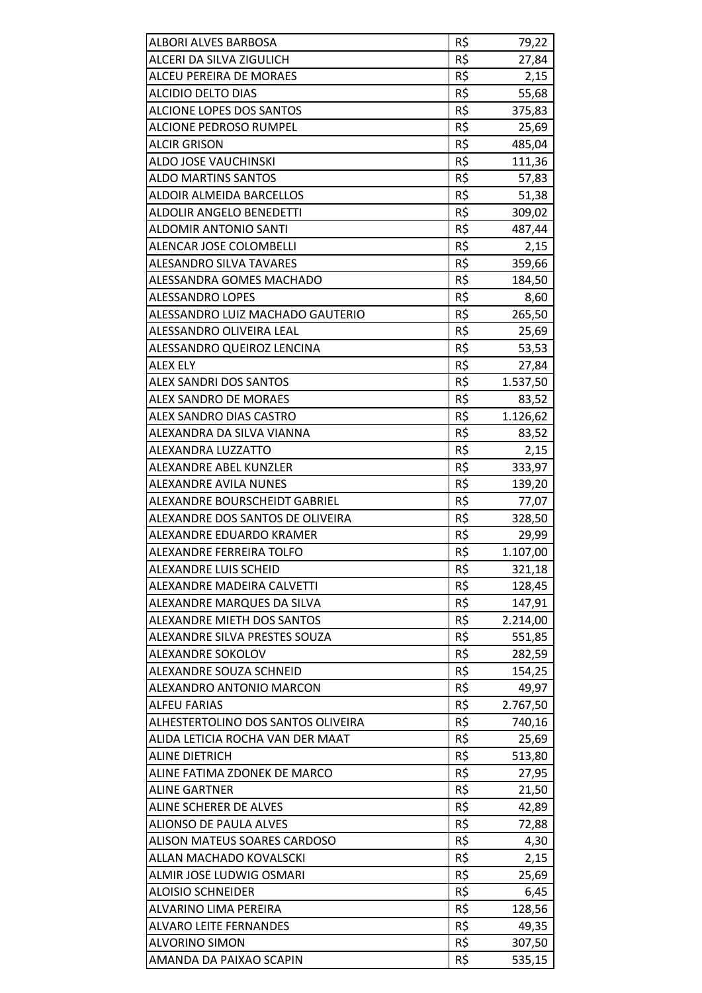| ALBORI ALVES BARBOSA               | R\$ | 79,22    |
|------------------------------------|-----|----------|
| ALCERI DA SILVA ZIGULICH           | R\$ | 27,84    |
| ALCEU PEREIRA DE MORAES            | R\$ | 2,15     |
| <b>ALCIDIO DELTO DIAS</b>          | R\$ | 55,68    |
| ALCIONE LOPES DOS SANTOS           | R\$ | 375,83   |
| <b>ALCIONE PEDROSO RUMPEL</b>      | R\$ | 25,69    |
| <b>ALCIR GRISON</b>                | R\$ | 485,04   |
| ALDO JOSE VAUCHINSKI               | R\$ | 111,36   |
| <b>ALDO MARTINS SANTOS</b>         | R\$ | 57,83    |
| ALDOIR ALMEIDA BARCELLOS           | R\$ | 51,38    |
| ALDOLIR ANGELO BENEDETTI           | R\$ | 309,02   |
| ALDOMIR ANTONIO SANTI              | R\$ | 487,44   |
| ALENCAR JOSE COLOMBELLI            | R\$ | 2,15     |
| <b>ALESANDRO SILVA TAVARES</b>     | R\$ | 359,66   |
| ALESSANDRA GOMES MACHADO           | R\$ | 184,50   |
| <b>ALESSANDRO LOPES</b>            | R\$ | 8,60     |
| ALESSANDRO LUIZ MACHADO GAUTERIO   | R\$ | 265,50   |
| ALESSANDRO OLIVEIRA LEAL           | R\$ | 25,69    |
| ALESSANDRO QUEIROZ LENCINA         | R\$ | 53,53    |
| <b>ALEX ELY</b>                    | R\$ | 27,84    |
| ALEX SANDRI DOS SANTOS             | R\$ | 1.537,50 |
| ALEX SANDRO DE MORAES              | R\$ | 83,52    |
| ALEX SANDRO DIAS CASTRO            | R\$ | 1.126,62 |
| ALEXANDRA DA SILVA VIANNA          | R\$ | 83,52    |
| ALEXANDRA LUZZATTO                 | R\$ | 2,15     |
| ALEXANDRE ABEL KUNZLER             | R\$ | 333,97   |
| ALEXANDRE AVILA NUNES              | R\$ | 139,20   |
| ALEXANDRE BOURSCHEIDT GABRIEL      | R\$ | 77,07    |
| ALEXANDRE DOS SANTOS DE OLIVEIRA   | R\$ | 328,50   |
| ALEXANDRE EDUARDO KRAMER           | R\$ | 29,99    |
| ALEXANDRE FERREIRA TOLFO           | R\$ | 1.107,00 |
| ALEXANDRE LUIS SCHEID              | R\$ | 321,18   |
| ALEXANDRE MADEIRA CALVETTI         | R\$ | 128,45   |
| ALEXANDRE MARQUES DA SILVA         | R\$ | 147,91   |
| ALEXANDRE MIETH DOS SANTOS         | R\$ | 2.214,00 |
| ALEXANDRE SILVA PRESTES SOUZA      | R\$ | 551,85   |
| ALEXANDRE SOKOLOV                  | R\$ | 282,59   |
| ALEXANDRE SOUZA SCHNEID            | R\$ | 154,25   |
| ALEXANDRO ANTONIO MARCON           | R\$ | 49,97    |
| <b>ALFEU FARIAS</b>                | R\$ | 2.767,50 |
| ALHESTERTOLINO DOS SANTOS OLIVEIRA | R\$ | 740,16   |
| ALIDA LETICIA ROCHA VAN DER MAAT   | R\$ | 25,69    |
| <b>ALINE DIETRICH</b>              | R\$ | 513,80   |
| ALINE FATIMA ZDONEK DE MARCO       | R\$ | 27,95    |
| <b>ALINE GARTNER</b>               | R\$ | 21,50    |
| ALINE SCHERER DE ALVES             | R\$ | 42,89    |
| <b>ALIONSO DE PAULA ALVES</b>      | R\$ | 72,88    |
| ALISON MATEUS SOARES CARDOSO       | R\$ | 4,30     |
| ALLAN MACHADO KOVALSCKI            | R\$ | 2,15     |
| ALMIR JOSE LUDWIG OSMARI           | R\$ | 25,69    |
| <b>ALOISIO SCHNEIDER</b>           | R\$ | 6,45     |
| ALVARINO LIMA PEREIRA              | R\$ | 128,56   |
| <b>ALVARO LEITE FERNANDES</b>      | R\$ | 49,35    |
| <b>ALVORINO SIMON</b>              | R\$ | 307,50   |
| AMANDA DA PAIXAO SCAPIN            | R\$ | 535,15   |
|                                    |     |          |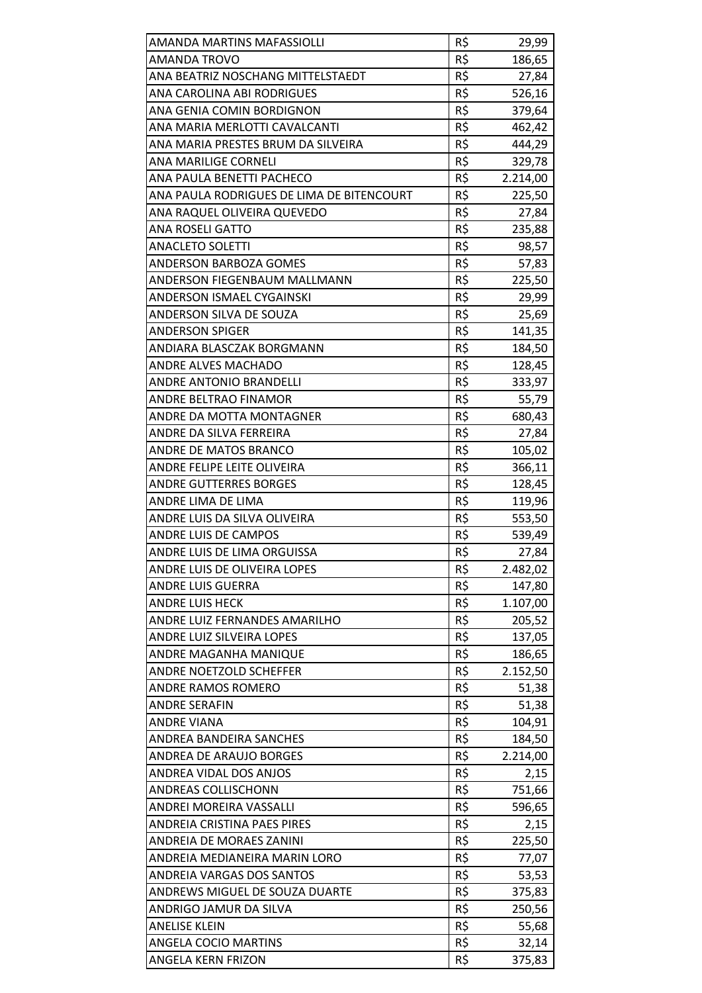| AMANDA MARTINS MAFASSIOLLI                | R\$        | 29,99    |
|-------------------------------------------|------------|----------|
| <b>AMANDA TROVO</b>                       | R\$        | 186,65   |
| ANA BEATRIZ NOSCHANG MITTELSTAEDT         | R\$        | 27,84    |
| ANA CAROLINA ABI RODRIGUES                | R\$        | 526,16   |
| ANA GENIA COMIN BORDIGNON                 | R\$        | 379,64   |
| ANA MARIA MERLOTTI CAVALCANTI             | R\$        | 462,42   |
| ANA MARIA PRESTES BRUM DA SILVEIRA        | R\$        | 444,29   |
| ANA MARILIGE CORNELI                      | R\$        | 329,78   |
| ANA PAULA BENETTI PACHECO                 | R\$        | 2.214,00 |
| ANA PAULA RODRIGUES DE LIMA DE BITENCOURT | R\$        | 225,50   |
| ANA RAQUEL OLIVEIRA QUEVEDO               | R\$        | 27,84    |
| <b>ANA ROSELI GATTO</b>                   | R\$        | 235,88   |
| <b>ANACLETO SOLETTI</b>                   | R\$        | 98,57    |
| ANDERSON BARBOZA GOMES                    | R\$        | 57,83    |
| ANDERSON FIEGENBAUM MALLMANN              | R\$        | 225,50   |
| ANDERSON ISMAEL CYGAINSKI                 | R\$        | 29,99    |
| ANDERSON SILVA DE SOUZA                   | R\$        | 25,69    |
| <b>ANDERSON SPIGER</b>                    | R\$        | 141,35   |
| ANDIARA BLASCZAK BORGMANN                 | R\$        | 184,50   |
| ANDRE ALVES MACHADO                       | R\$        | 128,45   |
| ANDRE ANTONIO BRANDELLI                   | R\$        | 333,97   |
| ANDRE BELTRAO FINAMOR                     | R\$        | 55,79    |
| ANDRE DA MOTTA MONTAGNER                  | R\$        | 680,43   |
| ANDRE DA SILVA FERREIRA                   | R\$        | 27,84    |
| ANDRE DE MATOS BRANCO                     | R\$        | 105,02   |
| ANDRE FELIPE LEITE OLIVEIRA               | R\$        | 366,11   |
| <b>ANDRE GUTTERRES BORGES</b>             | R\$        | 128,45   |
| ANDRE LIMA DE LIMA                        | R\$        | 119,96   |
| ANDRE LUIS DA SILVA OLIVEIRA              | R\$        | 553,50   |
| ANDRE LUIS DE CAMPOS                      | R\$        | 539,49   |
| ANDRE LUIS DE LIMA ORGUISSA               | R\$        | 27,84    |
| ANDRE LUIS DE OLIVEIRA LOPES              | R\$        | 2.482,02 |
| <b>ANDRE LUIS GUERRA</b>                  | R\$        | 147,80   |
| <b>ANDRE LUIS HECK</b>                    | R\$        | 1.107,00 |
| ANDRE LUIZ FERNANDES AMARILHO             | R\$        | 205,52   |
| ANDRE LUIZ SILVEIRA LOPES                 | R\$        | 137,05   |
| ANDRE MAGANHA MANIQUE                     | R\$        | 186,65   |
| ANDRE NOETZOLD SCHEFFER                   | R\$        | 2.152,50 |
| ANDRE RAMOS ROMERO                        | R\$        | 51,38    |
| <b>ANDRE SERAFIN</b>                      | R\$        | 51,38    |
| <b>ANDRE VIANA</b>                        | R\$        | 104,91   |
| ANDREA BANDEIRA SANCHES                   | R\$        | 184,50   |
| ANDREA DE ARAUJO BORGES                   | R\$        | 2.214,00 |
| ANDREA VIDAL DOS ANJOS                    | R\$        | 2,15     |
| ANDREAS COLLISCHONN                       | R\$        | 751,66   |
|                                           | R\$        |          |
| ANDREI MOREIRA VASSALLI                   |            | 596,65   |
| ANDREIA CRISTINA PAES PIRES               | R\$<br>R\$ | 2,15     |
| ANDREIA DE MORAES ZANINI                  |            | 225,50   |
| ANDREIA MEDIANEIRA MARIN LORO             | R\$        | 77,07    |
| ANDREIA VARGAS DOS SANTOS                 | R\$        | 53,53    |
| ANDREWS MIGUEL DE SOUZA DUARTE            | R\$        | 375,83   |
| ANDRIGO JAMUR DA SILVA                    | R\$        | 250,56   |
| <b>ANELISE KLEIN</b>                      | R\$        | 55,68    |
| <b>ANGELA COCIO MARTINS</b>               | R\$        | 32,14    |
| ANGELA KERN FRIZON                        | R\$        | 375,83   |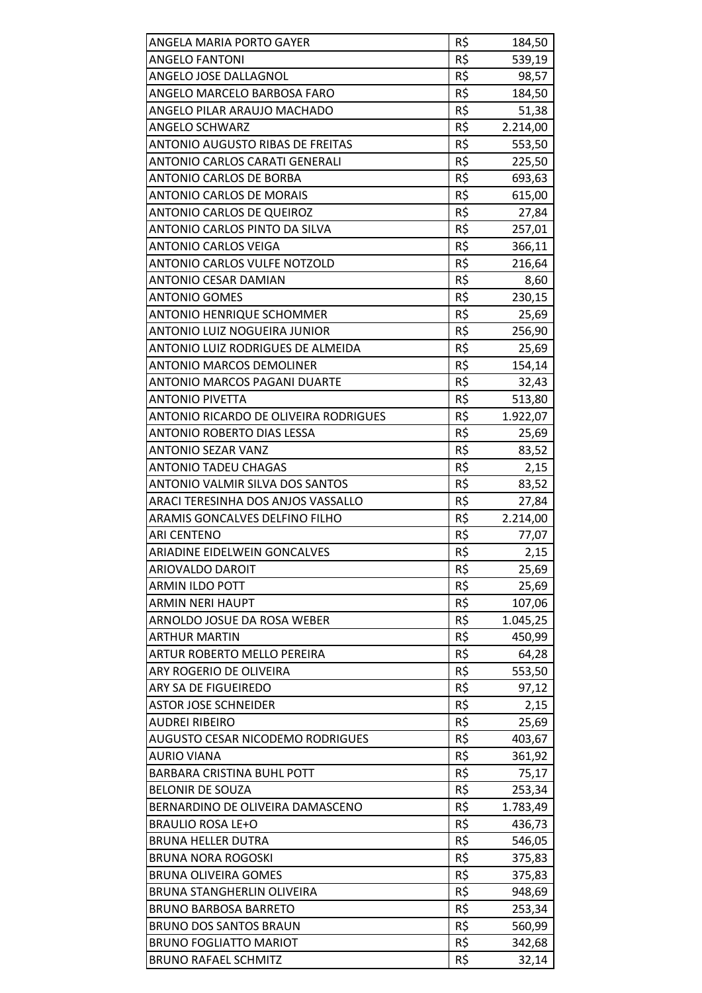| ANGELA MARIA PORTO GAYER                | R\$ | 184,50   |
|-----------------------------------------|-----|----------|
| <b>ANGELO FANTONI</b>                   | R\$ | 539,19   |
| ANGELO JOSE DALLAGNOL                   | R\$ | 98,57    |
| ANGELO MARCELO BARBOSA FARO             | R\$ | 184,50   |
| ANGELO PILAR ARAUJO MACHADO             | R\$ | 51,38    |
| ANGELO SCHWARZ                          | R\$ | 2.214,00 |
| <b>ANTONIO AUGUSTO RIBAS DE FREITAS</b> | R\$ | 553,50   |
| ANTONIO CARLOS CARATI GENERALI          | R\$ | 225,50   |
| <b>ANTONIO CARLOS DE BORBA</b>          | R\$ | 693,63   |
| <b>ANTONIO CARLOS DE MORAIS</b>         | R\$ | 615,00   |
| <b>ANTONIO CARLOS DE QUEIROZ</b>        | R\$ | 27,84    |
| ANTONIO CARLOS PINTO DA SILVA           | R\$ | 257,01   |
| <b>ANTONIO CARLOS VEIGA</b>             | R\$ | 366,11   |
| <b>ANTONIO CARLOS VULFE NOTZOLD</b>     | R\$ | 216,64   |
| <b>ANTONIO CESAR DAMIAN</b>             | R\$ | 8,60     |
| <b>ANTONIO GOMES</b>                    | R\$ | 230,15   |
| <b>ANTONIO HENRIQUE SCHOMMER</b>        | R\$ | 25,69    |
| ANTONIO LUIZ NOGUEIRA JUNIOR            | R\$ | 256,90   |
| ANTONIO LUIZ RODRIGUES DE ALMEIDA       | R\$ | 25,69    |
| <b>ANTONIO MARCOS DEMOLINER</b>         | R\$ | 154,14   |
| <b>ANTONIO MARCOS PAGANI DUARTE</b>     | R\$ | 32,43    |
| <b>ANTONIO PIVETTA</b>                  | R\$ | 513,80   |
| ANTONIO RICARDO DE OLIVEIRA RODRIGUES   | R\$ | 1.922,07 |
| <b>ANTONIO ROBERTO DIAS LESSA</b>       | R\$ | 25,69    |
| <b>ANTONIO SEZAR VANZ</b>               | R\$ | 83,52    |
| <b>ANTONIO TADEU CHAGAS</b>             | R\$ | 2,15     |
| ANTONIO VALMIR SILVA DOS SANTOS         | R\$ | 83,52    |
| ARACI TERESINHA DOS ANJOS VASSALLO      | R\$ | 27,84    |
| ARAMIS GONCALVES DELFINO FILHO          | R\$ | 2.214,00 |
| <b>ARI CENTENO</b>                      | R\$ | 77,07    |
| ARIADINE EIDELWEIN GONCALVES            | R\$ | 2,15     |
| ARIOVALDO DAROIT                        | R\$ | 25,69    |
| ARMIN ILDO POTT                         | R\$ | 25,69    |
| <b>ARMIN NERI HAUPT</b>                 | R\$ | 107,06   |
| ARNOLDO JOSUE DA ROSA WEBER             | R\$ | 1.045,25 |
| <b>ARTHUR MARTIN</b>                    | R\$ | 450,99   |
| ARTUR ROBERTO MELLO PEREIRA             | R\$ | 64,28    |
| ARY ROGERIO DE OLIVEIRA                 | R\$ | 553,50   |
| ARY SA DE FIGUEIREDO                    | R\$ | 97,12    |
| <b>ASTOR JOSE SCHNEIDER</b>             | R\$ | 2,15     |
| <b>AUDREI RIBEIRO</b>                   | R\$ | 25,69    |
| AUGUSTO CESAR NICODEMO RODRIGUES        | R\$ | 403,67   |
| <b>AURIO VIANA</b>                      | R\$ | 361,92   |
| <b>BARBARA CRISTINA BUHL POTT</b>       | R\$ | 75,17    |
| <b>BELONIR DE SOUZA</b>                 | R\$ | 253,34   |
| BERNARDINO DE OLIVEIRA DAMASCENO        | R\$ | 1.783,49 |
| <b>BRAULIO ROSA LE+O</b>                | R\$ | 436,73   |
| <b>BRUNA HELLER DUTRA</b>               | R\$ | 546,05   |
| <b>BRUNA NORA ROGOSKI</b>               | R\$ | 375,83   |
| <b>BRUNA OLIVEIRA GOMES</b>             | R\$ | 375,83   |
| BRUNA STANGHERLIN OLIVEIRA              | R\$ | 948,69   |
| <b>BRUNO BARBOSA BARRETO</b>            | R\$ | 253,34   |
| <b>BRUNO DOS SANTOS BRAUN</b>           | R\$ | 560,99   |
| <b>BRUNO FOGLIATTO MARIOT</b>           | R\$ | 342,68   |
| <b>BRUNO RAFAEL SCHMITZ</b>             | R\$ | 32,14    |
|                                         |     |          |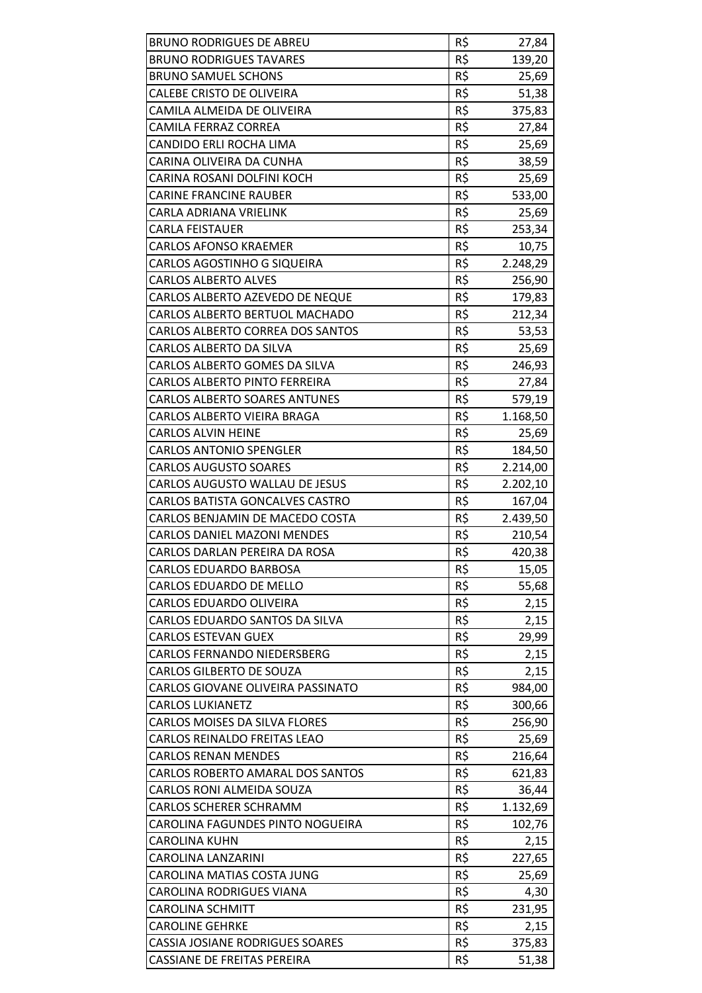| <b>BRUNO RODRIGUES DE ABREU</b>          | R\$ | 27,84    |
|------------------------------------------|-----|----------|
| <b>BRUNO RODRIGUES TAVARES</b>           | R\$ | 139,20   |
| <b>BRUNO SAMUEL SCHONS</b>               | R\$ | 25,69    |
| CALEBE CRISTO DE OLIVEIRA                | R\$ | 51,38    |
| CAMILA ALMEIDA DE OLIVEIRA               | R\$ | 375,83   |
| <b>CAMILA FERRAZ CORREA</b>              | R\$ | 27,84    |
| CANDIDO ERLI ROCHA LIMA                  | R\$ | 25,69    |
| CARINA OLIVEIRA DA CUNHA                 | R\$ | 38,59    |
| CARINA ROSANI DOLFINI KOCH               | R\$ | 25,69    |
| <b>CARINE FRANCINE RAUBER</b>            | R\$ | 533,00   |
| CARLA ADRIANA VRIELINK                   | R\$ | 25,69    |
| <b>CARLA FEISTAUER</b>                   | R\$ | 253,34   |
| <b>CARLOS AFONSO KRAEMER</b>             | R\$ | 10,75    |
| <b>CARLOS AGOSTINHO G SIQUEIRA</b>       | R\$ | 2.248,29 |
| <b>CARLOS ALBERTO ALVES</b>              | R\$ | 256,90   |
| CARLOS ALBERTO AZEVEDO DE NEQUE          | R\$ | 179,83   |
| CARLOS ALBERTO BERTUOL MACHADO           | R\$ | 212,34   |
| CARLOS ALBERTO CORREA DOS SANTOS         | R\$ | 53,53    |
| CARLOS ALBERTO DA SILVA                  | R\$ | 25,69    |
| CARLOS ALBERTO GOMES DA SILVA            | R\$ | 246,93   |
| CARLOS ALBERTO PINTO FERREIRA            | R\$ | 27,84    |
| <b>CARLOS ALBERTO SOARES ANTUNES</b>     | R\$ | 579,19   |
| CARLOS ALBERTO VIEIRA BRAGA              | R\$ | 1.168,50 |
| <b>CARLOS ALVIN HEINE</b>                | R\$ | 25,69    |
| <b>CARLOS ANTONIO SPENGLER</b>           | R\$ | 184,50   |
| <b>CARLOS AUGUSTO SOARES</b>             | R\$ | 2.214,00 |
| CARLOS AUGUSTO WALLAU DE JESUS           | R\$ | 2.202,10 |
| CARLOS BATISTA GONCALVES CASTRO          | R\$ | 167,04   |
| CARLOS BENJAMIN DE MACEDO COSTA          | R\$ | 2.439,50 |
| <b>CARLOS DANIEL MAZONI MENDES</b>       | R\$ | 210,54   |
| CARLOS DARLAN PEREIRA DA ROSA            | R\$ | 420,38   |
| <b>CARLOS EDUARDO BARBOSA</b>            | R\$ | 15,05    |
| CARLOS EDUARDO DE MELLO                  | R\$ | 55,68    |
| CARLOS EDUARDO OLIVEIRA                  | R\$ | 2,15     |
| CARLOS EDUARDO SANTOS DA SILVA           | R\$ | 2,15     |
| <b>CARLOS ESTEVAN GUEX</b>               | R\$ | 29,99    |
| <b>CARLOS FERNANDO NIEDERSBERG</b>       | R\$ | 2,15     |
| <b>CARLOS GILBERTO DE SOUZA</b>          | R\$ | 2,15     |
| <b>CARLOS GIOVANE OLIVEIRA PASSINATO</b> | R\$ | 984,00   |
| <b>CARLOS LUKIANETZ</b>                  | R\$ | 300,66   |
| <b>CARLOS MOISES DA SILVA FLORES</b>     | R\$ | 256,90   |
| CARLOS REINALDO FREITAS LEAO             | R\$ | 25,69    |
| <b>CARLOS RENAN MENDES</b>               | R\$ | 216,64   |
| CARLOS ROBERTO AMARAL DOS SANTOS         | R\$ | 621,83   |
| CARLOS RONI ALMEIDA SOUZA                | R\$ | 36,44    |
| <b>CARLOS SCHERER SCHRAMM</b>            | R\$ | 1.132,69 |
| CAROLINA FAGUNDES PINTO NOGUEIRA         | R\$ | 102,76   |
| <b>CAROLINA KUHN</b>                     | R\$ | 2,15     |
| CAROLINA LANZARINI                       | R\$ | 227,65   |
| CAROLINA MATIAS COSTA JUNG               | R\$ | 25,69    |
| <b>CAROLINA RODRIGUES VIANA</b>          | R\$ | 4,30     |
| <b>CAROLINA SCHMITT</b>                  | R\$ | 231,95   |
| <b>CAROLINE GEHRKE</b>                   | R\$ | 2,15     |
| <b>CASSIA JOSIANE RODRIGUES SOARES</b>   | R\$ | 375,83   |
| <b>CASSIANE DE FREITAS PEREIRA</b>       | R\$ | 51,38    |
|                                          |     |          |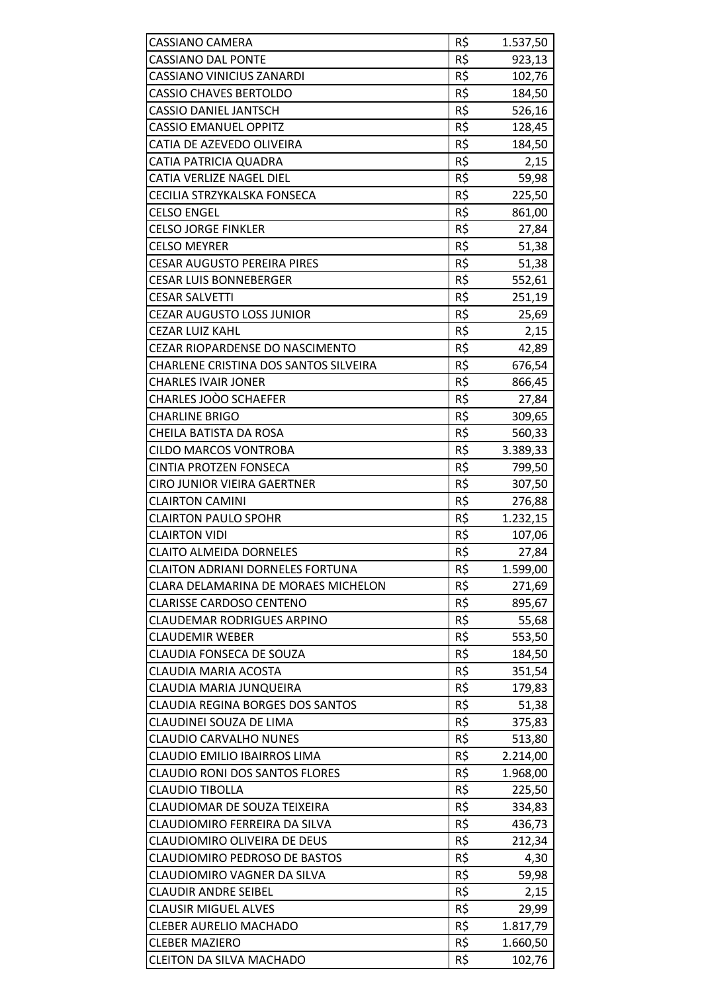| <b>CASSIANO CAMERA</b>                  | R\$ | 1.537,50 |
|-----------------------------------------|-----|----------|
| <b>CASSIANO DAL PONTE</b>               | R\$ | 923,13   |
| <b>CASSIANO VINICIUS ZANARDI</b>        | R\$ | 102,76   |
| <b>CASSIO CHAVES BERTOLDO</b>           | R\$ | 184,50   |
| <b>CASSIO DANIEL JANTSCH</b>            | R\$ | 526,16   |
| <b>CASSIO EMANUEL OPPITZ</b>            | R\$ | 128,45   |
| CATIA DE AZEVEDO OLIVEIRA               | R\$ | 184,50   |
| <b>CATIA PATRICIA QUADRA</b>            | R\$ | 2,15     |
| CATIA VERLIZE NAGEL DIEL                | R\$ | 59,98    |
| CECILIA STRZYKALSKA FONSECA             | R\$ | 225,50   |
| <b>CELSO ENGEL</b>                      | R\$ | 861,00   |
| <b>CELSO JORGE FINKLER</b>              | R\$ | 27,84    |
| <b>CELSO MEYRER</b>                     | R\$ | 51,38    |
| <b>CESAR AUGUSTO PEREIRA PIRES</b>      | R\$ | 51,38    |
| <b>CESAR LUIS BONNEBERGER</b>           | R\$ | 552,61   |
| <b>CESAR SALVETTI</b>                   | R\$ | 251,19   |
| <b>CEZAR AUGUSTO LOSS JUNIOR</b>        | R\$ | 25,69    |
| <b>CEZAR LUIZ KAHL</b>                  | R\$ | 2,15     |
| CEZAR RIOPARDENSE DO NASCIMENTO         | R\$ | 42,89    |
| CHARLENE CRISTINA DOS SANTOS SILVEIRA   | R\$ | 676,54   |
| <b>CHARLES IVAIR JONER</b>              | R\$ | 866,45   |
| CHARLES JOOO SCHAEFER                   | R\$ | 27,84    |
| <b>CHARLINE BRIGO</b>                   | R\$ | 309,65   |
| CHEILA BATISTA DA ROSA                  | R\$ | 560,33   |
| <b>CILDO MARCOS VONTROBA</b>            | R\$ | 3.389,33 |
| <b>CINTIA PROTZEN FONSECA</b>           | R\$ | 799,50   |
| <b>CIRO JUNIOR VIEIRA GAERTNER</b>      | R\$ | 307,50   |
| <b>CLAIRTON CAMINI</b>                  | R\$ | 276,88   |
| <b>CLAIRTON PAULO SPOHR</b>             | R\$ | 1.232,15 |
| <b>CLAIRTON VIDI</b>                    | R\$ | 107,06   |
| <b>CLAITO ALMEIDA DORNELES</b>          | R\$ | 27,84    |
| <b>CLAITON ADRIANI DORNELES FORTUNA</b> | R\$ | 1.599,00 |
| CLARA DELAMARINA DE MORAES MICHELON     | R\$ | 271,69   |
| <b>CLARISSE CARDOSO CENTENO</b>         | R\$ | 895,67   |
| <b>CLAUDEMAR RODRIGUES ARPINO</b>       | R\$ | 55,68    |
| <b>CLAUDEMIR WEBER</b>                  | R\$ | 553,50   |
| CLAUDIA FONSECA DE SOUZA                | R\$ | 184,50   |
| CLAUDIA MARIA ACOSTA                    | R\$ | 351,54   |
| CLAUDIA MARIA JUNQUEIRA                 | R\$ | 179,83   |
| <b>CLAUDIA REGINA BORGES DOS SANTOS</b> | R\$ | 51,38    |
| CLAUDINEI SOUZA DE LIMA                 | R\$ | 375,83   |
| <b>CLAUDIO CARVALHO NUNES</b>           | R\$ | 513,80   |
| CLAUDIO EMILIO IBAIRROS LIMA            | R\$ | 2.214,00 |
| <b>CLAUDIO RONI DOS SANTOS FLORES</b>   | R\$ | 1.968,00 |
| <b>CLAUDIO TIBOLLA</b>                  | R\$ | 225,50   |
| CLAUDIOMAR DE SOUZA TEIXEIRA            | R\$ | 334,83   |
| CLAUDIOMIRO FERREIRA DA SILVA           | R\$ | 436,73   |
| CLAUDIOMIRO OLIVEIRA DE DEUS            | R\$ | 212,34   |
| <b>CLAUDIOMIRO PEDROSO DE BASTOS</b>    | R\$ | 4,30     |
| CLAUDIOMIRO VAGNER DA SILVA             | R\$ | 59,98    |
| <b>CLAUDIR ANDRE SEIBEL</b>             | R\$ | 2,15     |
| <b>CLAUSIR MIGUEL ALVES</b>             | R\$ | 29,99    |
| <b>CLEBER AURELIO MACHADO</b>           | R\$ | 1.817,79 |
| <b>CLEBER MAZIERO</b>                   | R\$ | 1.660,50 |
| CLEITON DA SILVA MACHADO                | R\$ | 102,76   |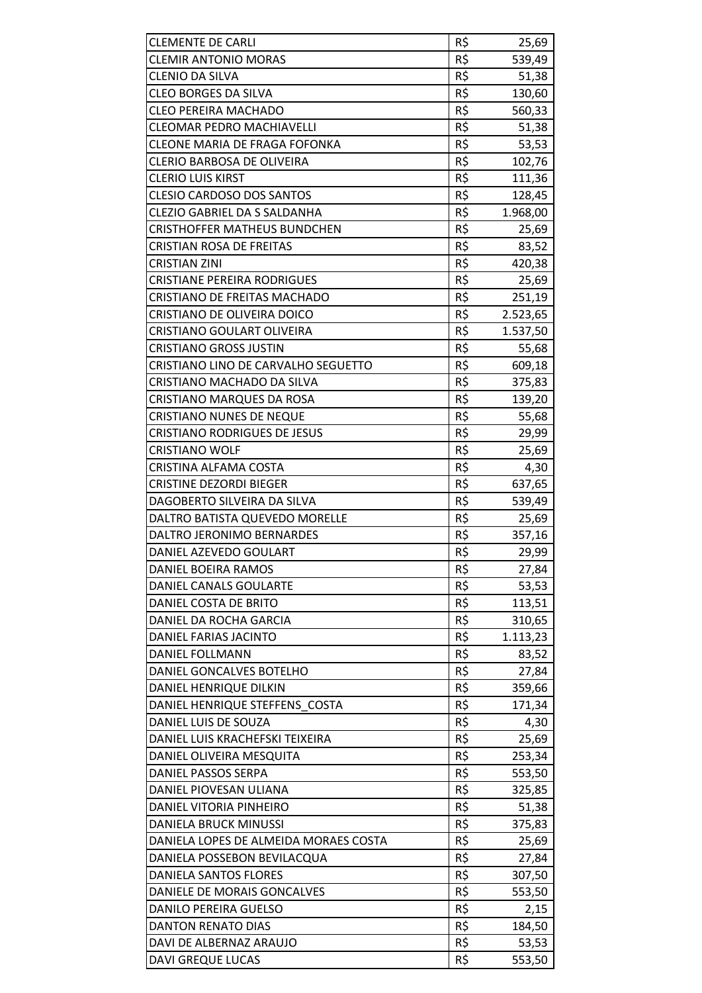| <b>CLEMENTE DE CARLI</b>              | R\$ | 25,69    |
|---------------------------------------|-----|----------|
| <b>CLEMIR ANTONIO MORAS</b>           | R\$ | 539,49   |
| <b>CLENIO DA SILVA</b>                | R\$ | 51,38    |
| <b>CLEO BORGES DA SILVA</b>           | R\$ | 130,60   |
| <b>CLEO PEREIRA MACHADO</b>           | R\$ | 560,33   |
| <b>CLEOMAR PEDRO MACHIAVELLI</b>      | R\$ | 51,38    |
| <b>CLEONE MARIA DE FRAGA FOFONKA</b>  | R\$ | 53,53    |
| <b>CLERIO BARBOSA DE OLIVEIRA</b>     | R\$ | 102,76   |
| <b>CLERIO LUIS KIRST</b>              | R\$ | 111,36   |
| <b>CLESIO CARDOSO DOS SANTOS</b>      | R\$ | 128,45   |
| <b>CLEZIO GABRIEL DA S SALDANHA</b>   | R\$ | 1.968,00 |
| <b>CRISTHOFFER MATHEUS BUNDCHEN</b>   | R\$ | 25,69    |
| <b>CRISTIAN ROSA DE FREITAS</b>       | R\$ | 83,52    |
| <b>CRISTIAN ZINI</b>                  | R\$ | 420,38   |
| <b>CRISTIANE PEREIRA RODRIGUES</b>    | R\$ | 25,69    |
| CRISTIANO DE FREITAS MACHADO          | R\$ | 251,19   |
| CRISTIANO DE OLIVEIRA DOICO           | R\$ | 2.523,65 |
| <b>CRISTIANO GOULART OLIVEIRA</b>     | R\$ | 1.537,50 |
| <b>CRISTIANO GROSS JUSTIN</b>         | R\$ | 55,68    |
| CRISTIANO LINO DE CARVALHO SEGUETTO   | R\$ | 609,18   |
| CRISTIANO MACHADO DA SILVA            | R\$ | 375,83   |
| <b>CRISTIANO MARQUES DA ROSA</b>      | R\$ | 139,20   |
| <b>CRISTIANO NUNES DE NEQUE</b>       | R\$ | 55,68    |
| <b>CRISTIANO RODRIGUES DE JESUS</b>   | R\$ | 29,99    |
| <b>CRISTIANO WOLF</b>                 | R\$ | 25,69    |
| CRISTINA ALFAMA COSTA                 | R\$ | 4,30     |
| <b>CRISTINE DEZORDI BIEGER</b>        | R\$ | 637,65   |
| DAGOBERTO SILVEIRA DA SILVA           | R\$ | 539,49   |
| DALTRO BATISTA QUEVEDO MORELLE        | R\$ | 25,69    |
| DALTRO JERONIMO BERNARDES             | R\$ | 357,16   |
| DANIEL AZEVEDO GOULART                | R\$ | 29,99    |
| <b>DANIEL BOEIRA RAMOS</b>            | R\$ | 27,84    |
| DANIEL CANALS GOULARTE                | R\$ | 53,53    |
| DANIEL COSTA DE BRITO                 | R\$ | 113,51   |
| DANIEL DA ROCHA GARCIA                | R\$ | 310,65   |
| DANIEL FARIAS JACINTO                 | R\$ | 1.113,23 |
| <b>DANIEL FOLLMANN</b>                | R\$ | 83,52    |
| DANIEL GONCALVES BOTELHO              | R\$ | 27,84    |
| DANIEL HENRIQUE DILKIN                | R\$ | 359,66   |
| DANIEL HENRIQUE STEFFENS COSTA        | R\$ | 171,34   |
| DANIEL LUIS DE SOUZA                  | R\$ | 4,30     |
| DANIEL LUIS KRACHEFSKI TEIXEIRA       | R\$ | 25,69    |
| DANIEL OLIVEIRA MESQUITA              | R\$ | 253,34   |
| DANIEL PASSOS SERPA                   | R\$ | 553,50   |
| DANIEL PIOVESAN ULIANA                | R\$ | 325,85   |
| DANIEL VITORIA PINHEIRO               | R\$ | 51,38    |
| DANIELA BRUCK MINUSSI                 | R\$ | 375,83   |
| DANIELA LOPES DE ALMEIDA MORAES COSTA | R\$ | 25,69    |
| DANIELA POSSEBON BEVILACQUA           | R\$ | 27,84    |
| DANIELA SANTOS FLORES                 | R\$ | 307,50   |
| DANIELE DE MORAIS GONCALVES           | R\$ | 553,50   |
| DANILO PEREIRA GUELSO                 | R\$ | 2,15     |
| <b>DANTON RENATO DIAS</b>             | R\$ | 184,50   |
| DAVI DE ALBERNAZ ARAUJO               | R\$ | 53,53    |
| <b>DAVI GREQUE LUCAS</b>              | R\$ | 553,50   |
|                                       |     |          |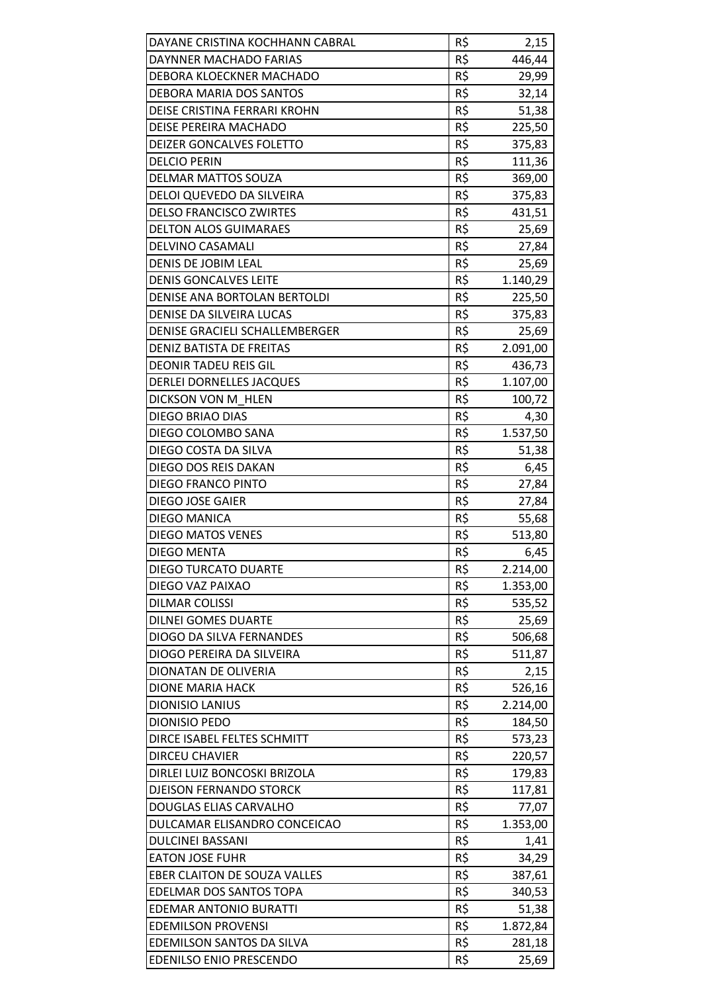| DAYANE CRISTINA KOCHHANN CABRAL     | R\$             | 2,15     |
|-------------------------------------|-----------------|----------|
| DAYNNER MACHADO FARIAS              | R\$             | 446,44   |
| DEBORA KLOECKNER MACHADO            | R\$             | 29,99    |
| DEBORA MARIA DOS SANTOS             | R\$             | 32,14    |
| DEISE CRISTINA FERRARI KROHN        | R\$             | 51,38    |
| DEISE PEREIRA MACHADO               | R\$             | 225,50   |
| DEIZER GONCALVES FOLETTO            | R\$             | 375,83   |
| <b>DELCIO PERIN</b>                 | R\$             | 111,36   |
| DELMAR MATTOS SOUZA                 | R\$             | 369,00   |
| DELOI QUEVEDO DA SILVEIRA           | R\$             | 375,83   |
| <b>DELSO FRANCISCO ZWIRTES</b>      | R\$             | 431,51   |
| <b>DELTON ALOS GUIMARAES</b>        | R\$             | 25,69    |
| DELVINO CASAMALI                    | R\$             | 27,84    |
| DENIS DE JOBIM LEAL                 | R\$             | 25,69    |
| <b>DENIS GONCALVES LEITE</b>        | R\$             | 1.140,29 |
| DENISE ANA BORTOLAN BERTOLDI        | R\$             | 225,50   |
| DENISE DA SILVEIRA LUCAS            | R\$             | 375,83   |
| DENISE GRACIELI SCHALLEMBERGER      | R\$             | 25,69    |
| <b>DENIZ BATISTA DE FREITAS</b>     | R\$             | 2.091,00 |
| <b>DEONIR TADEU REIS GIL</b>        | R\$             | 436,73   |
| <b>DERLEI DORNELLES JACQUES</b>     | R\$             | 1.107,00 |
| DICKSON VON M HLEN                  | R\$             | 100,72   |
| DIEGO BRIAO DIAS                    | $R\overline{S}$ | 4,30     |
| DIEGO COLOMBO SANA                  | R\$             | 1.537,50 |
| DIEGO COSTA DA SILVA                | R\$             | 51,38    |
| DIEGO DOS REIS DAKAN                | R\$             | 6,45     |
| <b>DIEGO FRANCO PINTO</b>           | R\$             | 27,84    |
| <b>DIEGO JOSE GAIER</b>             | R\$             | 27,84    |
| <b>DIEGO MANICA</b>                 | R\$             | 55,68    |
| <b>DIEGO MATOS VENES</b>            | R\$             | 513,80   |
| <b>DIEGO MENTA</b>                  | R\$             | 6,45     |
| <b>DIEGO TURCATO DUARTE</b>         | R\$             | 2.214,00 |
| DIEGO VAZ PAIXAO                    | R\$             | 1.353,00 |
| <b>DILMAR COLISSI</b>               | R\$             | 535,52   |
| <b>DILNEI GOMES DUARTE</b>          | R\$             | 25,69    |
| DIOGO DA SILVA FERNANDES            | R\$             | 506,68   |
| DIOGO PEREIRA DA SILVEIRA           | R\$             | 511,87   |
| DIONATAN DE OLIVERIA                | R\$             | 2,15     |
| <b>DIONE MARIA HACK</b>             | R\$             | 526,16   |
| <b>DIONISIO LANIUS</b>              | R\$             | 2.214,00 |
| <b>DIONISIO PEDO</b>                | R\$             | 184,50   |
| DIRCE ISABEL FELTES SCHMITT         | R\$             |          |
|                                     | R\$             | 573,23   |
| <b>DIRCEU CHAVIER</b>               |                 | 220,57   |
| DIRLEI LUIZ BONCOSKI BRIZOLA        | R\$             | 179,83   |
| <b>DJEISON FERNANDO STORCK</b>      | R\$             | 117,81   |
| DOUGLAS ELIAS CARVALHO              | R\$             | 77,07    |
| DULCAMAR ELISANDRO CONCEICAO        | R\$             | 1.353,00 |
| <b>DULCINEI BASSANI</b>             | R\$             | 1,41     |
| <b>EATON JOSE FUHR</b>              | R\$             | 34,29    |
| <b>EBER CLAITON DE SOUZA VALLES</b> | R\$             | 387,61   |
| EDELMAR DOS SANTOS TOPA             | R\$             | 340,53   |
| <b>EDEMAR ANTONIO BURATTI</b>       | R\$             | 51,38    |
| <b>EDEMILSON PROVENSI</b>           | R\$             | 1.872,84 |
| EDEMILSON SANTOS DA SILVA           | R\$             | 281,18   |
| <b>EDENILSO ENIO PRESCENDO</b>      | R\$             | 25,69    |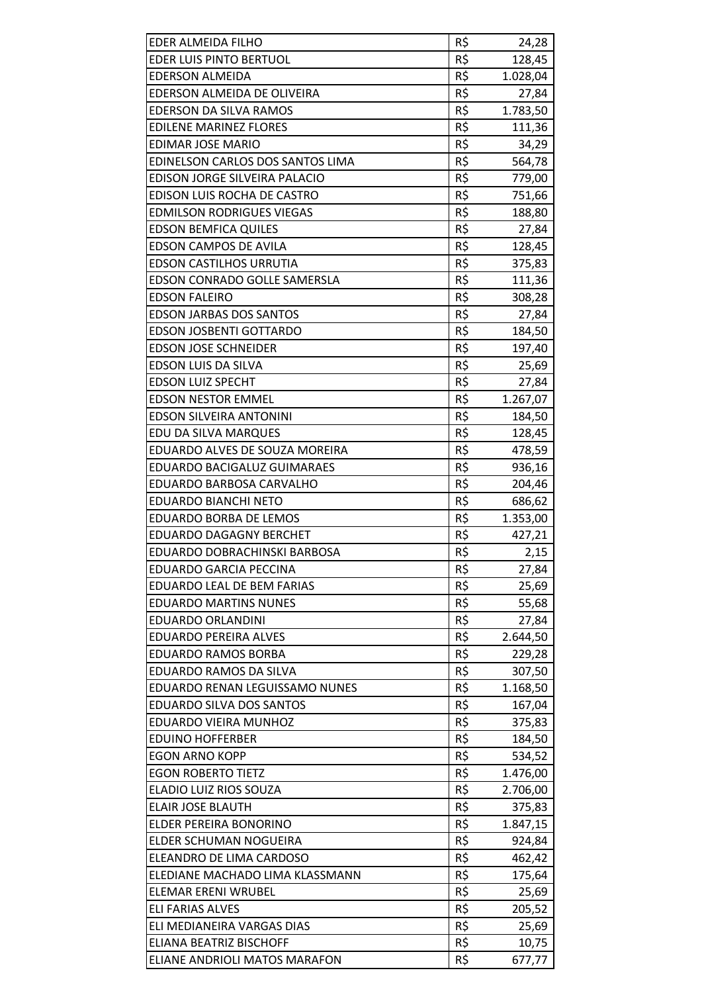| EDER ALMEIDA FILHO               | R\$ | 24,28    |
|----------------------------------|-----|----------|
| EDER LUIS PINTO BERTUOL          | R\$ | 128,45   |
| <b>EDERSON ALMEIDA</b>           | R\$ | 1.028,04 |
| EDERSON ALMEIDA DE OLIVEIRA      | R\$ | 27,84    |
| EDERSON DA SILVA RAMOS           | R\$ | 1.783,50 |
| <b>EDILENE MARINEZ FLORES</b>    | R\$ | 111,36   |
| <b>EDIMAR JOSE MARIO</b>         | R\$ | 34,29    |
| EDINELSON CARLOS DOS SANTOS LIMA | R\$ | 564,78   |
| EDISON JORGE SILVEIRA PALACIO    | R\$ | 779,00   |
| EDISON LUIS ROCHA DE CASTRO      | R\$ | 751,66   |
| <b>EDMILSON RODRIGUES VIEGAS</b> | R\$ | 188,80   |
| <b>EDSON BEMFICA QUILES</b>      | R\$ | 27,84    |
| <b>EDSON CAMPOS DE AVILA</b>     | R\$ | 128,45   |
| <b>EDSON CASTILHOS URRUTIA</b>   | R\$ | 375,83   |
| EDSON CONRADO GOLLE SAMERSLA     | R\$ | 111,36   |
| <b>EDSON FALEIRO</b>             | R\$ | 308,28   |
| <b>EDSON JARBAS DOS SANTOS</b>   | R\$ | 27,84    |
| <b>EDSON JOSBENTI GOTTARDO</b>   | R\$ | 184,50   |
| <b>EDSON JOSE SCHNEIDER</b>      | R\$ | 197,40   |
| EDSON LUIS DA SILVA              | R\$ | 25,69    |
| <b>EDSON LUIZ SPECHT</b>         | R\$ | 27,84    |
| <b>EDSON NESTOR EMMEL</b>        | R\$ | 1.267,07 |
| <b>EDSON SILVEIRA ANTONINI</b>   | R\$ | 184,50   |
| EDU DA SILVA MARQUES             | R\$ | 128,45   |
| EDUARDO ALVES DE SOUZA MOREIRA   | R\$ | 478,59   |
| EDUARDO BACIGALUZ GUIMARAES      | R\$ | 936,16   |
| EDUARDO BARBOSA CARVALHO         | R\$ | 204,46   |
| <b>EDUARDO BIANCHI NETO</b>      | R\$ | 686,62   |
| EDUARDO BORBA DE LEMOS           | R\$ | 1.353,00 |
| <b>EDUARDO DAGAGNY BERCHET</b>   | R\$ | 427,21   |
| EDUARDO DOBRACHINSKI BARBOSA     | R\$ | 2,15     |
| <b>EDUARDO GARCIA PECCINA</b>    | R\$ | 27,84    |
| EDUARDO LEAL DE BEM FARIAS       | R\$ | 25,69    |
| <b>EDUARDO MARTINS NUNES</b>     | R\$ | 55,68    |
| <b>EDUARDO ORLANDINI</b>         | R\$ | 27,84    |
| EDUARDO PEREIRA ALVES            | R\$ | 2.644,50 |
| <b>EDUARDO RAMOS BORBA</b>       | R\$ | 229,28   |
| EDUARDO RAMOS DA SILVA           | R\$ | 307,50   |
| EDUARDO RENAN LEGUISSAMO NUNES   | R\$ | 1.168,50 |
| EDUARDO SILVA DOS SANTOS         | R\$ | 167,04   |
| EDUARDO VIEIRA MUNHOZ            | R\$ | 375,83   |
| <b>EDUINO HOFFERBER</b>          | R\$ | 184,50   |
| <b>EGON ARNO KOPP</b>            | R\$ | 534,52   |
| <b>EGON ROBERTO TIETZ</b>        | R\$ | 1.476,00 |
| ELADIO LUIZ RIOS SOUZA           | R\$ | 2.706,00 |
| <b>ELAIR JOSE BLAUTH</b>         | R\$ | 375,83   |
| ELDER PEREIRA BONORINO           | R\$ | 1.847,15 |
| ELDER SCHUMAN NOGUEIRA           | R\$ | 924,84   |
| ELEANDRO DE LIMA CARDOSO         | R\$ | 462,42   |
| ELEDIANE MACHADO LIMA KLASSMANN  | R\$ | 175,64   |
| ELEMAR ERENI WRUBEL              | R\$ | 25,69    |
| <b>ELI FARIAS ALVES</b>          | R\$ | 205,52   |
| ELI MEDIANEIRA VARGAS DIAS       | R\$ | 25,69    |
| <b>ELIANA BEATRIZ BISCHOFF</b>   | R\$ | 10,75    |
| ELIANE ANDRIOLI MATOS MARAFON    | R\$ | 677,77   |
|                                  |     |          |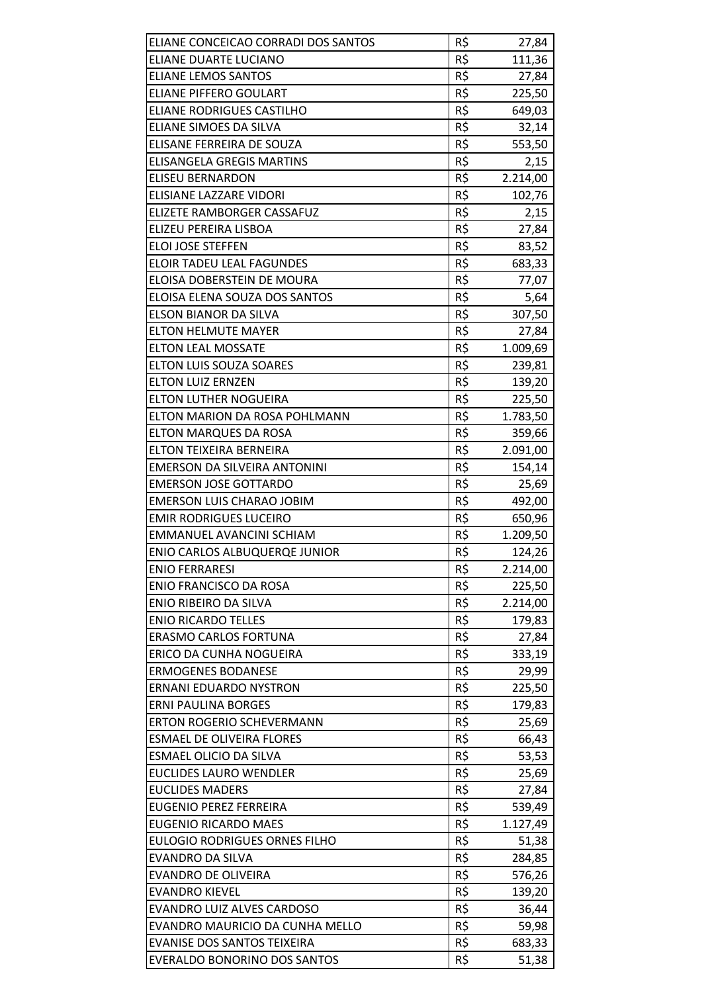| ELIANE CONCEICAO CORRADI DOS SANTOS  | R\$ | 27,84    |
|--------------------------------------|-----|----------|
| ELIANE DUARTE LUCIANO                | R\$ | 111,36   |
| <b>ELIANE LEMOS SANTOS</b>           | R\$ | 27,84    |
| <b>ELIANE PIFFERO GOULART</b>        | R\$ | 225,50   |
| <b>ELIANE RODRIGUES CASTILHO</b>     | R\$ | 649,03   |
| ELIANE SIMOES DA SILVA               | R\$ | 32,14    |
| ELISANE FERREIRA DE SOUZA            | R\$ | 553,50   |
| <b>ELISANGELA GREGIS MARTINS</b>     | R\$ | 2,15     |
| <b>ELISEU BERNARDON</b>              | R\$ | 2.214,00 |
| ELISIANE LAZZARE VIDORI              | R\$ | 102,76   |
| ELIZETE RAMBORGER CASSAFUZ           | R\$ | 2,15     |
| ELIZEU PEREIRA LISBOA                | R\$ | 27,84    |
| <b>ELOI JOSE STEFFEN</b>             | R\$ | 83,52    |
| <b>ELOIR TADEU LEAL FAGUNDES</b>     | R\$ | 683,33   |
| ELOISA DOBERSTEIN DE MOURA           | R\$ | 77,07    |
| ELOISA ELENA SOUZA DOS SANTOS        | R\$ | 5,64     |
| ELSON BIANOR DA SILVA                | R\$ | 307,50   |
| <b>ELTON HELMUTE MAYER</b>           | R\$ | 27,84    |
| <b>ELTON LEAL MOSSATE</b>            | R\$ | 1.009,69 |
| <b>ELTON LUIS SOUZA SOARES</b>       | R\$ | 239,81   |
| <b>ELTON LUIZ ERNZEN</b>             | R\$ | 139,20   |
| ELTON LUTHER NOGUEIRA                | R\$ | 225,50   |
| ELTON MARION DA ROSA POHLMANN        | R\$ | 1.783,50 |
| <b>ELTON MARQUES DA ROSA</b>         | R\$ | 359,66   |
| ELTON TEIXEIRA BERNEIRA              | R\$ | 2.091,00 |
| EMERSON DA SILVEIRA ANTONINI         | R\$ | 154,14   |
| <b>EMERSON JOSE GOTTARDO</b>         | R\$ | 25,69    |
| <b>EMERSON LUIS CHARAO JOBIM</b>     | R\$ | 492,00   |
| <b>EMIR RODRIGUES LUCEIRO</b>        | R\$ | 650,96   |
| EMMANUEL AVANCINI SCHIAM             | R\$ | 1.209,50 |
| ENIO CARLOS ALBUQUERQE JUNIOR        | R\$ | 124,26   |
| <b>ENIO FERRARESI</b>                | R\$ | 2.214,00 |
| <b>ENIO FRANCISCO DA ROSA</b>        | R\$ | 225,50   |
| <b>ENIO RIBEIRO DA SILVA</b>         | R\$ | 2.214,00 |
| <b>ENIO RICARDO TELLES</b>           | R\$ | 179,83   |
| <b>ERASMO CARLOS FORTUNA</b>         | R\$ | 27,84    |
| ERICO DA CUNHA NOGUEIRA              | R\$ | 333,19   |
| <b>ERMOGENES BODANESE</b>            | R\$ | 29,99    |
| <b>ERNANI EDUARDO NYSTRON</b>        | R\$ | 225,50   |
| <b>ERNI PAULINA BORGES</b>           | R\$ | 179,83   |
| <b>ERTON ROGERIO SCHEVERMANN</b>     | R\$ | 25,69    |
| <b>ESMAEL DE OLIVEIRA FLORES</b>     | R\$ | 66,43    |
| ESMAEL OLICIO DA SILVA               | R\$ | 53,53    |
| <b>EUCLIDES LAURO WENDLER</b>        | R\$ | 25,69    |
| <b>EUCLIDES MADERS</b>               | R\$ | 27,84    |
| <b>EUGENIO PEREZ FERREIRA</b>        | R\$ | 539,49   |
| <b>EUGENIO RICARDO MAES</b>          | R\$ | 1.127,49 |
| <b>EULOGIO RODRIGUES ORNES FILHO</b> | R\$ | 51,38    |
| <b>EVANDRO DA SILVA</b>              | R\$ | 284,85   |
| <b>EVANDRO DE OLIVEIRA</b>           | R\$ | 576,26   |
| <b>EVANDRO KIEVEL</b>                | R\$ | 139,20   |
| EVANDRO LUIZ ALVES CARDOSO           | R\$ | 36,44    |
| EVANDRO MAURICIO DA CUNHA MELLO      | R\$ | 59,98    |
| <b>EVANISE DOS SANTOS TEIXEIRA</b>   | R\$ | 683,33   |
| EVERALDO BONORINO DOS SANTOS         | R\$ | 51,38    |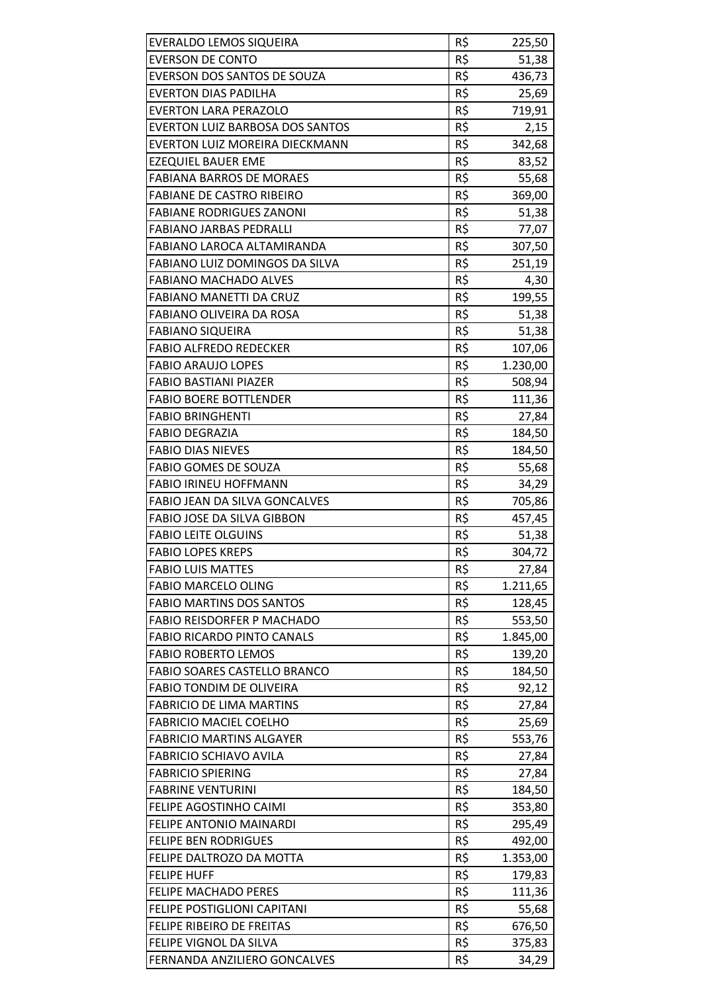| EVERALDO LEMOS SIQUEIRA                | R\$ | 225,50   |
|----------------------------------------|-----|----------|
| <b>EVERSON DE CONTO</b>                | R\$ | 51,38    |
| EVERSON DOS SANTOS DE SOUZA            | R\$ | 436,73   |
| <b>EVERTON DIAS PADILHA</b>            | R\$ | 25,69    |
| <b>EVERTON LARA PERAZOLO</b>           | R\$ | 719,91   |
| <b>EVERTON LUIZ BARBOSA DOS SANTOS</b> | R\$ | 2,15     |
| EVERTON LUIZ MOREIRA DIECKMANN         | R\$ | 342,68   |
| <b>EZEQUIEL BAUER EME</b>              | R\$ | 83,52    |
| <b>FABIANA BARROS DE MORAES</b>        | R\$ | 55,68    |
| <b>FABIANE DE CASTRO RIBEIRO</b>       | R\$ | 369,00   |
| <b>FABIANE RODRIGUES ZANONI</b>        | R\$ | 51,38    |
| <b>FABIANO JARBAS PEDRALLI</b>         | R\$ | 77,07    |
| FABIANO LAROCA ALTAMIRANDA             | R\$ | 307,50   |
| FABIANO LUIZ DOMINGOS DA SILVA         | R\$ | 251,19   |
| <b>FABIANO MACHADO ALVES</b>           | R\$ | 4,30     |
| FABIANO MANETTI DA CRUZ                | R\$ | 199,55   |
| FABIANO OLIVEIRA DA ROSA               | R\$ | 51,38    |
| <b>FABIANO SIQUEIRA</b>                | R\$ | 51,38    |
| <b>FABIO ALFREDO REDECKER</b>          | R\$ | 107,06   |
| <b>FABIO ARAUJO LOPES</b>              | R\$ | 1.230,00 |
| <b>FABIO BASTIANI PIAZER</b>           | R\$ | 508,94   |
| <b>FABIO BOERE BOTTLENDER</b>          | R\$ | 111,36   |
| <b>FABIO BRINGHENTI</b>                | R\$ | 27,84    |
| <b>FABIO DEGRAZIA</b>                  | R\$ | 184,50   |
| <b>FABIO DIAS NIEVES</b>               | R\$ | 184,50   |
| <b>FABIO GOMES DE SOUZA</b>            | R\$ | 55,68    |
| <b>FABIO IRINEU HOFFMANN</b>           | R\$ | 34,29    |
| FABIO JEAN DA SILVA GONCALVES          | R\$ | 705,86   |
| FABIO JOSE DA SILVA GIBBON             | R\$ | 457,45   |
| <b>FABIO LEITE OLGUINS</b>             | R\$ | 51,38    |
| <b>FABIO LOPES KREPS</b>               | R\$ | 304,72   |
| <b>FABIO LUIS MATTES</b>               | R\$ | 27,84    |
| <b>FABIO MARCELO OLING</b>             | R\$ | 1.211,65 |
| <b>FABIO MARTINS DOS SANTOS</b>        | R\$ | 128,45   |
| FABIO REISDORFER P MACHADO             | R\$ | 553,50   |
| <b>FABIO RICARDO PINTO CANALS</b>      | R\$ | 1.845,00 |
| <b>FABIO ROBERTO LEMOS</b>             | R\$ | 139,20   |
| FABIO SOARES CASTELLO BRANCO           | R\$ | 184,50   |
| <b>FABIO TONDIM DE OLIVEIRA</b>        | R\$ | 92,12    |
| <b>FABRICIO DE LIMA MARTINS</b>        | R\$ | 27,84    |
| <b>FABRICIO MACIEL COELHO</b>          | R\$ | 25,69    |
| <b>FABRICIO MARTINS ALGAYER</b>        | R\$ | 553,76   |
| <b>FABRICIO SCHIAVO AVILA</b>          | R\$ | 27,84    |
| <b>FABRICIO SPIERING</b>               | R\$ | 27,84    |
| <b>FABRINE VENTURINI</b>               | R\$ | 184,50   |
| FELIPE AGOSTINHO CAIMI                 | R\$ | 353,80   |
| FELIPE ANTONIO MAINARDI                | R\$ | 295,49   |
| <b>FELIPE BEN RODRIGUES</b>            | R\$ | 492,00   |
| FELIPE DALTROZO DA MOTTA               | R\$ | 1.353,00 |
| <b>FELIPE HUFF</b>                     | R\$ | 179,83   |
| <b>FELIPE MACHADO PERES</b>            | R\$ | 111,36   |
| FELIPE POSTIGLIONI CAPITANI            | R\$ | 55,68    |
| FELIPE RIBEIRO DE FREITAS              | R\$ | 676,50   |
| FELIPE VIGNOL DA SILVA                 | R\$ | 375,83   |
| FERNANDA ANZILIERO GONCALVES           | R\$ | 34,29    |
|                                        |     |          |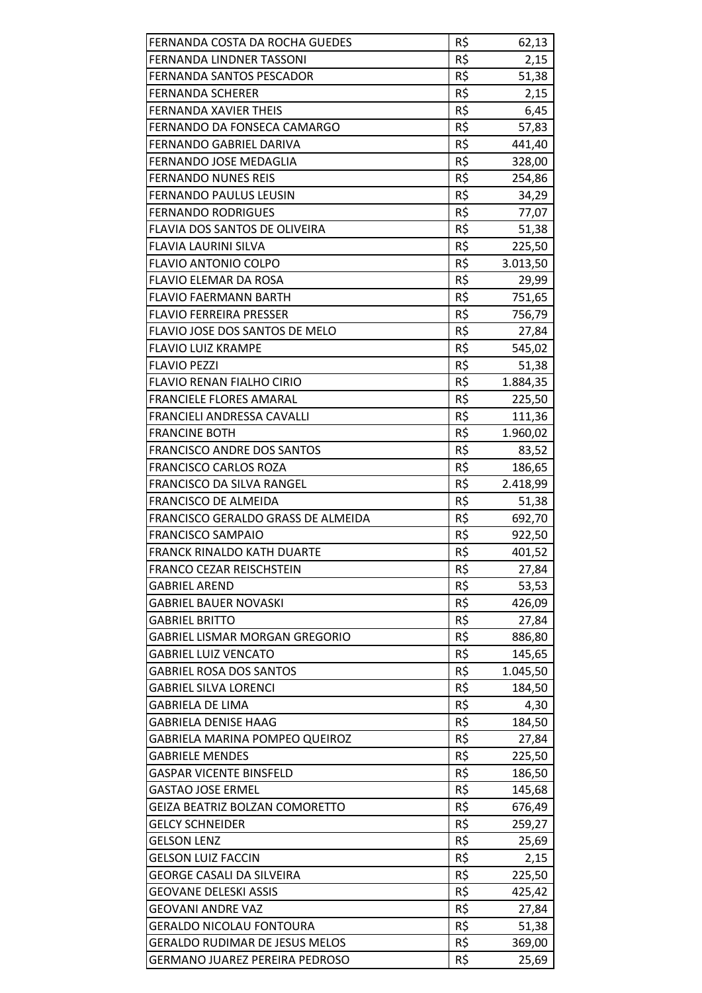| FERNANDA COSTA DA ROCHA GUEDES        | R\$ | 62,13    |
|---------------------------------------|-----|----------|
| <b>FERNANDA LINDNER TASSONI</b>       | R\$ | 2,15     |
| FERNANDA SANTOS PESCADOR              | R\$ | 51,38    |
| <b>FERNANDA SCHERER</b>               | R\$ | 2,15     |
| <b>FERNANDA XAVIER THEIS</b>          | R\$ | 6,45     |
| FERNANDO DA FONSECA CAMARGO           | R\$ | 57,83    |
| FERNANDO GABRIEL DARIVA               | R\$ | 441,40   |
| FERNANDO JOSE MEDAGLIA                | R\$ | 328,00   |
| <b>FERNANDO NUNES REIS</b>            | R\$ | 254,86   |
| FERNANDO PAULUS LEUSIN                | R\$ | 34,29    |
| <b>FERNANDO RODRIGUES</b>             | R\$ | 77,07    |
| FLAVIA DOS SANTOS DE OLIVEIRA         | R\$ | 51,38    |
| <b>FLAVIA LAURINI SILVA</b>           | R\$ | 225,50   |
| <b>FLAVIO ANTONIO COLPO</b>           | R\$ | 3.013,50 |
| FLAVIO ELEMAR DA ROSA                 | R\$ | 29,99    |
| <b>FLAVIO FAERMANN BARTH</b>          | R\$ | 751,65   |
| <b>FLAVIO FERREIRA PRESSER</b>        | R\$ | 756,79   |
| FLAVIO JOSE DOS SANTOS DE MELO        | R\$ | 27,84    |
| <b>FLAVIO LUIZ KRAMPE</b>             | R\$ | 545,02   |
| <b>FLAVIO PEZZI</b>                   | R\$ | 51,38    |
| <b>FLAVIO RENAN FIALHO CIRIO</b>      | R\$ | 1.884,35 |
| <b>FRANCIELE FLORES AMARAL</b>        | R\$ | 225,50   |
| FRANCIELI ANDRESSA CAVALLI            | R\$ | 111,36   |
| <b>FRANCINE BOTH</b>                  | R\$ | 1.960,02 |
| <b>FRANCISCO ANDRE DOS SANTOS</b>     | R\$ | 83,52    |
| <b>FRANCISCO CARLOS ROZA</b>          | R\$ | 186,65   |
| FRANCISCO DA SILVA RANGEL             | R\$ | 2.418,99 |
| <b>FRANCISCO DE ALMEIDA</b>           | R\$ | 51,38    |
| FRANCISCO GERALDO GRASS DE ALMEIDA    | R\$ | 692,70   |
| <b>FRANCISCO SAMPAIO</b>              | R\$ | 922,50   |
| <b>FRANCK RINALDO KATH DUARTE</b>     | R\$ | 401,52   |
| FRANCO CEZAR REISCHSTEIN              | R\$ | 27,84    |
| <b>GABRIEL AREND</b>                  | R\$ | 53,53    |
| GABRIEL BAUER NOVASKI                 | R\$ | 426,09   |
| <b>GABRIEL BRITTO</b>                 | R\$ | 27,84    |
| <b>GABRIEL LISMAR MORGAN GREGORIO</b> | R\$ | 886,80   |
| <b>GABRIEL LUIZ VENCATO</b>           | R\$ | 145,65   |
| <b>GABRIEL ROSA DOS SANTOS</b>        | R\$ | 1.045,50 |
| <b>GABRIEL SILVA LORENCI</b>          | R\$ | 184,50   |
| <b>GABRIELA DE LIMA</b>               | R\$ | 4,30     |
| <b>GABRIELA DENISE HAAG</b>           | R\$ | 184,50   |
| GABRIELA MARINA POMPEO QUEIROZ        | R\$ | 27,84    |
| <b>GABRIELE MENDES</b>                | R\$ | 225,50   |
| <b>GASPAR VICENTE BINSFELD</b>        | R\$ | 186,50   |
| <b>GASTAO JOSE ERMEL</b>              | R\$ | 145,68   |
| GEIZA BEATRIZ BOLZAN COMORETTO        | R\$ | 676,49   |
| <b>GELCY SCHNEIDER</b>                | R\$ | 259,27   |
| <b>GELSON LENZ</b>                    | R\$ | 25,69    |
| <b>GELSON LUIZ FACCIN</b>             | R\$ | 2,15     |
| <b>GEORGE CASALI DA SILVEIRA</b>      | R\$ | 225,50   |
| <b>GEOVANE DELESKI ASSIS</b>          | R\$ | 425,42   |
| <b>GEOVANI ANDRE VAZ</b>              | R\$ | 27,84    |
| <b>GERALDO NICOLAU FONTOURA</b>       | R\$ | 51,38    |
| <b>GERALDO RUDIMAR DE JESUS MELOS</b> | R\$ | 369,00   |
| <b>GERMANO JUAREZ PEREIRA PEDROSO</b> | R\$ | 25,69    |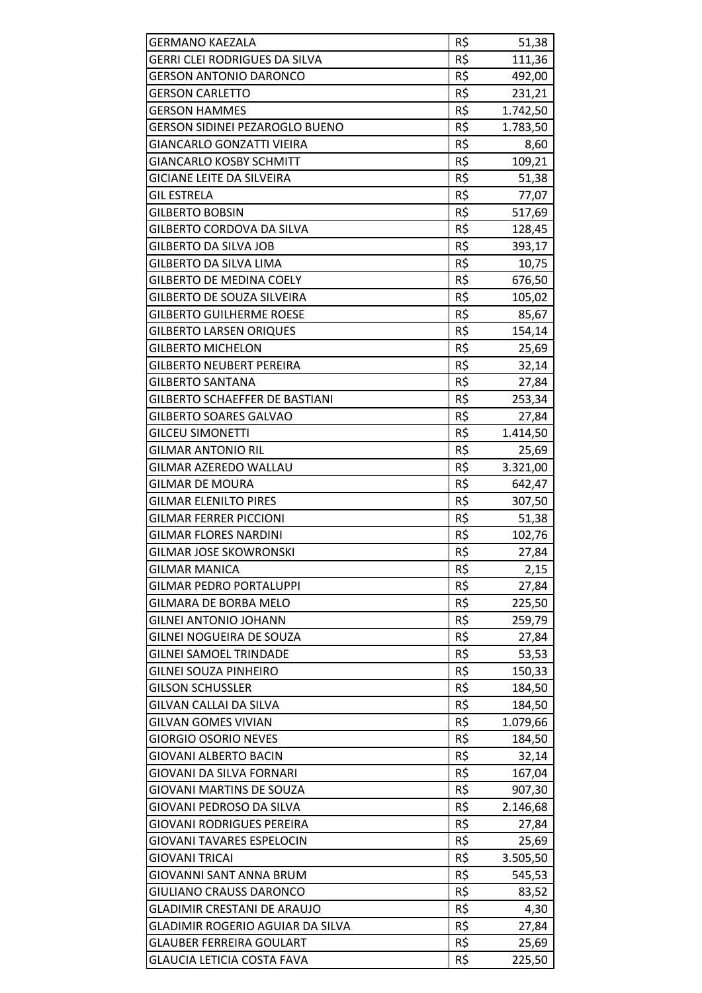| <b>GERMANO KAEZALA</b>                | R\$ | 51,38    |
|---------------------------------------|-----|----------|
| GERRI CLEI RODRIGUES DA SILVA         | R\$ | 111,36   |
| <b>GERSON ANTONIO DARONCO</b>         | R\$ | 492,00   |
| <b>GERSON CARLETTO</b>                | R\$ | 231,21   |
| <b>GERSON HAMMES</b>                  | R\$ | 1.742,50 |
| <b>GERSON SIDINEI PEZAROGLO BUENO</b> | R\$ | 1.783,50 |
| GIANCARLO GONZATTI VIEIRA             | R\$ | 8,60     |
| <b>GIANCARLO KOSBY SCHMITT</b>        | R\$ | 109,21   |
| GICIANE LEITE DA SILVEIRA             | R\$ | 51,38    |
| <b>GIL ESTRELA</b>                    | R\$ | 77,07    |
| <b>GILBERTO BOBSIN</b>                | R\$ | 517,69   |
| GILBERTO CORDOVA DA SILVA             | R\$ | 128,45   |
| <b>GILBERTO DA SILVA JOB</b>          | R\$ | 393,17   |
| GILBERTO DA SILVA LIMA                | R\$ | 10,75    |
| <b>GILBERTO DE MEDINA COELY</b>       | R\$ | 676,50   |
| <b>GILBERTO DE SOUZA SILVEIRA</b>     | R\$ | 105,02   |
| <b>GILBERTO GUILHERME ROESE</b>       | R\$ | 85,67    |
| <b>GILBERTO LARSEN ORIQUES</b>        | R\$ | 154,14   |
| <b>GILBERTO MICHELON</b>              | R\$ | 25,69    |
| <b>GILBERTO NEUBERT PEREIRA</b>       | R\$ | 32,14    |
| <b>GILBERTO SANTANA</b>               | R\$ | 27,84    |
| <b>GILBERTO SCHAEFFER DE BASTIANI</b> | R\$ | 253,34   |
| <b>GILBERTO SOARES GALVAO</b>         | R\$ | 27,84    |
| <b>GILCEU SIMONETTI</b>               | R\$ | 1.414,50 |
| <b>GILMAR ANTONIO RIL</b>             | R\$ | 25,69    |
| <b>GILMAR AZEREDO WALLAU</b>          | R\$ | 3.321,00 |
| <b>GILMAR DE MOURA</b>                | R\$ | 642,47   |
| <b>GILMAR ELENILTO PIRES</b>          | R\$ | 307,50   |
| <b>GILMAR FERRER PICCIONI</b>         | R\$ | 51,38    |
| <b>GILMAR FLORES NARDINI</b>          | R\$ | 102,76   |
| <b>GILMAR JOSE SKOWRONSKI</b>         | R\$ | 27,84    |
| <b>GILMAR MANICA</b>                  | R\$ | 2,15     |
| <b>GILMAR PEDRO PORTALUPPI</b>        | R\$ | 27,84    |
| GILMARA DE BORBA MELO                 | R\$ | 225,50   |
| <b>GILNEI ANTONIO JOHANN</b>          | R\$ | 259,79   |
| GILNEI NOGUEIRA DE SOUZA              | R\$ | 27,84    |
| <b>GILNEI SAMOEL TRINDADE</b>         | R\$ | 53,53    |
| <b>GILNEI SOUZA PINHEIRO</b>          | R\$ | 150,33   |
| <b>GILSON SCHUSSLER</b>               | R\$ | 184,50   |
| GILVAN CALLAI DA SILVA                | R\$ | 184,50   |
| <b>GILVAN GOMES VIVIAN</b>            | R\$ | 1.079,66 |
| <b>GIORGIO OSORIO NEVES</b>           | R\$ | 184,50   |
| <b>GIOVANI ALBERTO BACIN</b>          | R\$ | 32,14    |
| GIOVANI DA SILVA FORNARI              | R\$ | 167,04   |
| <b>GIOVANI MARTINS DE SOUZA</b>       | R\$ | 907,30   |
| GIOVANI PEDROSO DA SILVA              | R\$ | 2.146,68 |
| <b>GIOVANI RODRIGUES PEREIRA</b>      | R\$ | 27,84    |
| <b>GIOVANI TAVARES ESPELOCIN</b>      | R\$ | 25,69    |
| GIOVANI TRICAI                        | R\$ | 3.505,50 |
| GIOVANNI SANT ANNA BRUM               | R\$ | 545,53   |
| GIULIANO CRAUSS DARONCO               | R\$ | 83,52    |
| <b>GLADIMIR CRESTANI DE ARAUJO</b>    | R\$ | 4,30     |
| GLADIMIR ROGERIO AGUIAR DA SILVA      | R\$ | 27,84    |
| <b>GLAUBER FERREIRA GOULART</b>       | R\$ | 25,69    |
| <b>GLAUCIA LETICIA COSTA FAVA</b>     | R\$ | 225,50   |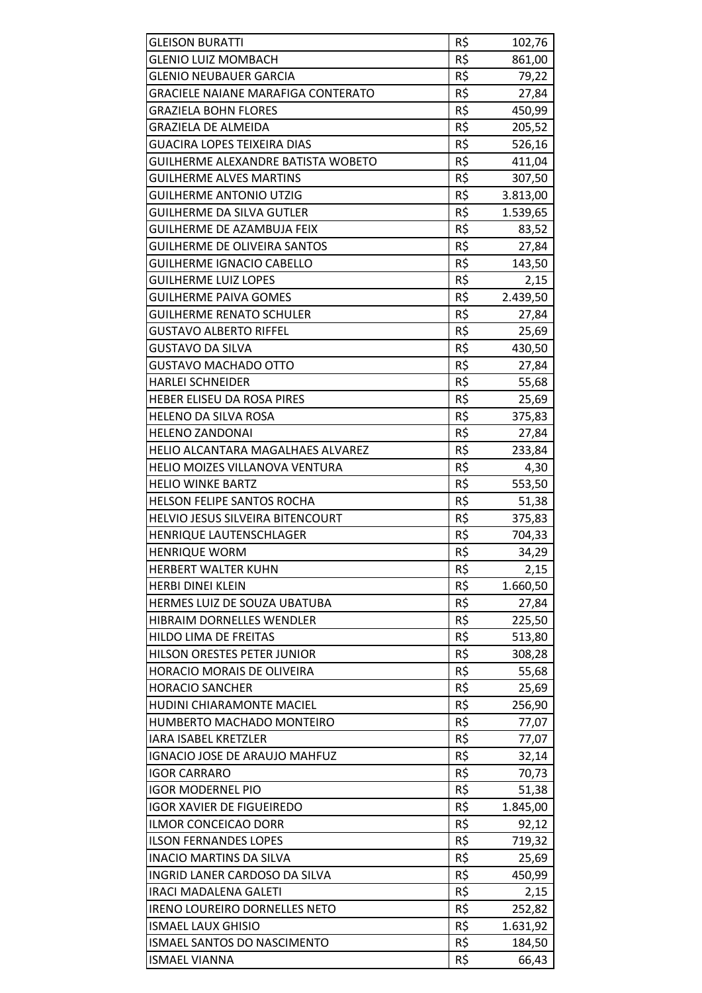| <b>GLEISON BURATTI</b>                    | R\$             | 102,76         |
|-------------------------------------------|-----------------|----------------|
| <b>GLENIO LUIZ MOMBACH</b>                | R\$             | 861,00         |
| <b>GLENIO NEUBAUER GARCIA</b>             | R\$             | 79,22          |
| <b>GRACIELE NAIANE MARAFIGA CONTERATO</b> | R\$             | 27,84          |
| <b>GRAZIELA BOHN FLORES</b>               | R\$             | 450,99         |
| <b>GRAZIELA DE ALMEIDA</b>                | R\$             | 205,52         |
| <b>GUACIRA LOPES TEIXEIRA DIAS</b>        | R\$             | 526,16         |
| GUILHERME ALEXANDRE BATISTA WOBETO        | R\$             | 411,04         |
| <b>GUILHERME ALVES MARTINS</b>            | R\$             | 307,50         |
| <b>GUILHERME ANTONIO UTZIG</b>            | R\$             | 3.813,00       |
| <b>GUILHERME DA SILVA GUTLER</b>          | R\$             | 1.539,65       |
| GUILHERME DE AZAMBUJA FEIX                | R\$             | 83,52          |
| <b>GUILHERME DE OLIVEIRA SANTOS</b>       | R\$             | 27,84          |
| <b>GUILHERME IGNACIO CABELLO</b>          | R\$             | 143,50         |
| <b>GUILHERME LUIZ LOPES</b>               | R\$             | 2,15           |
| <b>GUILHERME PAIVA GOMES</b>              | R\$             | 2.439,50       |
| <b>GUILHERME RENATO SCHULER</b>           | R\$             | 27,84          |
| <b>GUSTAVO ALBERTO RIFFEL</b>             | $R\overline{5}$ | 25,69          |
| <b>GUSTAVO DA SILVA</b>                   | R\$             | 430,50         |
| <b>GUSTAVO MACHADO OTTO</b>               | R\$             |                |
| <b>HARLEI SCHNEIDER</b>                   | R\$             | 27,84<br>55,68 |
|                                           | R\$             |                |
| HEBER ELISEU DA ROSA PIRES                | R\$             | 25,69          |
| HELENO DA SILVA ROSA                      |                 | 375,83         |
| <b>HELENO ZANDONAI</b>                    | R\$             | 27,84          |
| HELIO ALCANTARA MAGALHAES ALVAREZ         | R\$             | 233,84         |
| HELIO MOIZES VILLANOVA VENTURA            | R\$             | 4,30           |
| <b>HELIO WINKE BARTZ</b>                  | R\$             | 553,50         |
| <b>HELSON FELIPE SANTOS ROCHA</b>         | R\$             | 51,38          |
| HELVIO JESUS SILVEIRA BITENCOURT          | R\$             | 375,83         |
| HENRIQUE LAUTENSCHLAGER                   | R\$             | 704,33         |
| <b>HENRIQUE WORM</b>                      | R\$             | 34,29          |
| HERBERT WALTER KUHN                       | R\$             | 2,15           |
| <b>HERBI DINEI KLEIN</b>                  | R\$             | 1.660,50       |
| <b>HERMES LUIZ DE SOUZA UBATUBA</b>       | R\$             | 27,84          |
| HIBRAIM DORNELLES WENDLER                 | R\$             | 225,50         |
| HILDO LIMA DE FREITAS                     | R\$             | 513,80         |
| HILSON ORESTES PETER JUNIOR               | R\$             | 308,28         |
| HORACIO MORAIS DE OLIVEIRA                | R\$             | 55,68          |
| <b>HORACIO SANCHER</b>                    | R\$             | 25,69          |
| HUDINI CHIARAMONTE MACIEL                 | R\$             | 256,90         |
| HUMBERTO MACHADO MONTEIRO                 | R\$             | 77,07          |
| <b>IARA ISABEL KRETZLER</b>               | R\$             | 77,07          |
| IGNACIO JOSE DE ARAUJO MAHFUZ             | R\$             | 32,14          |
| <b>IGOR CARRARO</b>                       | R\$             | 70,73          |
| <b>IGOR MODERNEL PIO</b>                  | R\$             | 51,38          |
| <b>IGOR XAVIER DE FIGUEIREDO</b>          | R\$             | 1.845,00       |
| <b>ILMOR CONCEICAO DORR</b>               | R\$             | 92,12          |
| <b>ILSON FERNANDES LOPES</b>              | R\$             | 719,32         |
| <b>INACIO MARTINS DA SILVA</b>            | R\$             | 25,69          |
| INGRID LANER CARDOSO DA SILVA             | R\$             | 450,99         |
| <b>IRACI MADALENA GALETI</b>              | R\$             | 2,15           |
| <b>IRENO LOUREIRO DORNELLES NETO</b>      | R\$             | 252,82         |
| <b>ISMAEL LAUX GHISIO</b>                 | R\$             | 1.631,92       |
| ISMAEL SANTOS DO NASCIMENTO               | R\$             | 184,50         |
| <b>ISMAEL VIANNA</b>                      | R\$             | 66,43          |
|                                           |                 |                |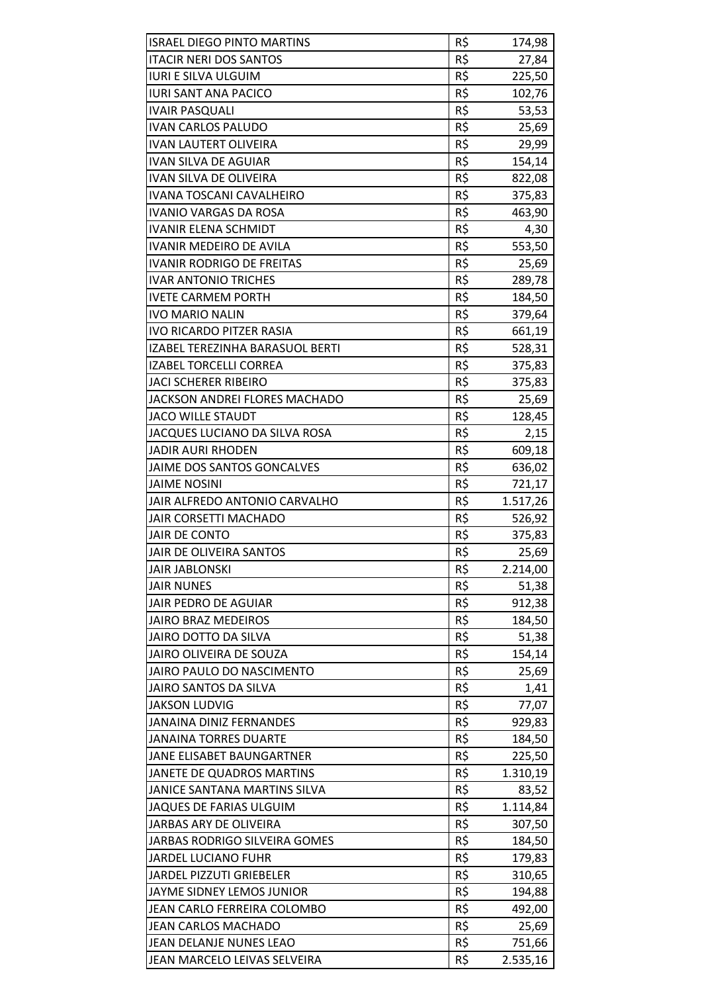| <b>ISRAEL DIEGO PINTO MARTINS</b> | R\$ | 174,98   |
|-----------------------------------|-----|----------|
| <b>ITACIR NERI DOS SANTOS</b>     | R\$ | 27,84    |
| <b>IURI E SILVA ULGUIM</b>        | R\$ | 225,50   |
| <b>IURI SANT ANA PACICO</b>       | R\$ | 102,76   |
| <b>IVAIR PASQUALI</b>             | R\$ | 53,53    |
| <b>IVAN CARLOS PALUDO</b>         | R\$ | 25,69    |
| <b>IVAN LAUTERT OLIVEIRA</b>      | R\$ | 29,99    |
| <b>IVAN SILVA DE AGUIAR</b>       | R\$ | 154,14   |
| IVAN SILVA DE OLIVEIRA            | R\$ | 822,08   |
| <b>IVANA TOSCANI CAVALHEIRO</b>   | R\$ | 375,83   |
| <b>IVANIO VARGAS DA ROSA</b>      | R\$ | 463,90   |
| <b>IVANIR ELENA SCHMIDT</b>       | R\$ | 4,30     |
| <b>IVANIR MEDEIRO DE AVILA</b>    | R\$ | 553,50   |
| <b>IVANIR RODRIGO DE FREITAS</b>  | R\$ | 25,69    |
| <b>IVAR ANTONIO TRICHES</b>       | R\$ | 289,78   |
| <b>IVETE CARMEM PORTH</b>         | R\$ | 184,50   |
| <b>IVO MARIO NALIN</b>            | R\$ | 379,64   |
| <b>IVO RICARDO PITZER RASIA</b>   | R\$ | 661,19   |
| IZABEL TEREZINHA BARASUOL BERTI   | R\$ | 528,31   |
| <b>IZABEL TORCELLI CORREA</b>     | R\$ | 375,83   |
| <b>JACI SCHERER RIBEIRO</b>       | R\$ | 375,83   |
| JACKSON ANDREI FLORES MACHADO     | R\$ | 25,69    |
| <b>JACO WILLE STAUDT</b>          | R\$ | 128,45   |
| JACQUES LUCIANO DA SILVA ROSA     | R\$ |          |
|                                   |     | 2,15     |
| <b>JADIR AURI RHODEN</b>          | R\$ | 609,18   |
| JAIME DOS SANTOS GONCALVES        | R\$ | 636,02   |
| <b>JAIME NOSINI</b>               | R\$ | 721,17   |
| JAIR ALFREDO ANTONIO CARVALHO     | R\$ | 1.517,26 |
| <b>JAIR CORSETTI MACHADO</b>      | R\$ | 526,92   |
| <b>JAIR DE CONTO</b>              | R\$ | 375,83   |
| JAIR DE OLIVEIRA SANTOS           | R\$ | 25,69    |
| <b>JAIR JABLONSKI</b>             | R\$ | 2.214,00 |
| <b>JAIR NUNES</b>                 | R\$ | 51,38    |
| JAIR PEDRO DE AGUIAR              | R\$ | 912,38   |
| <b>JAIRO BRAZ MEDEIROS</b>        | R\$ | 184,50   |
| <b>JAIRO DOTTO DA SILVA</b>       | R\$ | 51,38    |
| JAIRO OLIVEIRA DE SOUZA           | R\$ | 154,14   |
| JAIRO PAULO DO NASCIMENTO         | R\$ | 25,69    |
| <b>JAIRO SANTOS DA SILVA</b>      | R\$ | 1,41     |
| <b>JAKSON LUDVIG</b>              | R\$ | 77,07    |
| <b>JANAINA DINIZ FERNANDES</b>    | R\$ | 929,83   |
| <b>JANAINA TORRES DUARTE</b>      | R\$ | 184,50   |
| JANE ELISABET BAUNGARTNER         | R\$ | 225,50   |
| JANETE DE QUADROS MARTINS         | R\$ | 1.310,19 |
| JANICE SANTANA MARTINS SILVA      | R\$ | 83,52    |
| JAQUES DE FARIAS ULGUIM           | R\$ | 1.114,84 |
| JARBAS ARY DE OLIVEIRA            | R\$ | 307,50   |
| JARBAS RODRIGO SILVEIRA GOMES     | R\$ | 184,50   |
| <b>JARDEL LUCIANO FUHR</b>        | R\$ | 179,83   |
| JARDEL PIZZUTI GRIEBELER          | R\$ | 310,65   |
| JAYME SIDNEY LEMOS JUNIOR         | R\$ | 194,88   |
| JEAN CARLO FERREIRA COLOMBO       | R\$ | 492,00   |
| <b>JEAN CARLOS MACHADO</b>        | R\$ | 25,69    |
| JEAN DELANJE NUNES LEAO           | R\$ | 751,66   |
| JEAN MARCELO LEIVAS SELVEIRA      | R\$ | 2.535,16 |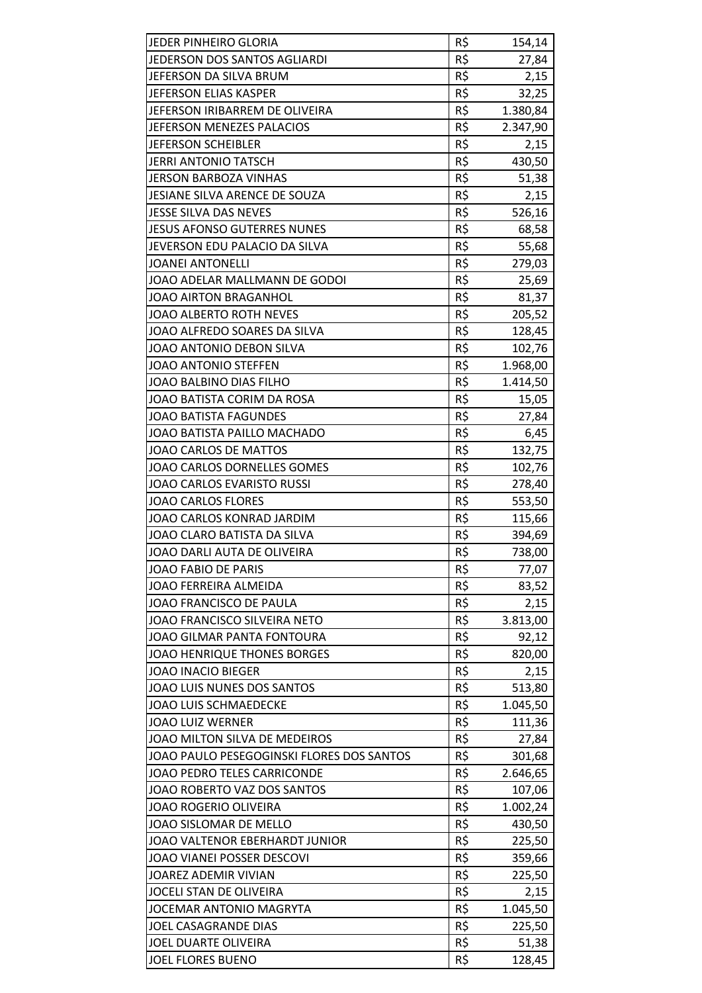| JEDER PINHEIRO GLORIA                     | R\$ | 154,14   |
|-------------------------------------------|-----|----------|
| JEDERSON DOS SANTOS AGLIARDI              | R\$ | 27,84    |
| JEFERSON DA SILVA BRUM                    | R\$ | 2,15     |
| JEFERSON ELIAS KASPER                     | R\$ | 32,25    |
| JEFERSON IRIBARREM DE OLIVEIRA            | R\$ | 1.380,84 |
| JEFERSON MENEZES PALACIOS                 | R\$ | 2.347,90 |
| JEFERSON SCHEIBLER                        | R\$ | 2,15     |
| <b>JERRI ANTONIO TATSCH</b>               | R\$ | 430,50   |
| <b>JERSON BARBOZA VINHAS</b>              | R\$ | 51,38    |
| JESIANE SILVA ARENCE DE SOUZA             | R\$ | 2,15     |
| <b>JESSE SILVA DAS NEVES</b>              | R\$ | 526,16   |
| <b>JESUS AFONSO GUTERRES NUNES</b>        | R\$ | 68,58    |
| JEVERSON EDU PALACIO DA SILVA             | R\$ | 55,68    |
| <b>JOANEI ANTONELLI</b>                   | R\$ | 279,03   |
| JOAO ADELAR MALLMANN DE GODOI             | R\$ | 25,69    |
| <b>JOAO AIRTON BRAGANHOL</b>              | R\$ | 81,37    |
| <b>JOAO ALBERTO ROTH NEVES</b>            | R\$ | 205,52   |
| JOAO ALFREDO SOARES DA SILVA              | R\$ | 128,45   |
| JOAO ANTONIO DEBON SILVA                  | R\$ | 102,76   |
| JOAO ANTONIO STEFFEN                      | R\$ | 1.968,00 |
| JOAO BALBINO DIAS FILHO                   | R\$ | 1.414,50 |
| JOAO BATISTA CORIM DA ROSA                | R\$ | 15,05    |
| <b>JOAO BATISTA FAGUNDES</b>              | R\$ | 27,84    |
| JOAO BATISTA PAILLO MACHADO               | R\$ | 6,45     |
| JOAO CARLOS DE MATTOS                     | R\$ | 132,75   |
| JOAO CARLOS DORNELLES GOMES               | R\$ | 102,76   |
| <b>JOAO CARLOS EVARISTO RUSSI</b>         | R\$ | 278,40   |
| <b>JOAO CARLOS FLORES</b>                 | R\$ | 553,50   |
| JOAO CARLOS KONRAD JARDIM                 | R\$ | 115,66   |
| JOAO CLARO BATISTA DA SILVA               | R\$ | 394,69   |
| JOAO DARLI AUTA DE OLIVEIRA               | R\$ | 738,00   |
| <b>JOAO FABIO DE PARIS</b>                | R\$ | 77,07    |
| JOAO FERREIRA ALMEIDA                     | R\$ | 83,52    |
| JOAO FRANCISCO DE PAULA                   | R\$ | 2,15     |
| JOAO FRANCISCO SILVEIRA NETO              | R\$ | 3.813,00 |
| JOAO GILMAR PANTA FONTOURA                | R\$ | 92,12    |
| <b>JOAO HENRIQUE THONES BORGES</b>        | R\$ | 820,00   |
| <b>JOAO INACIO BIEGER</b>                 | R\$ | 2,15     |
| JOAO LUIS NUNES DOS SANTOS                | R\$ | 513,80   |
| <b>JOAO LUIS SCHMAEDECKE</b>              | R\$ | 1.045,50 |
| <b>JOAO LUIZ WERNER</b>                   | R\$ | 111,36   |
| JOAO MILTON SILVA DE MEDEIROS             | R\$ | 27,84    |
| JOAO PAULO PESEGOGINSKI FLORES DOS SANTOS | R\$ | 301,68   |
| <b>JOAO PEDRO TELES CARRICONDE</b>        | R\$ | 2.646,65 |
| JOAO ROBERTO VAZ DOS SANTOS               | R\$ | 107,06   |
| <b>JOAO ROGERIO OLIVEIRA</b>              | R\$ | 1.002,24 |
| JOAO SISLOMAR DE MELLO                    | R\$ | 430,50   |
| JOAO VALTENOR EBERHARDT JUNIOR            | R\$ | 225,50   |
| JOAO VIANEI POSSER DESCOVI                | R\$ | 359,66   |
| JOAREZ ADEMIR VIVIAN                      | R\$ | 225,50   |
| JOCELI STAN DE OLIVEIRA                   | R\$ | 2,15     |
| JOCEMAR ANTONIO MAGRYTA                   | R\$ | 1.045,50 |
| JOEL CASAGRANDE DIAS                      | R\$ | 225,50   |
| JOEL DUARTE OLIVEIRA                      | R\$ | 51,38    |
| <b>JOEL FLORES BUENO</b>                  | R\$ | 128,45   |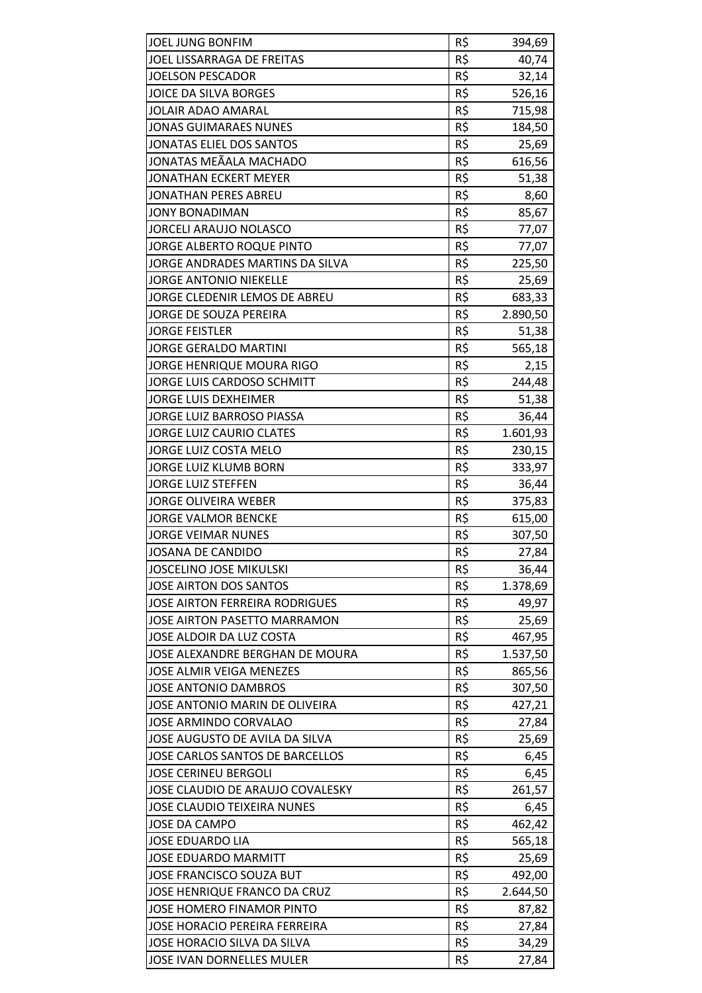| JOEL JUNG BONFIM                      | R\$ | 394,69   |
|---------------------------------------|-----|----------|
| JOEL LISSARRAGA DE FREITAS            | R\$ | 40,74    |
| <b>JOELSON PESCADOR</b>               | R\$ | 32,14    |
| JOICE DA SILVA BORGES                 | R\$ | 526,16   |
| <b>JOLAIR ADAO AMARAL</b>             | R\$ | 715,98   |
| <b>JONAS GUIMARAES NUNES</b>          | R\$ | 184,50   |
| <b>JONATAS ELIEL DOS SANTOS</b>       | R\$ | 25,69    |
| JONATAS MEÃALA MACHADO                | R\$ | 616,56   |
| <b>JONATHAN ECKERT MEYER</b>          | R\$ | 51,38    |
| <b>JONATHAN PERES ABREU</b>           | R\$ | 8,60     |
| <b>JONY BONADIMAN</b>                 | R\$ | 85,67    |
| <b>JORCELI ARAUJO NOLASCO</b>         | R\$ | 77,07    |
| JORGE ALBERTO ROQUE PINTO             | R\$ | 77,07    |
| JORGE ANDRADES MARTINS DA SILVA       | R\$ | 225,50   |
| <b>JORGE ANTONIO NIEKELLE</b>         | R\$ | 25,69    |
| JORGE CLEDENIR LEMOS DE ABREU         | R\$ | 683,33   |
| <b>JORGE DE SOUZA PEREIRA</b>         | R\$ | 2.890,50 |
| <b>JORGE FEISTLER</b>                 | R\$ | 51,38    |
| <b>JORGE GERALDO MARTINI</b>          | R\$ | 565,18   |
| JORGE HENRIQUE MOURA RIGO             | R\$ | 2,15     |
| JORGE LUIS CARDOSO SCHMITT            | R\$ | 244,48   |
| <b>JORGE LUIS DEXHEIMER</b>           | R\$ | 51,38    |
| JORGE LUIZ BARROSO PIASSA             | R\$ | 36,44    |
| <b>JORGE LUIZ CAURIO CLATES</b>       | R\$ | 1.601,93 |
| JORGE LUIZ COSTA MELO                 | R\$ | 230,15   |
| <b>JORGE LUIZ KLUMB BORN</b>          | R\$ | 333,97   |
| <b>JORGE LUIZ STEFFEN</b>             | R\$ | 36,44    |
| <b>JORGE OLIVEIRA WEBER</b>           | R\$ | 375,83   |
| <b>JORGE VALMOR BENCKE</b>            | R\$ | 615,00   |
| <b>JORGE VEIMAR NUNES</b>             | R\$ | 307,50   |
| <b>JOSANA DE CANDIDO</b>              | R\$ | 27,84    |
| <b>JOSCELINO JOSE MIKULSKI</b>        | R\$ | 36,44    |
| <b>JOSE AIRTON DOS SANTOS</b>         | R\$ | 1.378,69 |
| <b>JOSE AIRTON FERREIRA RODRIGUES</b> | R\$ | 49,97    |
| JOSE AIRTON PASETTO MARRAMON          | R\$ | 25,69    |
| JOSE ALDOIR DA LUZ COSTA              | R\$ | 467,95   |
| JOSE ALEXANDRE BERGHAN DE MOURA       | R\$ | 1.537,50 |
| <b>JOSE ALMIR VEIGA MENEZES</b>       | R\$ | 865,56   |
| <b>JOSE ANTONIO DAMBROS</b>           | R\$ | 307,50   |
| JOSE ANTONIO MARIN DE OLIVEIRA        | R\$ | 427,21   |
| <b>JOSE ARMINDO CORVALAO</b>          | R\$ | 27,84    |
| JOSE AUGUSTO DE AVILA DA SILVA        | R\$ | 25,69    |
| JOSE CARLOS SANTOS DE BARCELLOS       | R\$ | 6,45     |
| <b>JOSE CERINEU BERGOLI</b>           | R\$ | 6,45     |
| JOSE CLAUDIO DE ARAUJO COVALESKY      | R\$ | 261,57   |
| <b>JOSE CLAUDIO TEIXEIRA NUNES</b>    | R\$ | 6,45     |
| <b>JOSE DA CAMPO</b>                  | R\$ | 462,42   |
| <b>JOSE EDUARDO LIA</b>               | R\$ | 565,18   |
| <b>JOSE EDUARDO MARMITT</b>           | R\$ | 25,69    |
| JOSE FRANCISCO SOUZA BUT              | R\$ | 492,00   |
| JOSE HENRIQUE FRANCO DA CRUZ          | R\$ | 2.644,50 |
| JOSE HOMERO FINAMOR PINTO             | R\$ | 87,82    |
| JOSE HORACIO PEREIRA FERREIRA         | R\$ | 27,84    |
| JOSE HORACIO SILVA DA SILVA           | R\$ | 34,29    |
| JOSE IVAN DORNELLES MULER             | R\$ | 27,84    |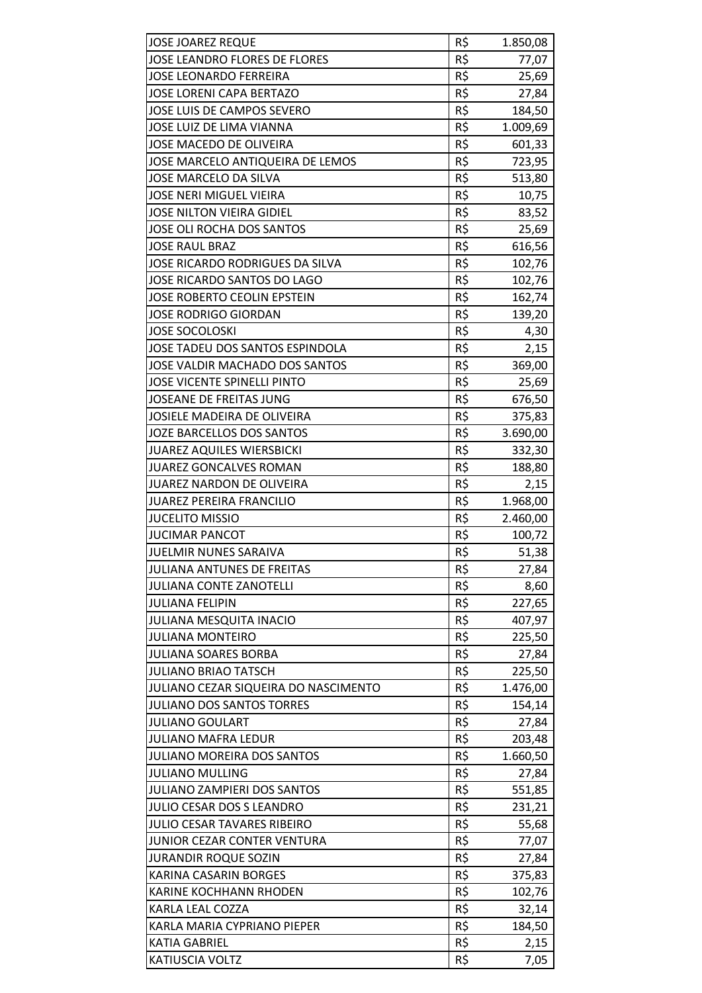| <b>JOSE JOAREZ REQUE</b>             | R\$ | 1.850,08 |
|--------------------------------------|-----|----------|
| <b>JOSE LEANDRO FLORES DE FLORES</b> | R\$ | 77,07    |
| <b>JOSE LEONARDO FERREIRA</b>        | R\$ | 25,69    |
| <b>JOSE LORENI CAPA BERTAZO</b>      | R\$ | 27,84    |
| JOSE LUIS DE CAMPOS SEVERO           | R\$ | 184,50   |
| JOSE LUIZ DE LIMA VIANNA             | R\$ | 1.009,69 |
| JOSE MACEDO DE OLIVEIRA              | R\$ | 601,33   |
| JOSE MARCELO ANTIQUEIRA DE LEMOS     | R\$ | 723,95   |
| JOSE MARCELO DA SILVA                | R\$ | 513,80   |
| <b>JOSE NERI MIGUEL VIEIRA</b>       | R\$ | 10,75    |
| <b>JOSE NILTON VIEIRA GIDIEL</b>     | R\$ | 83,52    |
| JOSE OLI ROCHA DOS SANTOS            | R\$ | 25,69    |
| <b>JOSE RAUL BRAZ</b>                | R\$ | 616,56   |
| JOSE RICARDO RODRIGUES DA SILVA      | R\$ | 102,76   |
| JOSE RICARDO SANTOS DO LAGO          | R\$ | 102,76   |
| JOSE ROBERTO CEOLIN EPSTEIN          | R\$ | 162,74   |
| <b>JOSE RODRIGO GIORDAN</b>          | R\$ | 139,20   |
| <b>JOSE SOCOLOSKI</b>                | R\$ | 4,30     |
| JOSE TADEU DOS SANTOS ESPINDOLA      | R\$ | 2,15     |
| JOSE VALDIR MACHADO DOS SANTOS       | R\$ | 369,00   |
| <b>JOSE VICENTE SPINELLI PINTO</b>   | R\$ | 25,69    |
| JOSEANE DE FREITAS JUNG              | R\$ | 676,50   |
| <b>JOSIELE MADEIRA DE OLIVEIRA</b>   | R\$ | 375,83   |
| <b>JOZE BARCELLOS DOS SANTOS</b>     | R\$ | 3.690,00 |
| <b>JUAREZ AQUILES WIERSBICKI</b>     | R\$ | 332,30   |
| <b>JUAREZ GONCALVES ROMAN</b>        | R\$ | 188,80   |
| JUAREZ NARDON DE OLIVEIRA            | R\$ | 2,15     |
| <b>JUAREZ PEREIRA FRANCILIO</b>      | R\$ | 1.968,00 |
| <b>JUCELITO MISSIO</b>               | R\$ | 2.460,00 |
| <b>JUCIMAR PANCOT</b>                | R\$ | 100,72   |
| JUELMIR NUNES SARAIVA                | R\$ | 51,38    |
| JULIANA ANTUNES DE FREITAS           | R\$ | 27,84    |
| <b>JULIANA CONTE ZANOTELLI</b>       | R\$ | 8,60     |
| <b>JULIANA FELIPIN</b>               | R\$ | 227,65   |
| <b>JULIANA MESQUITA INACIO</b>       | R\$ | 407,97   |
| <b>JULIANA MONTEIRO</b>              | R\$ | 225,50   |
| <b>JULIANA SOARES BORBA</b>          | R\$ | 27,84    |
| <b>JULIANO BRIAO TATSCH</b>          | R\$ | 225,50   |
| JULIANO CEZAR SIQUEIRA DO NASCIMENTO | R\$ | 1.476,00 |
| <b>JULIANO DOS SANTOS TORRES</b>     | R\$ | 154,14   |
| <b>JULIANO GOULART</b>               | R\$ | 27,84    |
| <b>JULIANO MAFRA LEDUR</b>           | R\$ | 203,48   |
| JULIANO MOREIRA DOS SANTOS           | R\$ | 1.660,50 |
| <b>JULIANO MULLING</b>               | R\$ | 27,84    |
| JULIANO ZAMPIERI DOS SANTOS          | R\$ | 551,85   |
| JULIO CESAR DOS S LEANDRO            | R\$ | 231,21   |
| JULIO CESAR TAVARES RIBEIRO          | R\$ | 55,68    |
| JUNIOR CEZAR CONTER VENTURA          | R\$ | 77,07    |
| <b>JURANDIR ROQUE SOZIN</b>          | R\$ | 27,84    |
| KARINA CASARIN BORGES                | R\$ | 375,83   |
| <b>KARINE KOCHHANN RHODEN</b>        | R\$ | 102,76   |
| KARLA LEAL COZZA                     | R\$ | 32,14    |
| KARLA MARIA CYPRIANO PIEPER          | R\$ | 184,50   |
| <b>KATIA GABRIEL</b>                 | R\$ | 2,15     |
| <b>KATIUSCIA VOLTZ</b>               | R\$ | 7,05     |
|                                      |     |          |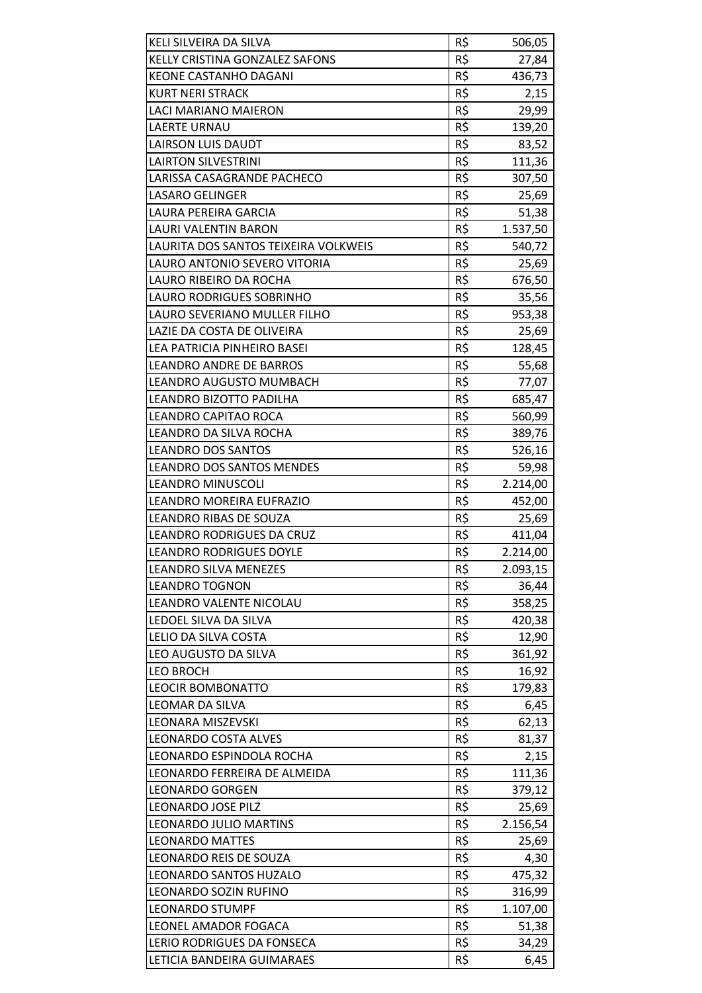| KELI SILVEIRA DA SILVA               | R\$ | 506,05   |
|--------------------------------------|-----|----------|
| KELLY CRISTINA GONZALEZ SAFONS       | R\$ | 27,84    |
| <b>KEONE CASTANHO DAGANI</b>         | R\$ | 436,73   |
| <b>KURT NERI STRACK</b>              | R\$ | 2,15     |
| <b>LACI MARIANO MAIERON</b>          | R\$ | 29,99    |
| <b>LAERTE URNAU</b>                  | R\$ | 139,20   |
| LAIRSON LUIS DAUDT                   | R\$ | 83,52    |
| <b>LAIRTON SILVESTRINI</b>           | R\$ | 111,36   |
| LARISSA CASAGRANDE PACHECO           | R\$ | 307,50   |
| <b>LASARO GELINGER</b>               | R\$ | 25,69    |
| LAURA PEREIRA GARCIA                 | R\$ | 51,38    |
| LAURI VALENTIN BARON                 | R\$ | 1.537,50 |
| LAURITA DOS SANTOS TEIXEIRA VOLKWEIS | R\$ | 540,72   |
| LAURO ANTONIO SEVERO VITORIA         | R\$ | 25,69    |
| LAURO RIBEIRO DA ROCHA               | R\$ | 676,50   |
| LAURO RODRIGUES SOBRINHO             | R\$ | 35,56    |
| LAURO SEVERIANO MULLER FILHO         | R\$ | 953,38   |
| LAZIE DA COSTA DE OLIVEIRA           | R\$ | 25,69    |
| LEA PATRICIA PINHEIRO BASEI          | R\$ | 128,45   |
| <b>LEANDRO ANDRE DE BARROS</b>       | R\$ | 55,68    |
| LEANDRO AUGUSTO MUMBACH              | R\$ | 77,07    |
| LEANDRO BIZOTTO PADILHA              | R\$ | 685,47   |
| LEANDRO CAPITAO ROCA                 | R\$ | 560,99   |
| LEANDRO DA SILVA ROCHA               | R\$ | 389,76   |
| <b>LEANDRO DOS SANTOS</b>            | R\$ | 526,16   |
| <b>LEANDRO DOS SANTOS MENDES</b>     | R\$ | 59,98    |
| <b>LEANDRO MINUSCOLI</b>             | R\$ | 2.214,00 |
| LEANDRO MOREIRA EUFRAZIO             | R\$ | 452,00   |
| <b>LEANDRO RIBAS DE SOUZA</b>        | R\$ | 25,69    |
| LEANDRO RODRIGUES DA CRUZ            | R\$ | 411,04   |
| <b>LEANDRO RODRIGUES DOYLE</b>       | R\$ | 2.214,00 |
| <b>LEANDRO SILVA MENEZES</b>         | R\$ | 2.093,15 |
| <b>LEANDRO TOGNON</b>                | R\$ | 36,44    |
| LEANDRO VALENTE NICOLAU              | R\$ | 358,25   |
| LEDOEL SILVA DA SILVA                | R\$ | 420,38   |
| LELIO DA SILVA COSTA                 | R\$ | 12,90    |
| LEO AUGUSTO DA SILVA                 | R\$ | 361,92   |
| <b>LEO BROCH</b>                     | R\$ | 16,92    |
| <b>LEOCIR BOMBONATTO</b>             | R\$ | 179,83   |
| LEOMAR DA SILVA                      | R\$ | 6,45     |
| <b>LEONARA MISZEVSKI</b>             | R\$ | 62,13    |
| <b>LEONARDO COSTA ALVES</b>          | R\$ | 81,37    |
| LEONARDO ESPINDOLA ROCHA             | R\$ | 2,15     |
| LEONARDO FERREIRA DE ALMEIDA         | R\$ | 111,36   |
| <b>LEONARDO GORGEN</b>               | R\$ | 379,12   |
| <b>LEONARDO JOSE PILZ</b>            | R\$ | 25,69    |
| LEONARDO JULIO MARTINS               | R\$ | 2.156,54 |
| <b>LEONARDO MATTES</b>               | R\$ | 25,69    |
| <b>LEONARDO REIS DE SOUZA</b>        | R\$ | 4,30     |
| LEONARDO SANTOS HUZALO               | R\$ | 475,32   |
| LEONARDO SOZIN RUFINO                | R\$ | 316,99   |
| <b>LEONARDO STUMPF</b>               | R\$ | 1.107,00 |
| LEONEL AMADOR FOGACA                 | R\$ | 51,38    |
| <b>LERIO RODRIGUES DA FONSECA</b>    | R\$ | 34,29    |
| LETICIA BANDEIRA GUIMARAES           | R\$ | 6,45     |
|                                      |     |          |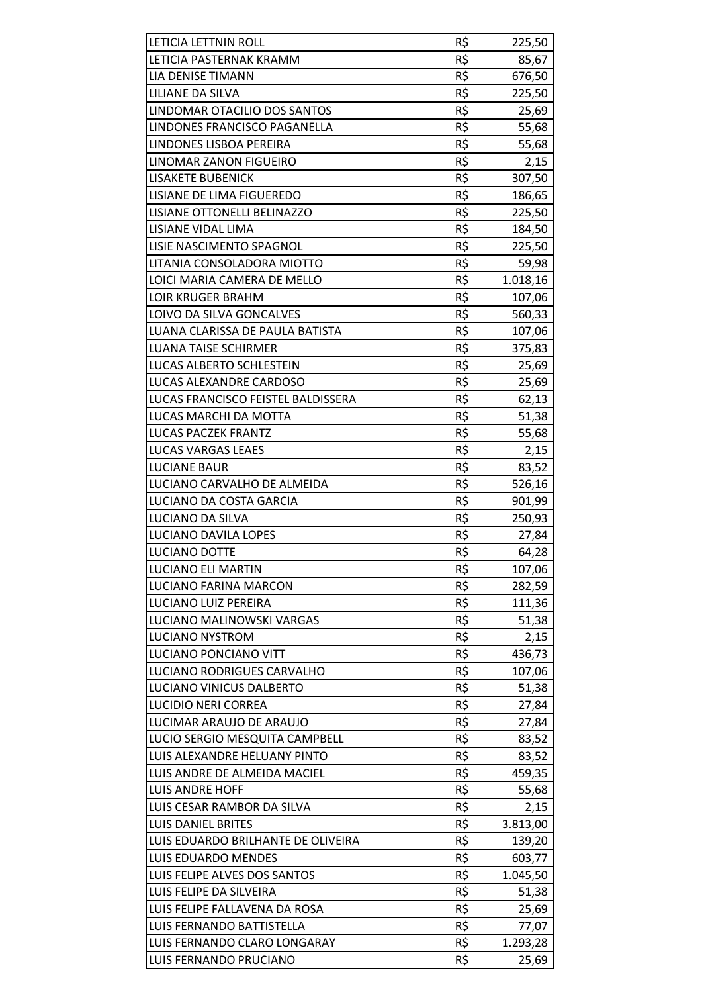| LETICIA LETTNIN ROLL               | R\$ | 225,50   |
|------------------------------------|-----|----------|
| LETICIA PASTERNAK KRAMM            | R\$ | 85,67    |
| <b>LIA DENISE TIMANN</b>           | R\$ | 676,50   |
| LILIANE DA SILVA                   | R\$ | 225,50   |
| LINDOMAR OTACILIO DOS SANTOS       | R\$ | 25,69    |
| LINDONES FRANCISCO PAGANELLA       | R\$ | 55,68    |
| LINDONES LISBOA PEREIRA            | R\$ | 55,68    |
| LINOMAR ZANON FIGUEIRO             | R\$ | 2,15     |
| <b>LISAKETE BUBENICK</b>           | R\$ | 307,50   |
| LISIANE DE LIMA FIGUEREDO          | R\$ | 186,65   |
| LISIANE OTTONELLI BELINAZZO        | R\$ | 225,50   |
| LISIANE VIDAL LIMA                 | R\$ | 184,50   |
| LISIE NASCIMENTO SPAGNOL           | R\$ | 225,50   |
| LITANIA CONSOLADORA MIOTTO         | R\$ | 59,98    |
| LOICI MARIA CAMERA DE MELLO        | R\$ | 1.018,16 |
| <b>LOIR KRUGER BRAHM</b>           | R\$ | 107,06   |
| LOIVO DA SILVA GONCALVES           | R\$ | 560,33   |
| LUANA CLARISSA DE PAULA BATISTA    | R\$ | 107,06   |
| <b>LUANA TAISE SCHIRMER</b>        | R\$ | 375,83   |
| LUCAS ALBERTO SCHLESTEIN           | R\$ | 25,69    |
| LUCAS ALEXANDRE CARDOSO            | R\$ | 25,69    |
| LUCAS FRANCISCO FEISTEL BALDISSERA | R\$ | 62,13    |
| LUCAS MARCHI DA MOTTA              | R\$ | 51,38    |
| <b>LUCAS PACZEK FRANTZ</b>         | R\$ | 55,68    |
| <b>LUCAS VARGAS LEAES</b>          | R\$ | 2,15     |
| <b>LUCIANE BAUR</b>                | R\$ | 83,52    |
| LUCIANO CARVALHO DE ALMEIDA        | R\$ | 526,16   |
| LUCIANO DA COSTA GARCIA            | R\$ | 901,99   |
| <b>LUCIANO DA SILVA</b>            | R\$ | 250,93   |
| LUCIANO DAVILA LOPES               | R\$ | 27,84    |
| <b>LUCIANO DOTTE</b>               | R\$ | 64,28    |
| <b>LUCIANO ELI MARTIN</b>          | R\$ | 107,06   |
| LUCIANO FARINA MARCON              | R\$ | 282,59   |
| LUCIANO LUIZ PEREIRA               | R\$ | 111,36   |
| LUCIANO MALINOWSKI VARGAS          | R\$ | 51,38    |
| <b>LUCIANO NYSTROM</b>             | R\$ | 2,15     |
| LUCIANO PONCIANO VITT              | R\$ | 436,73   |
| LUCIANO RODRIGUES CARVALHO         | R\$ | 107,06   |
| LUCIANO VINICUS DALBERTO           | R\$ | 51,38    |
| <b>LUCIDIO NERI CORREA</b>         | R\$ | 27,84    |
| LUCIMAR ARAUJO DE ARAUJO           | R\$ | 27,84    |
| LUCIO SERGIO MESQUITA CAMPBELL     | R\$ | 83,52    |
| LUIS ALEXANDRE HELUANY PINTO       | R\$ | 83,52    |
| LUIS ANDRE DE ALMEIDA MACIEL       | R\$ | 459,35   |
| <b>LUIS ANDRE HOFF</b>             | R\$ | 55,68    |
| LUIS CESAR RAMBOR DA SILVA         | R\$ | 2,15     |
| LUIS DANIEL BRITES                 | R\$ | 3.813,00 |
| LUIS EDUARDO BRILHANTE DE OLIVEIRA | R\$ | 139,20   |
| <b>LUIS EDUARDO MENDES</b>         | R\$ | 603,77   |
| LUIS FELIPE ALVES DOS SANTOS       | R\$ | 1.045,50 |
| LUIS FELIPE DA SILVEIRA            | R\$ | 51,38    |
| LUIS FELIPE FALLAVENA DA ROSA      | R\$ | 25,69    |
| LUIS FERNANDO BATTISTELLA          | R\$ | 77,07    |
| LUIS FERNANDO CLARO LONGARAY       | R\$ | 1.293,28 |
| LUIS FERNANDO PRUCIANO             | R\$ | 25,69    |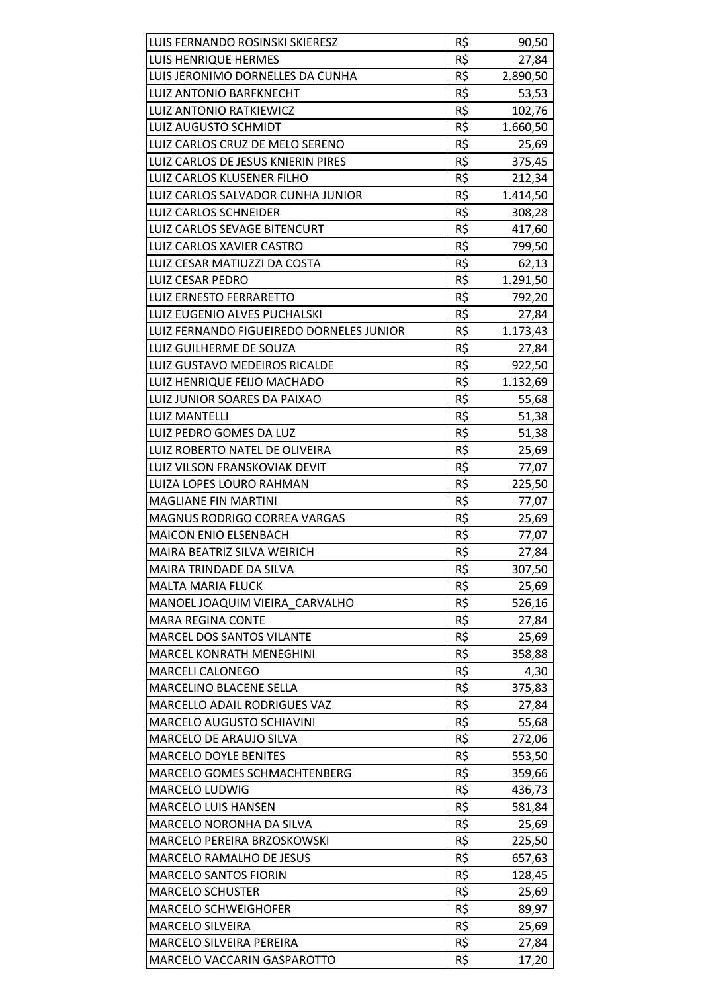| LUIS FERNANDO ROSINSKI SKIERESZ          | R\$ | 90,50    |
|------------------------------------------|-----|----------|
| <b>LUIS HENRIQUE HERMES</b>              | R\$ | 27,84    |
| LUIS JERONIMO DORNELLES DA CUNHA         | R\$ | 2.890,50 |
| LUIZ ANTONIO BARFKNECHT                  | R\$ | 53,53    |
| <b>LUIZ ANTONIO RATKIEWICZ</b>           | R\$ | 102,76   |
| <b>LUIZ AUGUSTO SCHMIDT</b>              | R\$ | 1.660,50 |
| LUIZ CARLOS CRUZ DE MELO SERENO          | R\$ | 25,69    |
| LUIZ CARLOS DE JESUS KNIERIN PIRES       | R\$ | 375,45   |
| LUIZ CARLOS KLUSENER FILHO               | R\$ | 212,34   |
| LUIZ CARLOS SALVADOR CUNHA JUNIOR        | R\$ | 1.414,50 |
| LUIZ CARLOS SCHNEIDER                    | R\$ | 308,28   |
| LUIZ CARLOS SEVAGE BITENCURT             | R\$ | 417,60   |
| LUIZ CARLOS XAVIER CASTRO                | R\$ | 799,50   |
| LUIZ CESAR MATIUZZI DA COSTA             | R\$ | 62,13    |
| <b>LUIZ CESAR PEDRO</b>                  | R\$ | 1.291,50 |
| <b>LUIZ ERNESTO FERRARETTO</b>           | R\$ | 792,20   |
| LUIZ EUGENIO ALVES PUCHALSKI             | R\$ | 27,84    |
| LUIZ FERNANDO FIGUEIREDO DORNELES JUNIOR | R\$ | 1.173,43 |
| LUIZ GUILHERME DE SOUZA                  | R\$ | 27,84    |
| LUIZ GUSTAVO MEDEIROS RICALDE            | R\$ | 922,50   |
| LUIZ HENRIQUE FEIJO MACHADO              | R\$ | 1.132,69 |
| LUIZ JUNIOR SOARES DA PAIXAO             | R\$ | 55,68    |
| <b>LUIZ MANTELLI</b>                     | R\$ | 51,38    |
| LUIZ PEDRO GOMES DA LUZ                  | R\$ | 51,38    |
| LUIZ ROBERTO NATEL DE OLIVEIRA           | R\$ | 25,69    |
| LUIZ VILSON FRANSKOVIAK DEVIT            | R\$ | 77,07    |
| LUIZA LOPES LOURO RAHMAN                 | R\$ | 225,50   |
| <b>MAGLIANE FIN MARTINI</b>              | R\$ | 77,07    |
| MAGNUS RODRIGO CORREA VARGAS             | R\$ | 25,69    |
| MAICON ENIO ELSENBACH                    | R\$ | 77,07    |
| MAIRA BEATRIZ SILVA WEIRICH              | R\$ | 27,84    |
| MAIRA TRINDADE DA SILVA                  | R\$ | 307,50   |
| <b>MALTA MARIA FLUCK</b>                 | R\$ | 25,69    |
| MANOEL JOAQUIM VIEIRA CARVALHO           | R\$ | 526,16   |
| <b>MARA REGINA CONTE</b>                 | R\$ | 27,84    |
| MARCEL DOS SANTOS VILANTE                | R\$ | 25,69    |
| <b>MARCEL KONRATH MENEGHINI</b>          | R\$ | 358,88   |
| <b>MARCELI CALONEGO</b>                  | R\$ | 4,30     |
| <b>MARCELINO BLACENE SELLA</b>           | R\$ | 375,83   |
| MARCELLO ADAIL RODRIGUES VAZ             | R\$ | 27,84    |
| <b>MARCELO AUGUSTO SCHIAVINI</b>         | R\$ | 55,68    |
| MARCELO DE ARAUJO SILVA                  | R\$ | 272,06   |
| <b>MARCELO DOYLE BENITES</b>             | R\$ | 553,50   |
| <b>MARCELO GOMES SCHMACHTENBERG</b>      | R\$ | 359,66   |
| MARCELO LUDWIG                           | R\$ | 436,73   |
| <b>MARCELO LUIS HANSEN</b>               | R\$ | 581,84   |
| MARCELO NORONHA DA SILVA                 | R\$ | 25,69    |
| MARCELO PEREIRA BRZOSKOWSKI              | R\$ | 225,50   |
| <b>MARCELO RAMALHO DE JESUS</b>          | R\$ | 657,63   |
| <b>MARCELO SANTOS FIORIN</b>             | R\$ | 128,45   |
| <b>MARCELO SCHUSTER</b>                  | R\$ | 25,69    |
| <b>MARCELO SCHWEIGHOFER</b>              | R\$ | 89,97    |
| <b>MARCELO SILVEIRA</b>                  | R\$ | 25,69    |
| <b>MARCELO SILVEIRA PEREIRA</b>          | R\$ | 27,84    |
| MARCELO VACCARIN GASPAROTTO              | R\$ | 17,20    |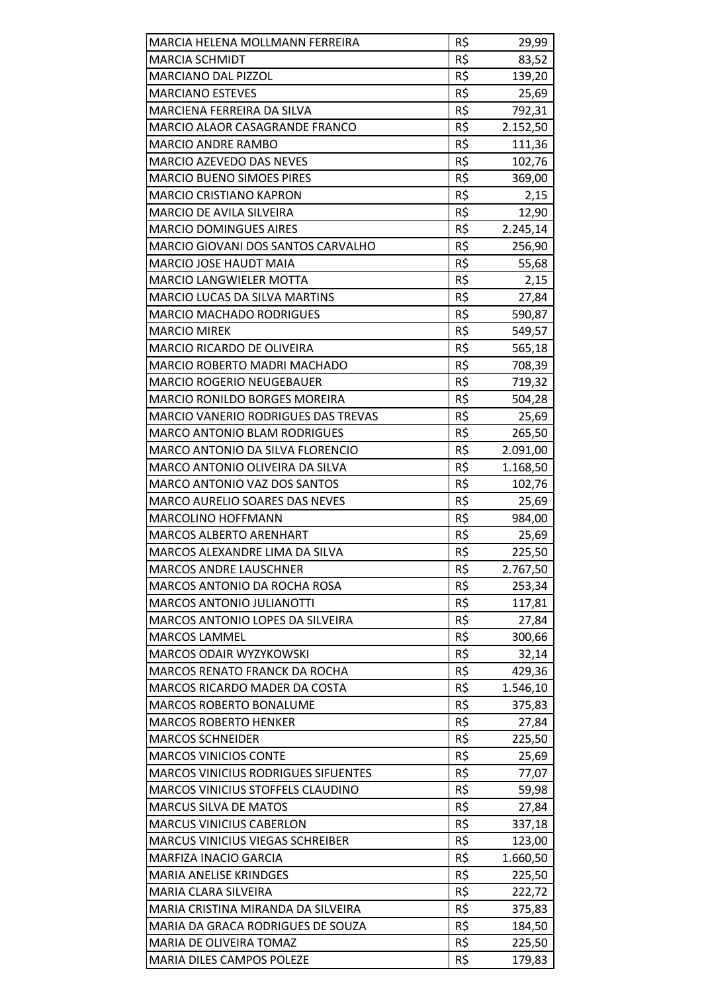| MARCIA HELENA MOLLMANN FERREIRA            | R\$ | 29,99    |
|--------------------------------------------|-----|----------|
| <b>MARCIA SCHMIDT</b>                      | R\$ | 83,52    |
| <b>MARCIANO DAL PIZZOL</b>                 | R\$ | 139,20   |
| <b>MARCIANO ESTEVES</b>                    | R\$ | 25,69    |
| MARCIENA FERREIRA DA SILVA                 | R\$ | 792,31   |
| MARCIO ALAOR CASAGRANDE FRANCO             | R\$ | 2.152,50 |
| MARCIO ANDRE RAMBO                         | R\$ | 111,36   |
| MARCIO AZEVEDO DAS NEVES                   | R\$ | 102,76   |
| <b>MARCIO BUENO SIMOES PIRES</b>           | R\$ | 369,00   |
| <b>MARCIO CRISTIANO KAPRON</b>             | R\$ | 2,15     |
| <b>MARCIO DE AVILA SILVEIRA</b>            | R\$ | 12,90    |
| <b>MARCIO DOMINGUES AIRES</b>              | R\$ | 2.245,14 |
| MARCIO GIOVANI DOS SANTOS CARVALHO         | R\$ | 256,90   |
| MARCIO JOSE HAUDT MAIA                     | R\$ | 55,68    |
| <b>MARCIO LANGWIELER MOTTA</b>             | R\$ | 2,15     |
| <b>MARCIO LUCAS DA SILVA MARTINS</b>       | R\$ | 27,84    |
| <b>MARCIO MACHADO RODRIGUES</b>            | R\$ | 590,87   |
| <b>MARCIO MIREK</b>                        | R\$ | 549,57   |
| MARCIO RICARDO DE OLIVEIRA                 | R\$ | 565,18   |
| MARCIO ROBERTO MADRI MACHADO               | R\$ | 708,39   |
| <b>MARCIO ROGERIO NEUGEBAUER</b>           | R\$ | 719,32   |
| <b>MARCIO RONILDO BORGES MOREIRA</b>       | R\$ | 504,28   |
| <b>MARCIO VANERIO RODRIGUES DAS TREVAS</b> | R\$ | 25,69    |
| <b>MARCO ANTONIO BLAM RODRIGUES</b>        | R\$ | 265,50   |
| MARCO ANTONIO DA SILVA FLORENCIO           | R\$ | 2.091,00 |
| MARCO ANTONIO OLIVEIRA DA SILVA            | R\$ | 1.168,50 |
| MARCO ANTONIO VAZ DOS SANTOS               | R\$ | 102,76   |
| <b>MARCO AURELIO SOARES DAS NEVES</b>      | R\$ | 25,69    |
| <b>MARCOLINO HOFFMANN</b>                  | R\$ | 984,00   |
| <b>MARCOS ALBERTO ARENHART</b>             | R\$ | 25,69    |
| MARCOS ALEXANDRE LIMA DA SILVA             | R\$ | 225,50   |
| <b>MARCOS ANDRE LAUSCHNER</b>              | R\$ | 2.767,50 |
| MARCOS ANTONIO DA ROCHA ROSA               | R\$ | 253,34   |
| <b>MARCOS ANTONIO JULIANOTTI</b>           | R\$ | 117,81   |
| MARCOS ANTONIO LOPES DA SILVEIRA           | R\$ | 27,84    |
| <b>MARCOS LAMMEL</b>                       | R\$ | 300,66   |
| <b>MARCOS ODAIR WYZYKOWSKI</b>             | R\$ | 32,14    |
| <b>MARCOS RENATO FRANCK DA ROCHA</b>       | R\$ | 429,36   |
| <b>MARCOS RICARDO MADER DA COSTA</b>       | R\$ | 1.546,10 |
| <b>MARCOS ROBERTO BONALUME</b>             | R\$ | 375,83   |
| <b>MARCOS ROBERTO HENKER</b>               | R\$ | 27,84    |
| <b>MARCOS SCHNEIDER</b>                    | R\$ | 225,50   |
| <b>MARCOS VINICIOS CONTE</b>               | R\$ | 25,69    |
| <b>MARCOS VINICIUS RODRIGUES SIFUENTES</b> | R\$ | 77,07    |
| MARCOS VINICIUS STOFFELS CLAUDINO          | R\$ | 59,98    |
| <b>MARCUS SILVA DE MATOS</b>               | R\$ | 27,84    |
| <b>MARCUS VINICIUS CABERLON</b>            | R\$ | 337,18   |
| MARCUS VINICIUS VIEGAS SCHREIBER           | R\$ | 123,00   |
| MARFIZA INACIO GARCIA                      | R\$ | 1.660,50 |
| <b>MARIA ANELISE KRINDGES</b>              | R\$ | 225,50   |
| <b>MARIA CLARA SILVEIRA</b>                | R\$ | 222,72   |
| MARIA CRISTINA MIRANDA DA SILVEIRA         | R\$ | 375,83   |
| MARIA DA GRACA RODRIGUES DE SOUZA          | R\$ | 184,50   |
| MARIA DE OLIVEIRA TOMAZ                    | R\$ | 225,50   |
| MARIA DILES CAMPOS POLEZE                  | R\$ | 179,83   |
|                                            |     |          |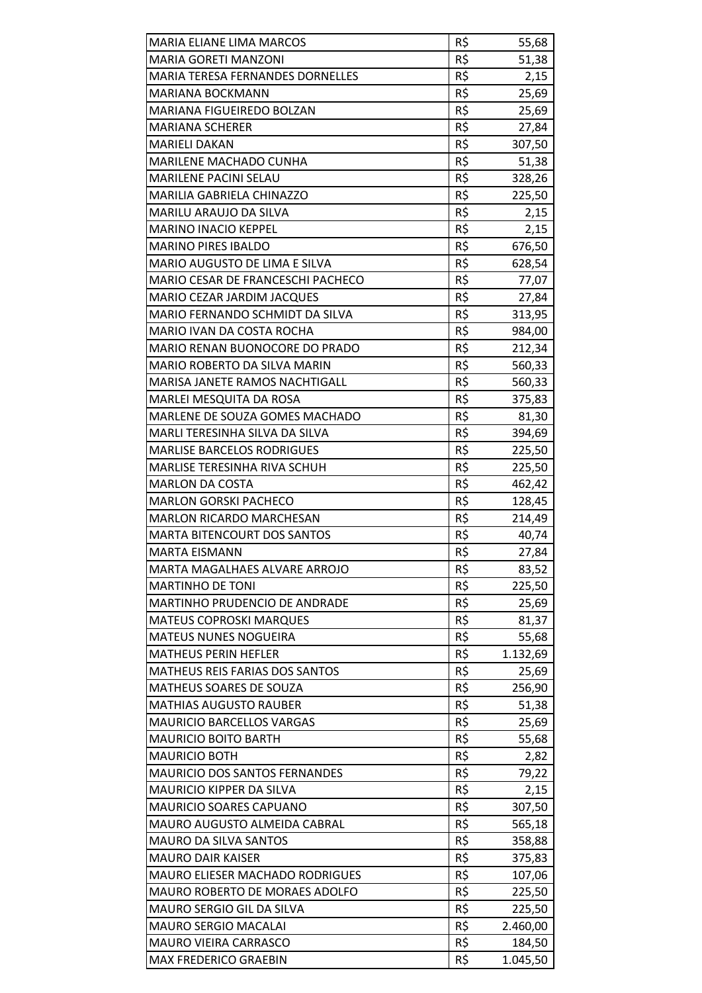| <b>MARIA ELIANE LIMA MARCOS</b>        | R\$             | 55,68    |
|----------------------------------------|-----------------|----------|
| <b>MARIA GORETI MANZONI</b>            | R\$             | 51,38    |
| MARIA TERESA FERNANDES DORNELLES       | R\$             | 2,15     |
| <b>MARIANA BOCKMANN</b>                | R\$             | 25,69    |
| MARIANA FIGUEIREDO BOLZAN              | R\$             | 25,69    |
| <b>MARIANA SCHERER</b>                 | R\$             | 27,84    |
| <b>MARIELI DAKAN</b>                   | R\$             | 307,50   |
| MARILENE MACHADO CUNHA                 | R\$             | 51,38    |
| MARILENE PACINI SELAU                  | R\$             | 328,26   |
| MARILIA GABRIELA CHINAZZO              | R\$             | 225,50   |
| MARILU ARAUJO DA SILVA                 | R\$             | 2,15     |
| <b>MARINO INACIO KEPPEL</b>            | R\$             | 2,15     |
| <b>MARINO PIRES IBALDO</b>             | R\$             | 676,50   |
| MARIO AUGUSTO DE LIMA E SILVA          | R\$             | 628,54   |
| MARIO CESAR DE FRANCESCHI PACHECO      | R\$             | 77,07    |
| MARIO CEZAR JARDIM JACQUES             | R\$             | 27,84    |
| MARIO FERNANDO SCHMIDT DA SILVA        | R\$             | 313,95   |
| MARIO IVAN DA COSTA ROCHA              | R\$             | 984,00   |
| MARIO RENAN BUONOCORE DO PRADO         | R\$             | 212,34   |
| <b>MARIO ROBERTO DA SILVA MARIN</b>    | R\$             | 560,33   |
| MARISA JANETE RAMOS NACHTIGALL         | R\$             | 560,33   |
| MARLEI MESQUITA DA ROSA                | R\$             | 375,83   |
| MARLENE DE SOUZA GOMES MACHADO         | R\$             | 81,30    |
| MARLI TERESINHA SILVA DA SILVA         | R\$             | 394,69   |
| <b>MARLISE BARCELOS RODRIGUES</b>      | R\$             | 225,50   |
| MARLISE TERESINHA RIVA SCHUH           | R\$             | 225,50   |
| <b>MARLON DA COSTA</b>                 | R\$             | 462,42   |
| <b>MARLON GORSKI PACHECO</b>           | $R\overline{S}$ | 128,45   |
| <b>MARLON RICARDO MARCHESAN</b>        | R\$             | 214,49   |
| <b>MARTA BITENCOURT DOS SANTOS</b>     | R\$             | 40,74    |
| <b>MARTA EISMANN</b>                   | R\$             | 27,84    |
| MARTA MAGALHAES ALVARE ARROJO          | R\$             | 83,52    |
| <b>MARTINHO DE TONI</b>                | R\$             | 225,50   |
| <b>MARTINHO PRUDENCIO DE ANDRADE</b>   | R\$             | 25,69    |
| <b>MATEUS COPROSKI MARQUES</b>         | R\$             | 81,37    |
| <b>MATEUS NUNES NOGUEIRA</b>           | R\$             | 55,68    |
| <b>MATHEUS PERIN HEFLER</b>            | R\$             | 1.132,69 |
| MATHEUS REIS FARIAS DOS SANTOS         | R\$             | 25,69    |
| MATHEUS SOARES DE SOUZA                | R\$             | 256,90   |
| <b>MATHIAS AUGUSTO RAUBER</b>          | R\$             | 51,38    |
| <b>MAURICIO BARCELLOS VARGAS</b>       | R\$             | 25,69    |
| <b>MAURICIO BOITO BARTH</b>            | R\$             | 55,68    |
| <b>MAURICIO BOTH</b>                   | R\$             | 2,82     |
| MAURICIO DOS SANTOS FERNANDES          | R\$             | 79,22    |
| <b>MAURICIO KIPPER DA SILVA</b>        | R\$             | 2,15     |
| <b>MAURICIO SOARES CAPUANO</b>         | R\$             | 307,50   |
| MAURO AUGUSTO ALMEIDA CABRAL           | R\$             | 565,18   |
| <b>MAURO DA SILVA SANTOS</b>           | R\$             | 358,88   |
| <b>MAURO DAIR KAISER</b>               | R\$             | 375,83   |
| <b>MAURO ELIESER MACHADO RODRIGUES</b> | R\$             | 107,06   |
| MAURO ROBERTO DE MORAES ADOLFO         | R\$             | 225,50   |
| MAURO SERGIO GIL DA SILVA              | R\$             | 225,50   |
| <b>MAURO SERGIO MACALAI</b>            | R\$             | 2.460,00 |
| <b>MAURO VIEIRA CARRASCO</b>           | R\$             | 184,50   |
| <b>MAX FREDERICO GRAEBIN</b>           | R\$             | 1.045,50 |
|                                        |                 |          |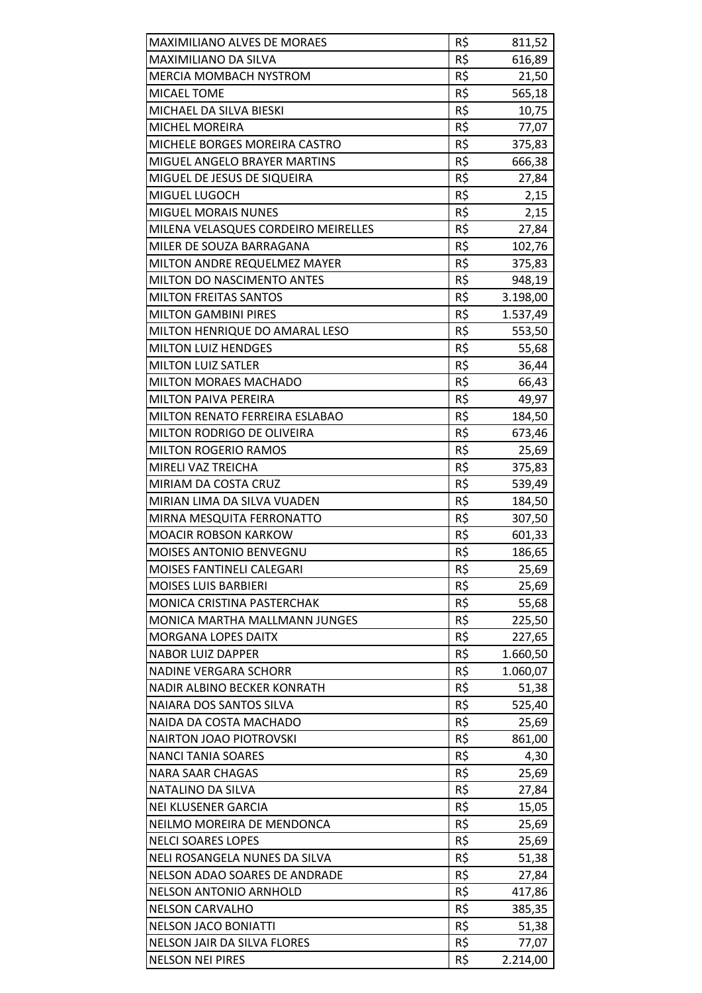| MAXIMILIANO ALVES DE MORAES          | R\$ | 811,52   |
|--------------------------------------|-----|----------|
| MAXIMILIANO DA SILVA                 | R\$ | 616,89   |
| MERCIA MOMBACH NYSTROM               | R\$ | 21,50    |
| MICAEL TOME                          | R\$ | 565,18   |
| MICHAEL DA SILVA BIESKI              | R\$ | 10,75    |
| MICHEL MOREIRA                       | R\$ | 77,07    |
| MICHELE BORGES MOREIRA CASTRO        | R\$ | 375,83   |
| MIGUEL ANGELO BRAYER MARTINS         | R\$ | 666,38   |
| MIGUEL DE JESUS DE SIQUEIRA          | R\$ | 27,84    |
| MIGUEL LUGOCH                        | R\$ | 2,15     |
| <b>MIGUEL MORAIS NUNES</b>           | R\$ | 2,15     |
| MILENA VELASQUES CORDEIRO MEIRELLES  | R\$ | 27,84    |
| MILER DE SOUZA BARRAGANA             | R\$ | 102,76   |
| MILTON ANDRE REQUELMEZ MAYER         | R\$ | 375,83   |
| MILTON DO NASCIMENTO ANTES           | R\$ | 948,19   |
| <b>MILTON FREITAS SANTOS</b>         | R\$ | 3.198,00 |
| <b>MILTON GAMBINI PIRES</b>          | R\$ | 1.537,49 |
| MILTON HENRIQUE DO AMARAL LESO       | R\$ | 553,50   |
| <b>MILTON LUIZ HENDGES</b>           | R\$ | 55,68    |
| <b>MILTON LUIZ SATLER</b>            | R\$ | 36,44    |
| MILTON MORAES MACHADO                | R\$ | 66,43    |
| <b>MILTON PAIVA PEREIRA</b>          | R\$ | 49,97    |
| MILTON RENATO FERREIRA ESLABAO       | R\$ | 184,50   |
| MILTON RODRIGO DE OLIVEIRA           | R\$ | 673,46   |
| <b>MILTON ROGERIO RAMOS</b>          | R\$ | 25,69    |
| MIRELI VAZ TREICHA                   | R\$ | 375,83   |
| MIRIAM DA COSTA CRUZ                 | R\$ | 539,49   |
| MIRIAN LIMA DA SILVA VUADEN          | R\$ | 184,50   |
| MIRNA MESQUITA FERRONATTO            | R\$ | 307,50   |
| <b>MOACIR ROBSON KARKOW</b>          | R\$ | 601,33   |
| <b>MOISES ANTONIO BENVEGNU</b>       | R\$ | 186,65   |
| MOISES FANTINELI CALEGARI            | R\$ | 25,69    |
| <b>MOISES LUIS BARBIERI</b>          | R\$ | 25,69    |
| MONICA CRISTINA PASTERCHAK           | R\$ | 55,68    |
| <b>MONICA MARTHA MALLMANN JUNGES</b> | R\$ | 225,50   |
| <b>MORGANA LOPES DAITX</b>           | R\$ | 227,65   |
| <b>NABOR LUIZ DAPPER</b>             | R\$ | 1.660,50 |
| <b>NADINE VERGARA SCHORR</b>         | R\$ | 1.060,07 |
| NADIR ALBINO BECKER KONRATH          | R\$ | 51,38    |
| NAIARA DOS SANTOS SILVA              | R\$ | 525,40   |
| NAIDA DA COSTA MACHADO               | R\$ | 25,69    |
| <b>NAIRTON JOAO PIOTROVSKI</b>       | R\$ | 861,00   |
| <b>NANCI TANIA SOARES</b>            | R\$ | 4,30     |
| <b>NARA SAAR CHAGAS</b>              | R\$ | 25,69    |
| NATALINO DA SILVA                    | R\$ | 27,84    |
| NEI KLUSENER GARCIA                  | R\$ | 15,05    |
| NEILMO MOREIRA DE MENDONCA           | R\$ | 25,69    |
| <b>NELCI SOARES LOPES</b>            | R\$ | 25,69    |
| NELI ROSANGELA NUNES DA SILVA        | R\$ | 51,38    |
| NELSON ADAO SOARES DE ANDRADE        | R\$ | 27,84    |
| <b>NELSON ANTONIO ARNHOLD</b>        | R\$ | 417,86   |
| <b>NELSON CARVALHO</b>               | R\$ | 385,35   |
| <b>NELSON JACO BONIATTI</b>          | R\$ | 51,38    |
| <b>NELSON JAIR DA SILVA FLORES</b>   | R\$ | 77,07    |
| <b>NELSON NEI PIRES</b>              | R\$ | 2.214,00 |
|                                      |     |          |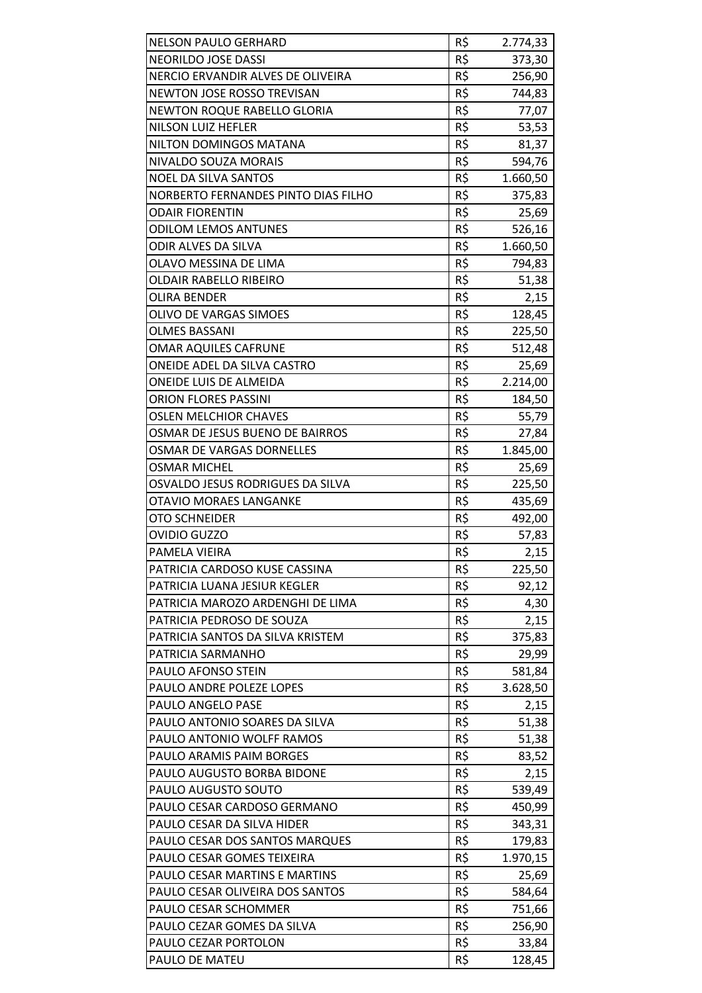| <b>NELSON PAULO GERHARD</b>         | R\$ | 2.774,33 |
|-------------------------------------|-----|----------|
| NEORILDO JOSE DASSI                 | R\$ | 373,30   |
| NERCIO ERVANDIR ALVES DE OLIVEIRA   | R\$ | 256,90   |
| NEWTON JOSE ROSSO TREVISAN          | R\$ | 744,83   |
| NEWTON ROQUE RABELLO GLORIA         | R\$ | 77,07    |
| NILSON LUIZ HEFLER                  | R\$ | 53,53    |
| NILTON DOMINGOS MATANA              | R\$ | 81,37    |
| NIVALDO SOUZA MORAIS                | R\$ | 594,76   |
| <b>NOEL DA SILVA SANTOS</b>         | R\$ | 1.660,50 |
| NORBERTO FERNANDES PINTO DIAS FILHO | R\$ | 375,83   |
| <b>ODAIR FIORENTIN</b>              | R\$ | 25,69    |
| <b>ODILOM LEMOS ANTUNES</b>         | R\$ | 526,16   |
| ODIR ALVES DA SILVA                 | R\$ | 1.660,50 |
| OLAVO MESSINA DE LIMA               | R\$ | 794,83   |
| <b>OLDAIR RABELLO RIBEIRO</b>       | R\$ | 51,38    |
| <b>OLIRA BENDER</b>                 | R\$ | 2,15     |
| OLIVO DE VARGAS SIMOES              | R\$ | 128,45   |
| <b>OLMES BASSANI</b>                | R\$ | 225,50   |
| <b>OMAR AQUILES CAFRUNE</b>         | R\$ | 512,48   |
| ONEIDE ADEL DA SILVA CASTRO         | R\$ | 25,69    |
| ONEIDE LUIS DE ALMEIDA              | R\$ | 2.214,00 |
| <b>ORION FLORES PASSINI</b>         | R\$ | 184,50   |
| <b>OSLEN MELCHIOR CHAVES</b>        | R\$ | 55,79    |
| OSMAR DE JESUS BUENO DE BAIRROS     | R\$ | 27,84    |
| OSMAR DE VARGAS DORNELLES           | R\$ | 1.845,00 |
| <b>OSMAR MICHEL</b>                 | R\$ | 25,69    |
| OSVALDO JESUS RODRIGUES DA SILVA    | R\$ | 225,50   |
| <b>OTAVIO MORAES LANGANKE</b>       | R\$ | 435,69   |
| OTO SCHNEIDER                       | R\$ | 492,00   |
| <b>OVIDIO GUZZO</b>                 | R\$ | 57,83    |
| PAMELA VIEIRA                       | R\$ | 2,15     |
| PATRICIA CARDOSO KUSE CASSINA       | R\$ | 225,50   |
| PATRICIA LUANA JESIUR KEGLER        | R\$ | 92,12    |
| PATRICIA MAROZO ARDENGHI DE LIMA    | R\$ | 4,30     |
| PATRICIA PEDROSO DE SOUZA           | R\$ | 2,15     |
| PATRICIA SANTOS DA SILVA KRISTEM    | R\$ | 375,83   |
| PATRICIA SARMANHO                   | R\$ | 29,99    |
| PAULO AFONSO STEIN                  | R\$ | 581,84   |
| PAULO ANDRE POLEZE LOPES            | R\$ | 3.628,50 |
| PAULO ANGELO PASE                   | R\$ | 2,15     |
| PAULO ANTONIO SOARES DA SILVA       | R\$ | 51,38    |
| PAULO ANTONIO WOLFF RAMOS           | R\$ | 51,38    |
| PAULO ARAMIS PAIM BORGES            | R\$ | 83,52    |
| PAULO AUGUSTO BORBA BIDONE          | R\$ | 2,15     |
| PAULO AUGUSTO SOUTO                 | R\$ | 539,49   |
| PAULO CESAR CARDOSO GERMANO         | R\$ | 450,99   |
| PAULO CESAR DA SILVA HIDER          | R\$ | 343,31   |
| PAULO CESAR DOS SANTOS MARQUES      | R\$ | 179,83   |
| PAULO CESAR GOMES TEIXEIRA          | R\$ | 1.970,15 |
| PAULO CESAR MARTINS E MARTINS       | R\$ | 25,69    |
| PAULO CESAR OLIVEIRA DOS SANTOS     | R\$ | 584,64   |
| PAULO CESAR SCHOMMER                | R\$ | 751,66   |
| PAULO CEZAR GOMES DA SILVA          | R\$ | 256,90   |
| PAULO CEZAR PORTOLON                | R\$ | 33,84    |
| PAULO DE MATEU                      | R\$ | 128,45   |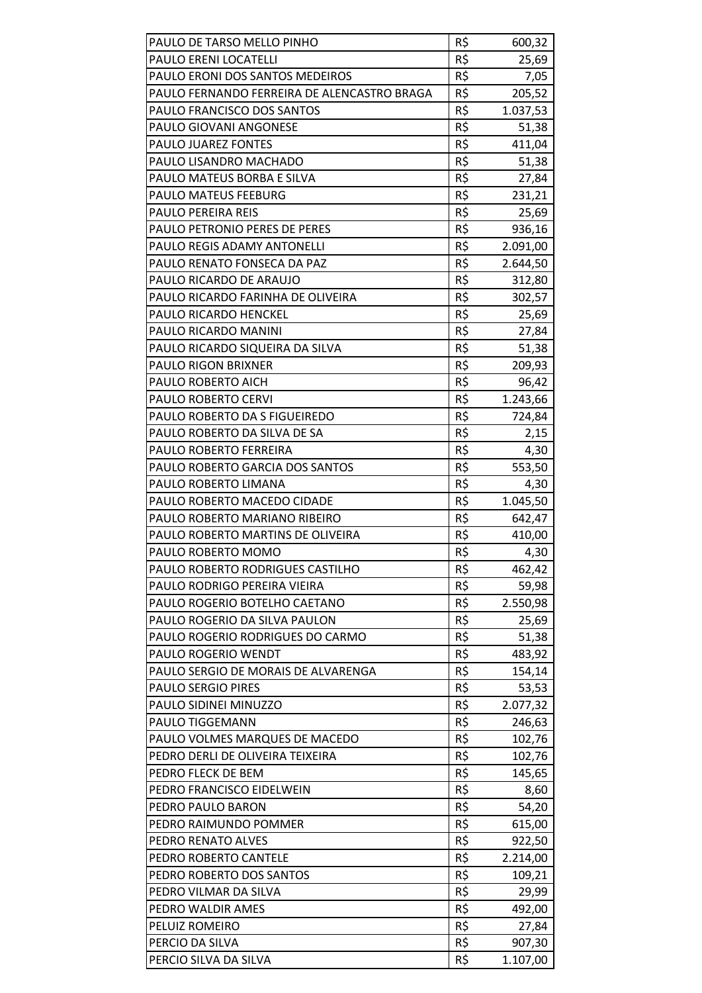| PAULO DE TARSO MELLO PINHO                  | R\$ | 600,32   |
|---------------------------------------------|-----|----------|
| PAULO ERENI LOCATELLI                       | R\$ | 25,69    |
| PAULO ERONI DOS SANTOS MEDEIROS             | R\$ | 7,05     |
| PAULO FERNANDO FERREIRA DE ALENCASTRO BRAGA | R\$ | 205,52   |
| PAULO FRANCISCO DOS SANTOS                  | R\$ | 1.037,53 |
| PAULO GIOVANI ANGONESE                      | R\$ | 51,38    |
| PAULO JUAREZ FONTES                         | R\$ | 411,04   |
| PAULO LISANDRO MACHADO                      | R\$ | 51,38    |
| PAULO MATEUS BORBA E SILVA                  | R\$ | 27,84    |
| PAULO MATEUS FEEBURG                        | R\$ | 231,21   |
| PAULO PEREIRA REIS                          | R\$ | 25,69    |
| PAULO PETRONIO PERES DE PERES               | R\$ | 936,16   |
| PAULO REGIS ADAMY ANTONELLI                 | R\$ | 2.091,00 |
| PAULO RENATO FONSECA DA PAZ                 | R\$ | 2.644,50 |
| PAULO RICARDO DE ARAUJO                     | R\$ | 312,80   |
| PAULO RICARDO FARINHA DE OLIVEIRA           | R\$ | 302,57   |
| <b>PAULO RICARDO HENCKEL</b>                | R\$ | 25,69    |
| PAULO RICARDO MANINI                        | R\$ | 27,84    |
| PAULO RICARDO SIQUEIRA DA SILVA             | R\$ | 51,38    |
| <b>PAULO RIGON BRIXNER</b>                  | R\$ | 209,93   |
| PAULO ROBERTO AICH                          | R\$ | 96,42    |
| PAULO ROBERTO CERVI                         | R\$ | 1.243,66 |
| PAULO ROBERTO DA S FIGUEIREDO               | R\$ | 724,84   |
| PAULO ROBERTO DA SILVA DE SA                | R\$ | 2,15     |
| PAULO ROBERTO FERREIRA                      | R\$ | 4,30     |
| PAULO ROBERTO GARCIA DOS SANTOS             | R\$ | 553,50   |
| PAULO ROBERTO LIMANA                        | R\$ | 4,30     |
| PAULO ROBERTO MACEDO CIDADE                 | R\$ | 1.045,50 |
| PAULO ROBERTO MARIANO RIBEIRO               | R\$ | 642,47   |
| PAULO ROBERTO MARTINS DE OLIVEIRA           | R\$ | 410,00   |
| PAULO ROBERTO MOMO                          | R\$ | 4,30     |
| PAULO ROBERTO RODRIGUES CASTILHO            | R\$ | 462,42   |
| PAULO RODRIGO PEREIRA VIEIRA                | R\$ | 59,98    |
| PAULO ROGERIO BOTELHO CAETANO               | R\$ | 2.550,98 |
| PAULO ROGERIO DA SILVA PAULON               | R\$ | 25,69    |
| PAULO ROGERIO RODRIGUES DO CARMO            | R\$ | 51,38    |
| PAULO ROGERIO WENDT                         | R\$ | 483,92   |
| PAULO SERGIO DE MORAIS DE ALVARENGA         | R\$ | 154,14   |
| <b>PAULO SERGIO PIRES</b>                   | R\$ | 53,53    |
| PAULO SIDINEI MINUZZO                       | R\$ | 2.077,32 |
| PAULO TIGGEMANN                             | R\$ | 246,63   |
| PAULO VOLMES MARQUES DE MACEDO              | R\$ | 102,76   |
| PEDRO DERLI DE OLIVEIRA TEIXEIRA            | R\$ | 102,76   |
| PEDRO FLECK DE BEM                          | R\$ | 145,65   |
| PEDRO FRANCISCO EIDELWEIN                   | R\$ | 8,60     |
| PEDRO PAULO BARON                           | R\$ | 54,20    |
| PEDRO RAIMUNDO POMMER                       | R\$ | 615,00   |
| PEDRO RENATO ALVES                          | R\$ | 922,50   |
| PEDRO ROBERTO CANTELE                       | R\$ | 2.214,00 |
| PEDRO ROBERTO DOS SANTOS                    | R\$ | 109,21   |
| PEDRO VILMAR DA SILVA                       | R\$ | 29,99    |
| PEDRO WALDIR AMES                           | R\$ | 492,00   |
| PELUIZ ROMEIRO                              | R\$ | 27,84    |
| PERCIO DA SILVA                             | R\$ | 907,30   |
| PERCIO SILVA DA SILVA                       | R\$ | 1.107,00 |
|                                             |     |          |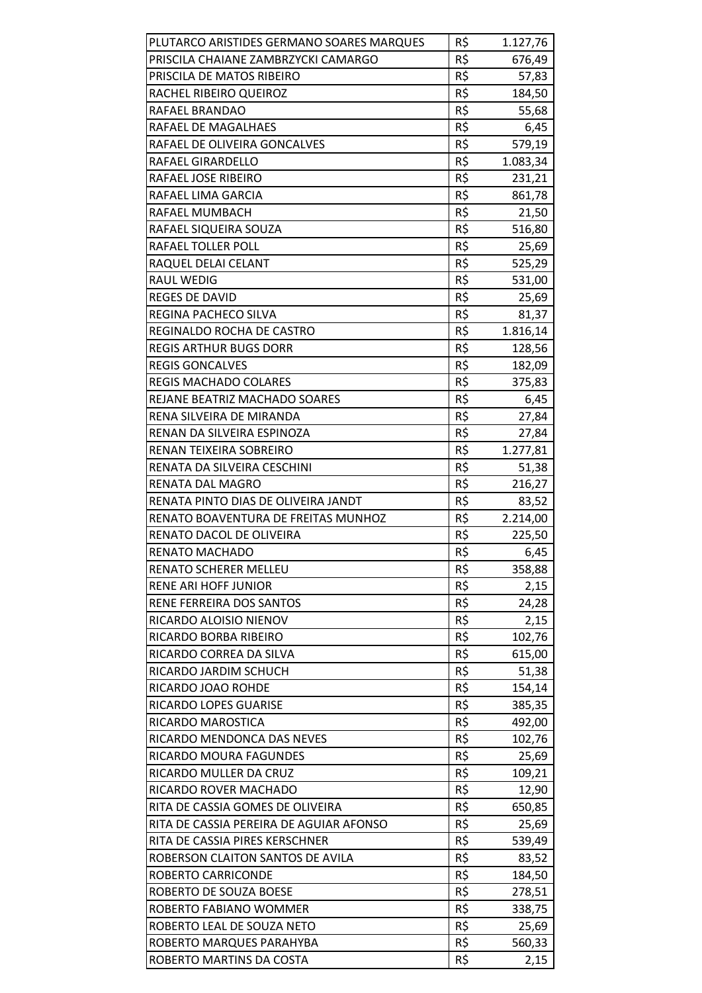| PLUTARCO ARISTIDES GERMANO SOARES MARQUES | R\$ | 1.127,76 |
|-------------------------------------------|-----|----------|
| PRISCILA CHAIANE ZAMBRZYCKI CAMARGO       | R\$ | 676,49   |
| PRISCILA DE MATOS RIBEIRO                 | R\$ | 57,83    |
| RACHEL RIBEIRO QUEIROZ                    | R\$ | 184,50   |
| RAFAEL BRANDAO                            | R\$ | 55,68    |
| RAFAEL DE MAGALHAES                       | R\$ | 6,45     |
| RAFAEL DE OLIVEIRA GONCALVES              | R\$ | 579,19   |
| RAFAEL GIRARDELLO                         | R\$ | 1.083,34 |
| RAFAEL JOSE RIBEIRO                       | R\$ | 231,21   |
| RAFAEL LIMA GARCIA                        | R\$ | 861,78   |
| RAFAEL MUMBACH                            | R\$ | 21,50    |
| RAFAEL SIQUEIRA SOUZA                     | R\$ | 516,80   |
| RAFAEL TOLLER POLL                        | R\$ | 25,69    |
| RAQUEL DELAI CELANT                       | R\$ | 525,29   |
| <b>RAUL WEDIG</b>                         | R\$ | 531,00   |
| REGES DE DAVID                            | R\$ | 25,69    |
| <b>REGINA PACHECO SILVA</b>               | R\$ | 81,37    |
| REGINALDO ROCHA DE CASTRO                 | R\$ | 1.816,14 |
| <b>REGIS ARTHUR BUGS DORR</b>             | R\$ | 128,56   |
| <b>REGIS GONCALVES</b>                    | R\$ | 182,09   |
| <b>REGIS MACHADO COLARES</b>              | R\$ | 375,83   |
| REJANE BEATRIZ MACHADO SOARES             | R\$ | 6,45     |
| RENA SILVEIRA DE MIRANDA                  | R\$ | 27,84    |
| RENAN DA SILVEIRA ESPINOZA                | R\$ | 27,84    |
| RENAN TEIXEIRA SOBREIRO                   | R\$ | 1.277,81 |
| RENATA DA SILVEIRA CESCHINI               | R\$ | 51,38    |
| RENATA DAL MAGRO                          | R\$ | 216,27   |
| RENATA PINTO DIAS DE OLIVEIRA JANDT       | R\$ | 83,52    |
| RENATO BOAVENTURA DE FREITAS MUNHOZ       | R\$ | 2.214,00 |
| RENATO DACOL DE OLIVEIRA                  | R\$ | 225,50   |
| <b>RENATO MACHADO</b>                     | R\$ | 6,45     |
| <b>RENATO SCHERER MELLEU</b>              | R\$ | 358,88   |
| <b>RENE ARI HOFF JUNIOR</b>               | R\$ | 2,15     |
| RENE FERREIRA DOS SANTOS                  | R\$ | 24,28    |
| RICARDO ALOISIO NIENOV                    | R\$ | 2,15     |
| RICARDO BORBA RIBEIRO                     | R\$ | 102,76   |
| RICARDO CORREA DA SILVA                   | R\$ | 615,00   |
| RICARDO JARDIM SCHUCH                     | R\$ | 51,38    |
| RICARDO JOAO ROHDE                        | R\$ | 154,14   |
| RICARDO LOPES GUARISE                     | R\$ | 385,35   |
| RICARDO MAROSTICA                         | R\$ | 492,00   |
| RICARDO MENDONCA DAS NEVES                | R\$ | 102,76   |
| RICARDO MOURA FAGUNDES                    | R\$ | 25,69    |
| RICARDO MULLER DA CRUZ                    | R\$ | 109,21   |
| RICARDO ROVER MACHADO                     | R\$ | 12,90    |
| RITA DE CASSIA GOMES DE OLIVEIRA          | R\$ | 650,85   |
| RITA DE CASSIA PEREIRA DE AGUIAR AFONSO   | R\$ | 25,69    |
| RITA DE CASSIA PIRES KERSCHNER            | R\$ | 539,49   |
| ROBERSON CLAITON SANTOS DE AVILA          | R\$ | 83,52    |
| ROBERTO CARRICONDE                        | R\$ | 184,50   |
| ROBERTO DE SOUZA BOESE                    | R\$ | 278,51   |
| ROBERTO FABIANO WOMMER                    | R\$ | 338,75   |
| ROBERTO LEAL DE SOUZA NETO                | R\$ | 25,69    |
| ROBERTO MARQUES PARAHYBA                  | R\$ | 560,33   |
| ROBERTO MARTINS DA COSTA                  | R\$ | 2,15     |
|                                           |     |          |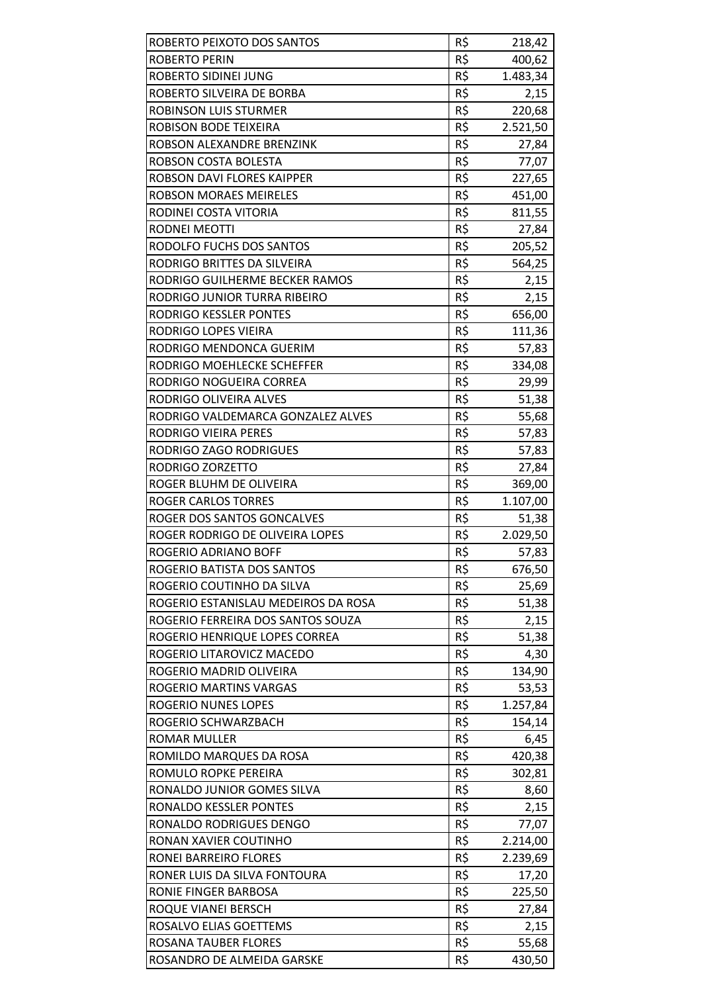| ROBERTO PEIXOTO DOS SANTOS          | R\$ | 218,42   |
|-------------------------------------|-----|----------|
| <b>ROBERTO PERIN</b>                | R\$ | 400,62   |
| <b>ROBERTO SIDINEI JUNG</b>         | R\$ | 1.483,34 |
| ROBERTO SILVEIRA DE BORBA           | R\$ | 2,15     |
| <b>ROBINSON LUIS STURMER</b>        | R\$ | 220,68   |
| ROBISON BODE TEIXEIRA               | R\$ | 2.521,50 |
| ROBSON ALEXANDRE BRENZINK           | R\$ | 27,84    |
| ROBSON COSTA BOLESTA                | R\$ | 77,07    |
| ROBSON DAVI FLORES KAIPPER          | R\$ | 227,65   |
| <b>ROBSON MORAES MEIRELES</b>       | R\$ | 451,00   |
| RODINEI COSTA VITORIA               | R\$ | 811,55   |
| RODNEI MEOTTI                       | R\$ | 27,84    |
| RODOLFO FUCHS DOS SANTOS            | R\$ | 205,52   |
| RODRIGO BRITTES DA SILVEIRA         | R\$ | 564,25   |
| RODRIGO GUILHERME BECKER RAMOS      | R\$ | 2,15     |
| RODRIGO JUNIOR TURRA RIBEIRO        | R\$ | 2,15     |
| <b>RODRIGO KESSLER PONTES</b>       | R\$ | 656,00   |
| RODRIGO LOPES VIEIRA                | R\$ | 111,36   |
| RODRIGO MENDONCA GUERIM             | R\$ | 57,83    |
| RODRIGO MOEHLECKE SCHEFFER          | R\$ | 334,08   |
| RODRIGO NOGUEIRA CORREA             | R\$ | 29,99    |
| RODRIGO OLIVEIRA ALVES              | R\$ | 51,38    |
| RODRIGO VALDEMARCA GONZALEZ ALVES   | R\$ | 55,68    |
| RODRIGO VIEIRA PERES                | R\$ | 57,83    |
| RODRIGO ZAGO RODRIGUES              | R\$ | 57,83    |
| RODRIGO ZORZETTO                    | R\$ | 27,84    |
| ROGER BLUHM DE OLIVEIRA             | R\$ | 369,00   |
| <b>ROGER CARLOS TORRES</b>          | R\$ | 1.107,00 |
| ROGER DOS SANTOS GONCALVES          | R\$ | 51,38    |
| ROGER RODRIGO DE OLIVEIRA LOPES     | R\$ | 2.029,50 |
| ROGERIO ADRIANO BOFF                | R\$ | 57,83    |
| ROGERIO BATISTA DOS SANTOS          | R\$ | 676,50   |
| ROGERIO COUTINHO DA SILVA           | R\$ | 25,69    |
| ROGERIO ESTANISLAU MEDEIROS DA ROSA | R\$ | 51,38    |
| ROGERIO FERREIRA DOS SANTOS SOUZA   | R\$ | 2,15     |
| ROGERIO HENRIQUE LOPES CORREA       | R\$ | 51,38    |
| ROGERIO LITAROVICZ MACEDO           | R\$ | 4,30     |
| ROGERIO MADRID OLIVEIRA             | R\$ | 134,90   |
| ROGERIO MARTINS VARGAS              | R\$ | 53,53    |
| <b>ROGERIO NUNES LOPES</b>          | R\$ | 1.257,84 |
| ROGERIO SCHWARZBACH                 | R\$ | 154,14   |
| <b>ROMAR MULLER</b>                 | R\$ | 6,45     |
| ROMILDO MARQUES DA ROSA             | R\$ | 420,38   |
| ROMULO ROPKE PEREIRA                | R\$ | 302,81   |
| RONALDO JUNIOR GOMES SILVA          | R\$ | 8,60     |
| RONALDO KESSLER PONTES              | R\$ | 2,15     |
| RONALDO RODRIGUES DENGO             | R\$ | 77,07    |
| RONAN XAVIER COUTINHO               | R\$ | 2.214,00 |
| RONEI BARREIRO FLORES               | R\$ | 2.239,69 |
| RONER LUIS DA SILVA FONTOURA        | R\$ | 17,20    |
| RONIE FINGER BARBOSA                | R\$ | 225,50   |
| ROQUE VIANEI BERSCH                 | R\$ | 27,84    |
| ROSALVO ELIAS GOETTEMS              | R\$ | 2,15     |
| ROSANA TAUBER FLORES                | R\$ | 55,68    |
| ROSANDRO DE ALMEIDA GARSKE          | R\$ | 430,50   |
|                                     |     |          |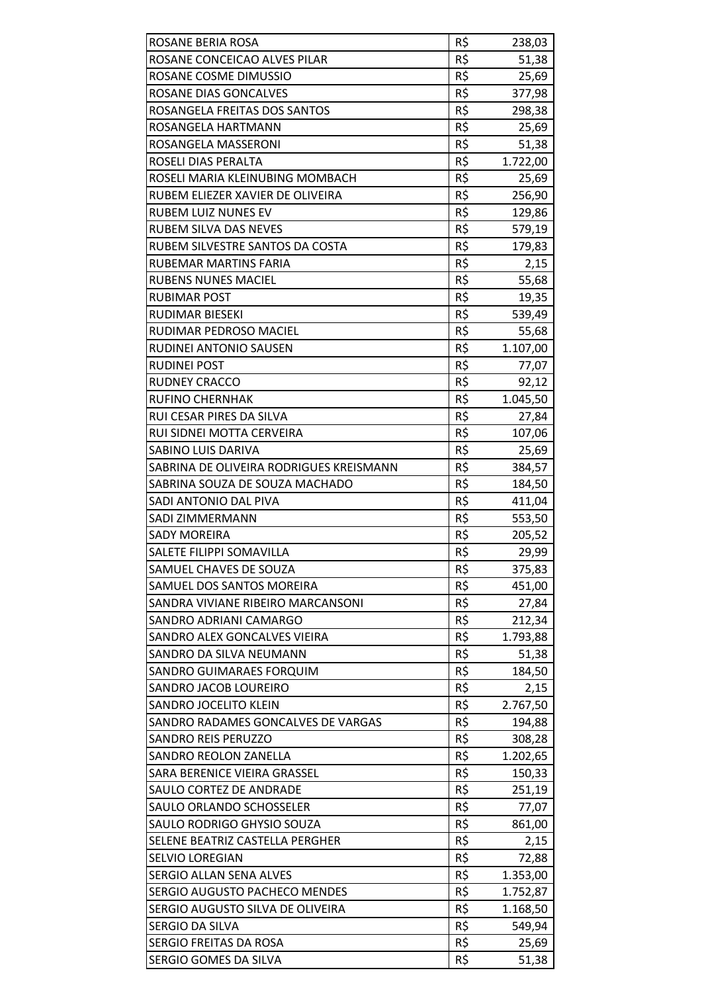| ROSANE BERIA ROSA                       | R\$             | 238,03   |
|-----------------------------------------|-----------------|----------|
| ROSANE CONCEICAO ALVES PILAR            | R\$             | 51,38    |
| ROSANE COSME DIMUSSIO                   | R\$             | 25,69    |
| ROSANE DIAS GONCALVES                   | R\$             | 377,98   |
| ROSANGELA FREITAS DOS SANTOS            | R\$             | 298,38   |
| ROSANGELA HARTMANN                      | R\$             | 25,69    |
| ROSANGELA MASSERONI                     | R\$             | 51,38    |
| ROSELI DIAS PERALTA                     | R\$             | 1.722,00 |
| ROSELI MARIA KLEINUBING MOMBACH         | R\$             | 25,69    |
| RUBEM ELIEZER XAVIER DE OLIVEIRA        | R\$             | 256,90   |
| <b>RUBEM LUIZ NUNES EV</b>              | R\$             | 129,86   |
| <b>RUBEM SILVA DAS NEVES</b>            | R\$             | 579,19   |
| RUBEM SILVESTRE SANTOS DA COSTA         | R\$             | 179,83   |
| <b>RUBEMAR MARTINS FARIA</b>            | R\$             | 2,15     |
| <b>RUBENS NUNES MACIEL</b>              | R\$             | 55,68    |
| <b>RUBIMAR POST</b>                     | R\$             | 19,35    |
| <b>RUDIMAR BIESEKI</b>                  | R\$             | 539,49   |
| RUDIMAR PEDROSO MACIEL                  | R\$             | 55,68    |
| RUDINEI ANTONIO SAUSEN                  | R\$             | 1.107,00 |
| <b>RUDINEI POST</b>                     | R\$             | 77,07    |
| <b>RUDNEY CRACCO</b>                    | R\$             | 92,12    |
| <b>RUFINO CHERNHAK</b>                  | R\$             | 1.045,50 |
| RUI CESAR PIRES DA SILVA                | $R\overline{S}$ | 27,84    |
| RUI SIDNEI MOTTA CERVEIRA               | R\$             | 107,06   |
| SABINO LUIS DARIVA                      | R\$             | 25,69    |
| SABRINA DE OLIVEIRA RODRIGUES KREISMANN | R\$             | 384,57   |
| SABRINA SOUZA DE SOUZA MACHADO          | R\$             | 184,50   |
| SADI ANTONIO DAL PIVA                   | R\$             | 411,04   |
| SADI ZIMMERMANN                         | R\$             | 553,50   |
| <b>SADY MOREIRA</b>                     | R\$             | 205,52   |
| SALETE FILIPPI SOMAVILLA                | R\$             | 29,99    |
| SAMUEL CHAVES DE SOUZA                  | R\$             | 375,83   |
| SAMUEL DOS SANTOS MOREIRA               | R\$             | 451,00   |
| SANDRA VIVIANE RIBEIRO MARCANSONI       | R\$             | 27,84    |
| SANDRO ADRIANI CAMARGO                  | R\$             | 212,34   |
| SANDRO ALEX GONCALVES VIEIRA            | R\$             | 1.793,88 |
| SANDRO DA SILVA NEUMANN                 | R\$             | 51,38    |
| SANDRO GUIMARAES FORQUIM                | R\$             | 184,50   |
| SANDRO JACOB LOUREIRO                   | R\$             | 2,15     |
| SANDRO JOCELITO KLEIN                   | R\$             | 2.767,50 |
| SANDRO RADAMES GONCALVES DE VARGAS      | R\$             | 194,88   |
| <b>SANDRO REIS PERUZZO</b>              | R\$             | 308,28   |
| <b>SANDRO REOLON ZANELLA</b>            | R\$             | 1.202,65 |
| SARA BERENICE VIEIRA GRASSEL            | R\$             | 150,33   |
| SAULO CORTEZ DE ANDRADE                 | R\$             | 251,19   |
| SAULO ORLANDO SCHOSSELER                | R\$             | 77,07    |
| SAULO RODRIGO GHYSIO SOUZA              | R\$             | 861,00   |
| SELENE BEATRIZ CASTELLA PERGHER         | R\$             | 2,15     |
| <b>SELVIO LOREGIAN</b>                  | R\$             | 72,88    |
| <b>SERGIO ALLAN SENA ALVES</b>          | R\$             | 1.353,00 |
| SERGIO AUGUSTO PACHECO MENDES           | R\$             | 1.752,87 |
| SERGIO AUGUSTO SILVA DE OLIVEIRA        | R\$             | 1.168,50 |
| SERGIO DA SILVA                         | R\$             | 549,94   |
| SERGIO FREITAS DA ROSA                  | R\$             | 25,69    |
| SERGIO GOMES DA SILVA                   | R\$             | 51,38    |
|                                         |                 |          |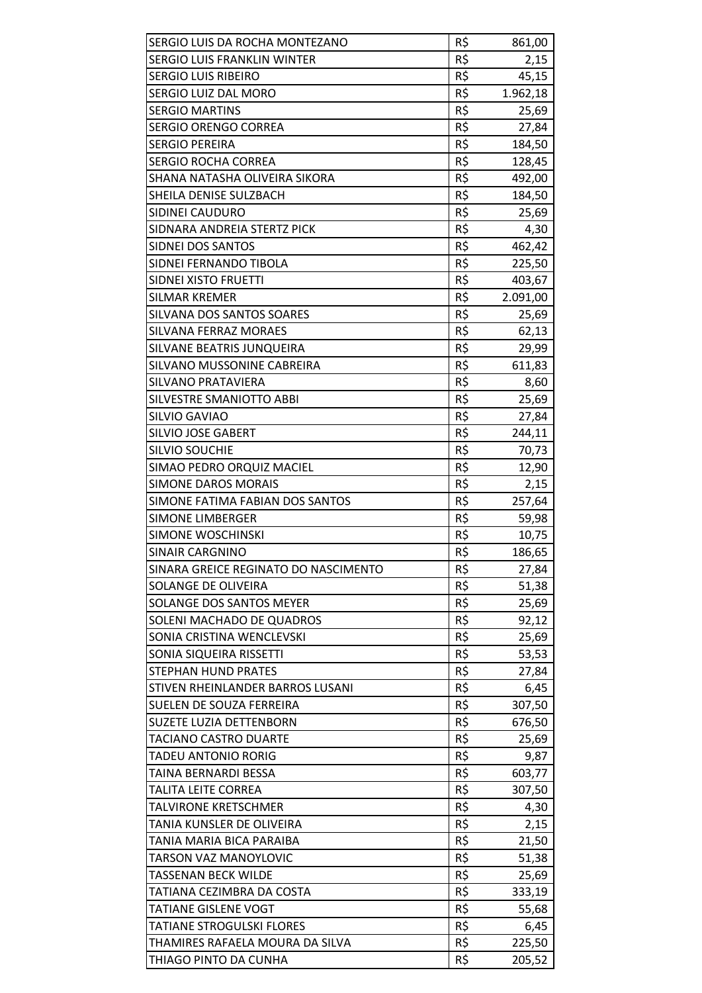| SERGIO LUIS DA ROCHA MONTEZANO       | R\$        | 861,00   |
|--------------------------------------|------------|----------|
| <b>SERGIO LUIS FRANKLIN WINTER</b>   | R\$        | 2,15     |
| <b>SERGIO LUIS RIBEIRO</b>           | R\$        | 45,15    |
| SERGIO LUIZ DAL MORO                 | R\$        | 1.962,18 |
| <b>SERGIO MARTINS</b>                | R\$        | 25,69    |
| <b>SERGIO ORENGO CORREA</b>          | R\$        | 27,84    |
| <b>SERGIO PEREIRA</b>                | R\$        | 184,50   |
| <b>SERGIO ROCHA CORREA</b>           | R\$        | 128,45   |
| SHANA NATASHA OLIVEIRA SIKORA        | R\$        | 492,00   |
| SHEILA DENISE SULZBACH               | R\$        | 184,50   |
| SIDINEI CAUDURO                      | R\$        | 25,69    |
| SIDNARA ANDREIA STERTZ PICK          | R\$        | 4,30     |
| SIDNEI DOS SANTOS                    | R\$        | 462,42   |
| SIDNEI FERNANDO TIBOLA               | R\$        | 225,50   |
| SIDNEI XISTO FRUETTI                 | R\$        | 403,67   |
| <b>SILMAR KREMER</b>                 | R\$        | 2.091,00 |
| SILVANA DOS SANTOS SOARES            | R\$        | 25,69    |
| SILVANA FERRAZ MORAES                | R\$        | 62,13    |
| SILVANE BEATRIS JUNQUEIRA            | R\$        | 29,99    |
| SILVANO MUSSONINE CABREIRA           | R\$        | 611,83   |
| SILVANO PRATAVIERA                   | R\$        | 8,60     |
| SILVESTRE SMANIOTTO ABBI             | R\$        | 25,69    |
| <b>SILVIO GAVIAO</b>                 | R\$        | 27,84    |
| SILVIO JOSE GABERT                   | R\$        |          |
|                                      |            | 244,11   |
| <b>SILVIO SOUCHIE</b>                | R\$<br>R\$ | 70,73    |
| SIMAO PEDRO ORQUIZ MACIEL            |            | 12,90    |
| <b>SIMONE DAROS MORAIS</b>           | R\$        | 2,15     |
| SIMONE FATIMA FABIAN DOS SANTOS      | R\$        | 257,64   |
| <b>SIMONE LIMBERGER</b>              | R\$        | 59,98    |
| <b>SIMONE WOSCHINSKI</b>             | R\$        | 10,75    |
| SINAIR CARGNINO                      | R\$        | 186,65   |
| SINARA GREICE REGINATO DO NASCIMENTO | R\$        | 27,84    |
| SOLANGE DE OLIVEIRA                  | R\$        | 51,38    |
| SOLANGE DOS SANTOS MEYER             | R\$        | 25,69    |
| SOLENI MACHADO DE QUADROS            | R\$        | 92,12    |
| SONIA CRISTINA WENCLEVSKI            | R\$        | 25,69    |
| SONIA SIQUEIRA RISSETTI              | R\$        | 53,53    |
| <b>STEPHAN HUND PRATES</b>           | R\$        | 27,84    |
| STIVEN RHEINLANDER BARROS LUSANI     | R\$        | 6,45     |
| SUELEN DE SOUZA FERREIRA             | R\$        | 307,50   |
| SUZETE LUZIA DETTENBORN              | R\$        | 676,50   |
| <b>TACIANO CASTRO DUARTE</b>         | R\$        | 25,69    |
| <b>TADEU ANTONIO RORIG</b>           | R\$        | 9,87     |
| TAINA BERNARDI BESSA                 | R\$        | 603,77   |
| <b>TALITA LEITE CORREA</b>           | R\$        | 307,50   |
| TALVIRONE KRETSCHMER                 | R\$        | 4,30     |
| TANIA KUNSLER DE OLIVEIRA            | R\$        | 2,15     |
| TANIA MARIA BICA PARAIBA             | R\$        | 21,50    |
| <b>TARSON VAZ MANOYLOVIC</b>         | R\$        | 51,38    |
| <b>TASSENAN BECK WILDE</b>           | R\$        | 25,69    |
| TATIANA CEZIMBRA DA COSTA            | R\$        | 333,19   |
| <b>TATIANE GISLENE VOGT</b>          | R\$        | 55,68    |
| <b>TATIANE STROGULSKI FLORES</b>     | R\$        | 6,45     |
| THAMIRES RAFAELA MOURA DA SILVA      | R\$        | 225,50   |
| THIAGO PINTO DA CUNHA                | R\$        | 205,52   |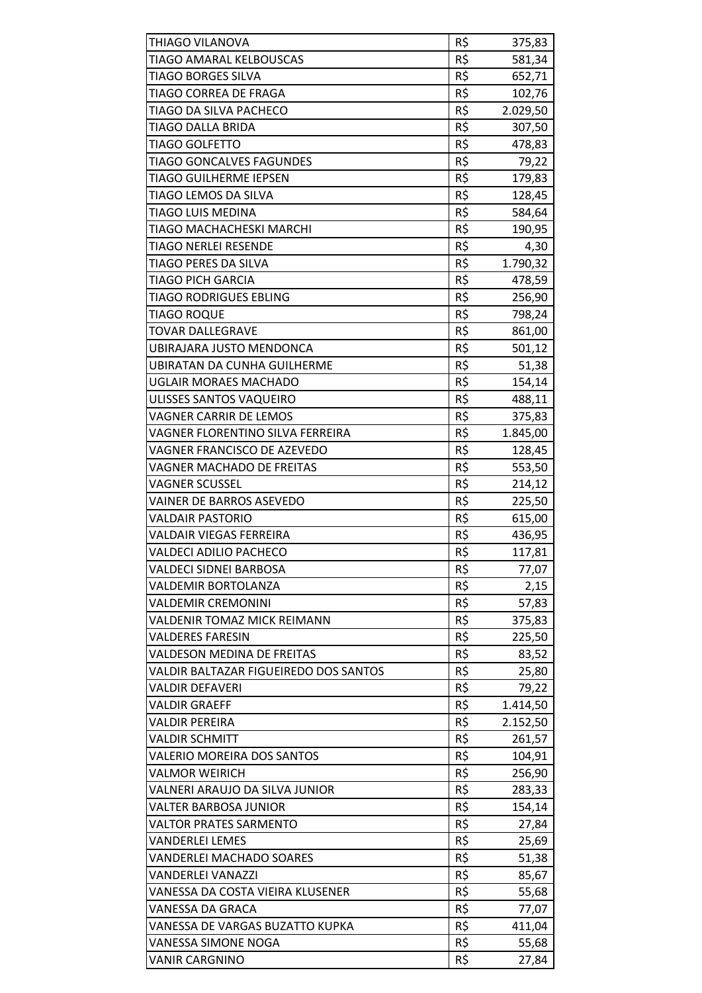| THIAGO VILANOVA                       | R\$ | 375,83   |
|---------------------------------------|-----|----------|
| TIAGO AMARAL KELBOUSCAS               | R\$ | 581,34   |
| <b>TIAGO BORGES SILVA</b>             | R\$ | 652,71   |
| TIAGO CORREA DE FRAGA                 | R\$ | 102,76   |
| TIAGO DA SILVA PACHECO                | R\$ | 2.029,50 |
| <b>TIAGO DALLA BRIDA</b>              | R\$ | 307,50   |
| <b>TIAGO GOLFETTO</b>                 | R\$ | 478,83   |
| <b>TIAGO GONCALVES FAGUNDES</b>       | R\$ | 79,22    |
| TIAGO GUILHERME IEPSEN                | R\$ | 179,83   |
| TIAGO LEMOS DA SILVA                  | R\$ | 128,45   |
| TIAGO LUIS MEDINA                     | R\$ | 584,64   |
| TIAGO MACHACHESKI MARCHI              | R\$ | 190,95   |
| <b>TIAGO NERLEI RESENDE</b>           | R\$ | 4,30     |
| TIAGO PERES DA SILVA                  | R\$ | 1.790,32 |
| <b>TIAGO PICH GARCIA</b>              | R\$ | 478,59   |
| <b>TIAGO RODRIGUES EBLING</b>         | R\$ | 256,90   |
| <b>TIAGO ROQUE</b>                    | R\$ | 798,24   |
| <b>TOVAR DALLEGRAVE</b>               | R\$ | 861,00   |
| UBIRAJARA JUSTO MENDONCA              | R\$ | 501,12   |
| <b>UBIRATAN DA CUNHA GUILHERME</b>    | R\$ | 51,38    |
| <b>UGLAIR MORAES MACHADO</b>          | R\$ | 154,14   |
| ULISSES SANTOS VAQUEIRO               | R\$ | 488,11   |
| <b>VAGNER CARRIR DE LEMOS</b>         | R\$ | 375,83   |
| VAGNER FLORENTINO SILVA FERREIRA      | R\$ | 1.845,00 |
| VAGNER FRANCISCO DE AZEVEDO           | R\$ | 128,45   |
| VAGNER MACHADO DE FREITAS             | R\$ | 553,50   |
| <b>VAGNER SCUSSEL</b>                 | R\$ | 214,12   |
| VAINER DE BARROS ASEVEDO              | R\$ | 225,50   |
| <b>VALDAIR PASTORIO</b>               | R\$ | 615,00   |
| <b>VALDAIR VIEGAS FERREIRA</b>        | R\$ | 436,95   |
| <b>VALDECI ADILIO PACHECO</b>         | R\$ | 117,81   |
| <b>VALDECI SIDNEI BARBOSA</b>         | R\$ | 77,07    |
| <b>VALDEMIR BORTOLANZA</b>            | R\$ | 2,15     |
| <b>VALDEMIR CREMONINI</b>             | R\$ | 57,83    |
| VALDENIR TOMAZ MICK REIMANN           | R\$ | 375,83   |
| VALDERES FARESIN                      | R\$ | 225,50   |
| <b>VALDESON MEDINA DE FREITAS</b>     | R\$ | 83,52    |
| VALDIR BALTAZAR FIGUEIREDO DOS SANTOS | R\$ | 25,80    |
| VALDIR DEFAVERI                       | R\$ | 79,22    |
| VALDIR GRAEFF                         | R\$ | 1.414,50 |
| VALDIR PEREIRA                        | R\$ | 2.152,50 |
| <b>VALDIR SCHMITT</b>                 | R\$ | 261,57   |
| <b>VALERIO MOREIRA DOS SANTOS</b>     | R\$ | 104,91   |
| <b>VALMOR WEIRICH</b>                 | R\$ | 256,90   |
| VALNERI ARAUJO DA SILVA JUNIOR        | R\$ |          |
|                                       | R\$ | 283,33   |
| VALTER BARBOSA JUNIOR                 | R\$ | 154,14   |
| <b>VALTOR PRATES SARMENTO</b>         | R\$ | 27,84    |
| <b>VANDERLEI LEMES</b>                | R\$ | 25,69    |
| VANDERLEI MACHADO SOARES              |     | 51,38    |
| <b>VANDERLEI VANAZZI</b>              | R\$ | 85,67    |
| VANESSA DA COSTA VIEIRA KLUSENER      | R\$ | 55,68    |
| VANESSA DA GRACA                      | R\$ | 77,07    |
| VANESSA DE VARGAS BUZATTO KUPKA       | R\$ | 411,04   |
| VANESSA SIMONE NOGA                   | R\$ | 55,68    |
| <b>VANIR CARGNINO</b>                 | R\$ | 27,84    |